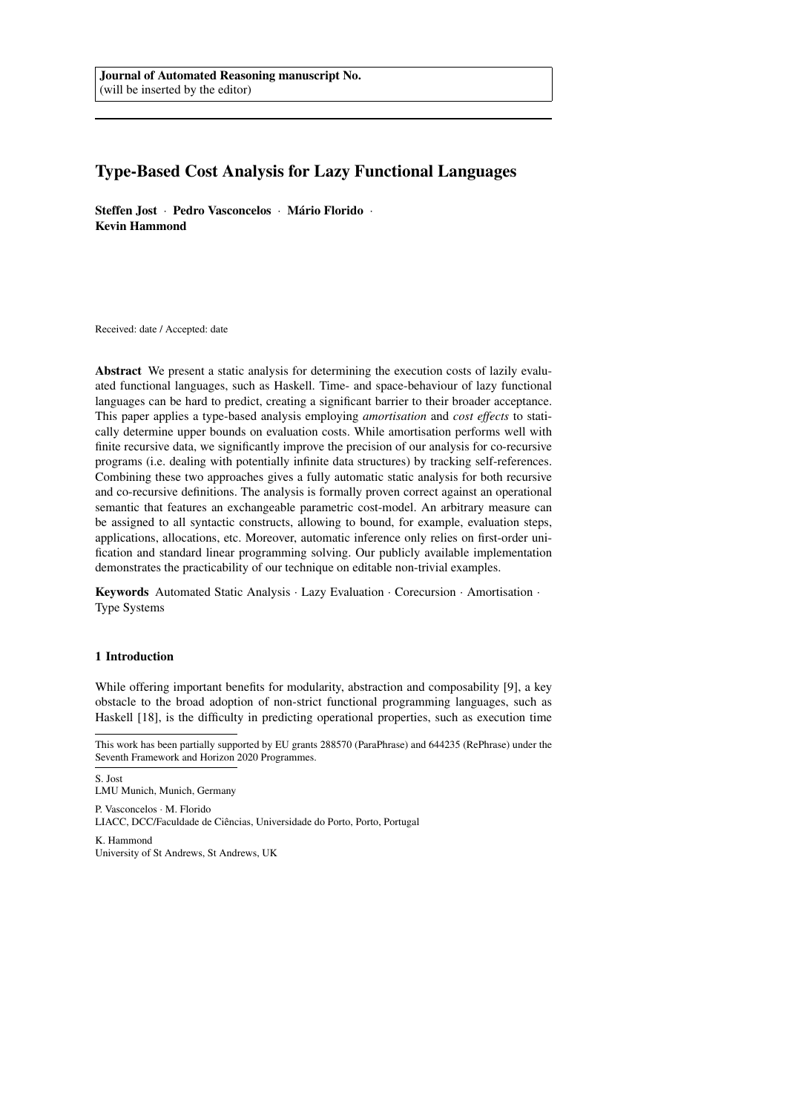# Type-Based Cost Analysis for Lazy Functional Languages

Steffen Jost · Pedro Vasconcelos · Mário Florido · Kevin Hammond

Received: date / Accepted: date

Abstract We present a static analysis for determining the execution costs of lazily evaluated functional languages, such as Haskell. Time- and space-behaviour of lazy functional languages can be hard to predict, creating a significant barrier to their broader acceptance. This paper applies a type-based analysis employing *amortisation* and *cost effects* to statically determine upper bounds on evaluation costs. While amortisation performs well with finite recursive data, we significantly improve the precision of our analysis for co-recursive programs (i.e. dealing with potentially infinite data structures) by tracking self-references. Combining these two approaches gives a fully automatic static analysis for both recursive and co-recursive definitions. The analysis is formally proven correct against an operational semantic that features an exchangeable parametric cost-model. An arbitrary measure can be assigned to all syntactic constructs, allowing to bound, for example, evaluation steps, applications, allocations, etc. Moreover, automatic inference only relies on first-order unification and standard linear programming solving. Our publicly available implementation demonstrates the practicability of our technique on editable non-trivial examples.

Keywords Automated Static Analysis · Lazy Evaluation · Corecursion · Amortisation · Type Systems

## 1 Introduction

While offering important benefits for modularity, abstraction and composability [9], a key obstacle to the broad adoption of non-strict functional programming languages, such as Haskell [18], is the difficulty in predicting operational properties, such as execution time

S. Jost LMU Munich, Munich, Germany

P. Vasconcelos · M. Florido LIACC, DCC/Faculdade de Ciências, Universidade do Porto, Porto, Portugal K. Hammond

University of St Andrews, St Andrews, UK

This work has been partially supported by EU grants 288570 (ParaPhrase) and 644235 (RePhrase) under the Seventh Framework and Horizon 2020 Programmes.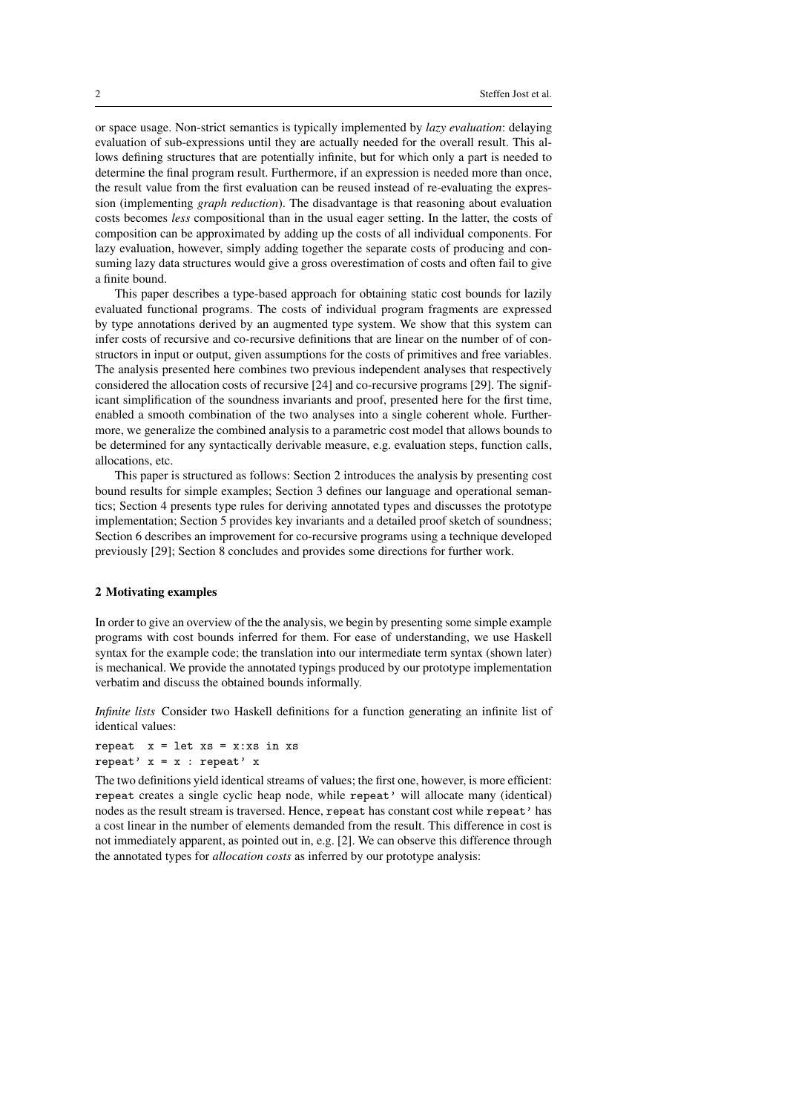or space usage. Non-strict semantics is typically implemented by *lazy evaluation*: delaying evaluation of sub-expressions until they are actually needed for the overall result. This allows defining structures that are potentially infinite, but for which only a part is needed to determine the final program result. Furthermore, if an expression is needed more than once, the result value from the first evaluation can be reused instead of re-evaluating the expression (implementing *graph reduction*). The disadvantage is that reasoning about evaluation costs becomes *less* compositional than in the usual eager setting. In the latter, the costs of composition can be approximated by adding up the costs of all individual components. For lazy evaluation, however, simply adding together the separate costs of producing and consuming lazy data structures would give a gross overestimation of costs and often fail to give a finite bound.

This paper describes a type-based approach for obtaining static cost bounds for lazily evaluated functional programs. The costs of individual program fragments are expressed by type annotations derived by an augmented type system. We show that this system can infer costs of recursive and co-recursive definitions that are linear on the number of of constructors in input or output, given assumptions for the costs of primitives and free variables. The analysis presented here combines two previous independent analyses that respectively considered the allocation costs of recursive [24] and co-recursive programs [29]. The significant simplification of the soundness invariants and proof, presented here for the first time, enabled a smooth combination of the two analyses into a single coherent whole. Furthermore, we generalize the combined analysis to a parametric cost model that allows bounds to be determined for any syntactically derivable measure, e.g. evaluation steps, function calls, allocations, etc.

This paper is structured as follows: Section 2 introduces the analysis by presenting cost bound results for simple examples; Section 3 defines our language and operational semantics; Section 4 presents type rules for deriving annotated types and discusses the prototype implementation; Section 5 provides key invariants and a detailed proof sketch of soundness; Section 6 describes an improvement for co-recursive programs using a technique developed previously [29]; Section 8 concludes and provides some directions for further work.

#### 2 Motivating examples

In order to give an overview of the the analysis, we begin by presenting some simple example programs with cost bounds inferred for them. For ease of understanding, we use Haskell syntax for the example code; the translation into our intermediate term syntax (shown later) is mechanical. We provide the annotated typings produced by our prototype implementation verbatim and discuss the obtained bounds informally.

*Infinite lists* Consider two Haskell definitions for a function generating an infinite list of identical values:

repeat  $x = 1$ et  $xs = x:xs$  in  $xs$ repeat'  $x = x :$  repeat' x

The two definitions yield identical streams of values; the first one, however, is more efficient: repeat creates a single cyclic heap node, while repeat' will allocate many (identical) nodes as the result stream is traversed. Hence, repeat has constant cost while repeat' has a cost linear in the number of elements demanded from the result. This difference in cost is not immediately apparent, as pointed out in, e.g. [2]. We can observe this difference through the annotated types for *allocation costs* as inferred by our prototype analysis: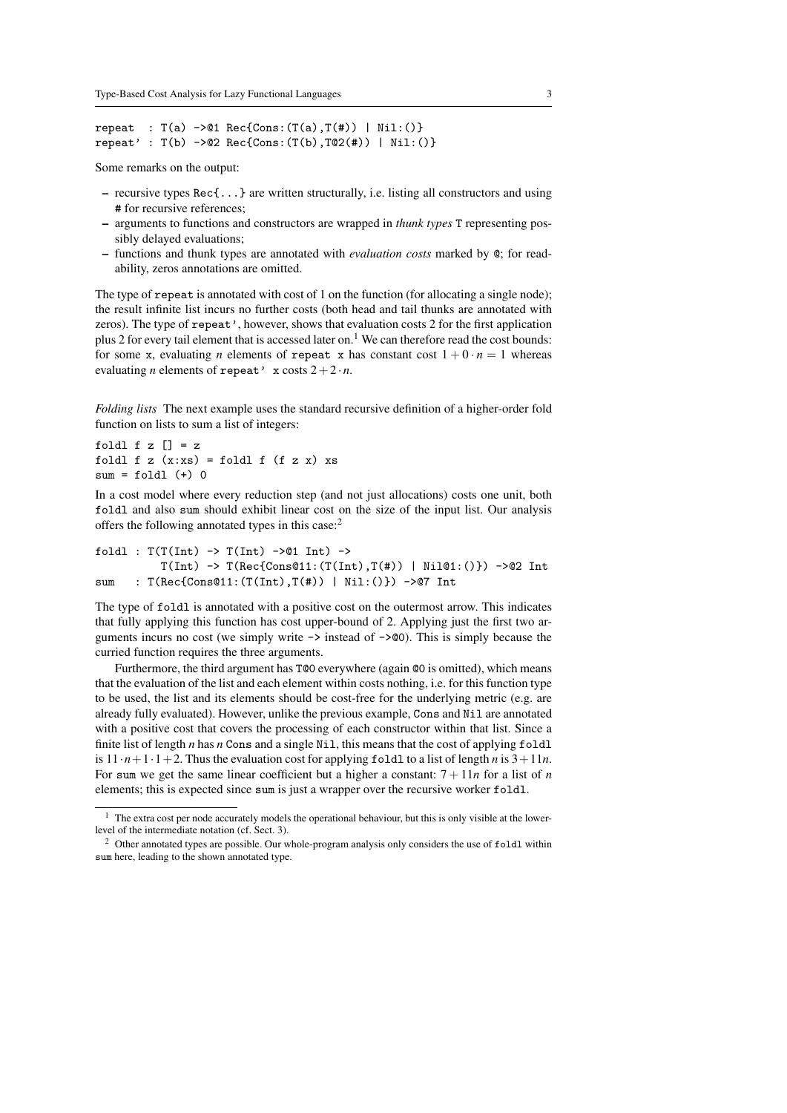```
repeat : T(a) ->01 Rec{Cons: (T(a), T(f)) | Nil: ()}
repeat' : T(b) ->02 Rec{Cons:(T(b), T@2(#)) | Nil:()}
```
Some remarks on the output:

- recursive types Rec{...} are written structurally, i.e. listing all constructors and using # for recursive references;
- arguments to functions and constructors are wrapped in *thunk types* T representing possibly delayed evaluations;
- functions and thunk types are annotated with *evaluation costs* marked by @; for readability, zeros annotations are omitted.

The type of repeat is annotated with cost of 1 on the function (for allocating a single node); the result infinite list incurs no further costs (both head and tail thunks are annotated with zeros). The type of repeat', however, shows that evaluation costs 2 for the first application plus 2 for every tail element that is accessed later on.<sup>1</sup> We can therefore read the cost bounds: for some x, evaluating *n* elements of repeat x has constant cost  $1 + 0 \cdot n = 1$  whereas evaluating *n* elements of repeat' x costs  $2+2 \cdot n$ .

*Folding lists* The next example uses the standard recursive definition of a higher-order fold function on lists to sum a list of integers:

foldl  $f z [] = z$ foldl f z  $(x:xs) =$  foldl f  $(f z x) xs$  $sum = fold1$  (+) 0

In a cost model where every reduction step (and not just allocations) costs one unit, both foldl and also sum should exhibit linear cost on the size of the input list. Our analysis offers the following annotated types in this case:<sup>2</sup>

```
foldl : T(T(int) \rightarrow T(int) \rightarrow 01 Int) \rightarrowT(Int) -> T(Rec{Const211:(T(Int),T(f))) | Nil@1:()}) ->@2 Int
sum : T(Rec{Cons@11:(T(Int),T(#)) | Nil:()}) ->@7 Int
```
The type of foldl is annotated with a positive cost on the outermost arrow. This indicates that fully applying this function has cost upper-bound of 2. Applying just the first two arguments incurs no cost (we simply write  $\rightarrow$  instead of  $\rightarrow$  400). This is simply because the curried function requires the three arguments.

Furthermore, the third argument has T@0 everywhere (again @0 is omitted), which means that the evaluation of the list and each element within costs nothing, i.e. for this function type to be used, the list and its elements should be cost-free for the underlying metric (e.g. are already fully evaluated). However, unlike the previous example, Cons and Nil are annotated with a positive cost that covers the processing of each constructor within that list. Since a finite list of length *n* has *n* Cons and a single Nil, this means that the cost of applying foldl is  $11 \cdot n + 1 \cdot 1 + 2$ . Thus the evaluation cost for applying foldl to a list of length *n* is  $3 + 11n$ . For sum we get the same linear coefficient but a higher a constant:  $7 + 11n$  for a list of *n* elements; this is expected since sum is just a wrapper over the recursive worker foldl.

<sup>&</sup>lt;sup>1</sup> The extra cost per node accurately models the operational behaviour, but this is only visible at the lowerlevel of the intermediate notation (cf. Sect. 3).

<sup>&</sup>lt;sup>2</sup> Other annotated types are possible. Our whole-program analysis only considers the use of foldl within sum here, leading to the shown annotated type.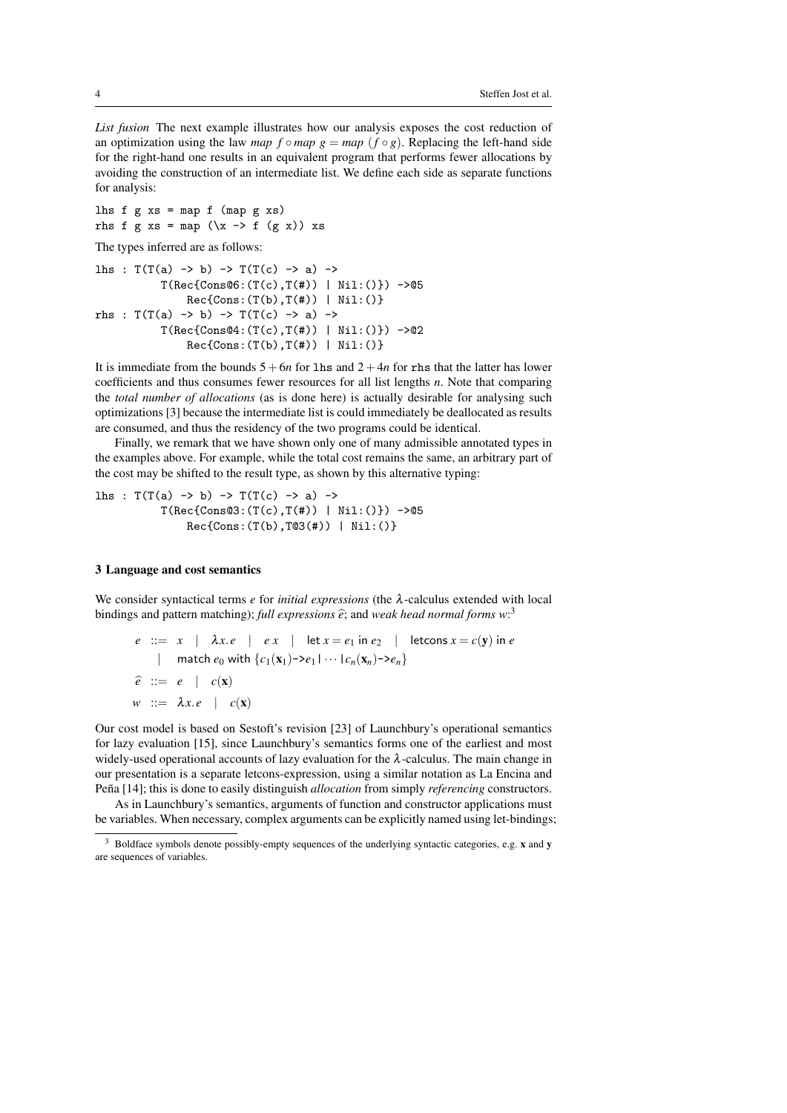*List fusion* The next example illustrates how our analysis exposes the cost reduction of an optimization using the law *map*  $f \circ map$   $g = map$   $(f \circ g)$ . Replacing the left-hand side for the right-hand one results in an equivalent program that performs fewer allocations by avoiding the construction of an intermediate list. We define each side as separate functions for analysis:

lhs  $f$   $g$   $xs$  = map  $f$  (map  $g$   $xs$ ) rhs f g xs = map  $(\x \rightarrow x$  f  $(g x))$  xs

The types inferred are as follows:

```
lhs : T(T(a) \rightarrow b) \rightarrow T(T(c) \rightarrow a) \rightarrowT(Rec{Cons@6:(T(c),T(f))) | Nil:()} ->@5
                  Rec{Cons:(T(b),T(\#)) | Nil:()}rhs : T(T(a) \rightarrow b) \rightarrow T(T(c) \rightarrow a) \rightarrowT(Rec{Cons@4:(T(c),T(\#)) | Nil:()} ->02
                  Rec{Cons:(T(b),T(\#)) | Nil:()}
```
It is immediate from the bounds  $5+6n$  for lhs and  $2+4n$  for rhs that the latter has lower coefficients and thus consumes fewer resources for all list lengths *n*. Note that comparing the *total number of allocations* (as is done here) is actually desirable for analysing such optimizations [3] because the intermediate list is could immediately be deallocated as results are consumed, and thus the residency of the two programs could be identical.

Finally, we remark that we have shown only one of many admissible annotated types in the examples above. For example, while the total cost remains the same, an arbitrary part of the cost may be shifted to the result type, as shown by this alternative typing:

```
lhs : T(T(a) \rightarrow b) \rightarrow T(T(c) \rightarrow a) \rightarrowT(Rec{Cons@3:(T(c),T(\#)) | Nil:()} ->@5
                  Rec{Cons:(T(b),T@3(#)) | Nil:()}
```
## 3 Language and cost semantics

We consider syntactical terms *e* for *initial expressions* (the λ-calculus extended with local bindings and pattern matching); *full expressions*  $\hat{e}$ ; and *weak head normal forms*  $w$ :<sup>3</sup>

$$
e ::= x \mid \lambda x.e \mid ex \mid \text{let } x = e_1 \text{ in } e_2 \mid \text{letcons } x = c(\mathbf{y}) \text{ in } e
$$
  
\n
$$
\mid \text{match } e_0 \text{ with } \{c_1(\mathbf{x}_1) - \lambda e_1 \mid \dots \mid c_n(\mathbf{x}_n) - \lambda e_n\}
$$
  
\n
$$
\hat{e} ::= e \mid c(\mathbf{x})
$$
  
\n
$$
w ::= \lambda x.e \mid c(\mathbf{x})
$$

Our cost model is based on Sestoft's revision [23] of Launchbury's operational semantics for lazy evaluation [15], since Launchbury's semantics forms one of the earliest and most widely-used operational accounts of lazy evaluation for the  $\lambda$ -calculus. The main change in our presentation is a separate letcons-expression, using a similar notation as La Encina and Pena [14]; this is done to easily distinguish *allocation* from simply *referencing* constructors.

As in Launchbury's semantics, arguments of function and constructor applications must be variables. When necessary, complex arguments can be explicitly named using let-bindings;

<sup>3</sup> Boldface symbols denote possibly-empty sequences of the underlying syntactic categories, e.g. x and y are sequences of variables.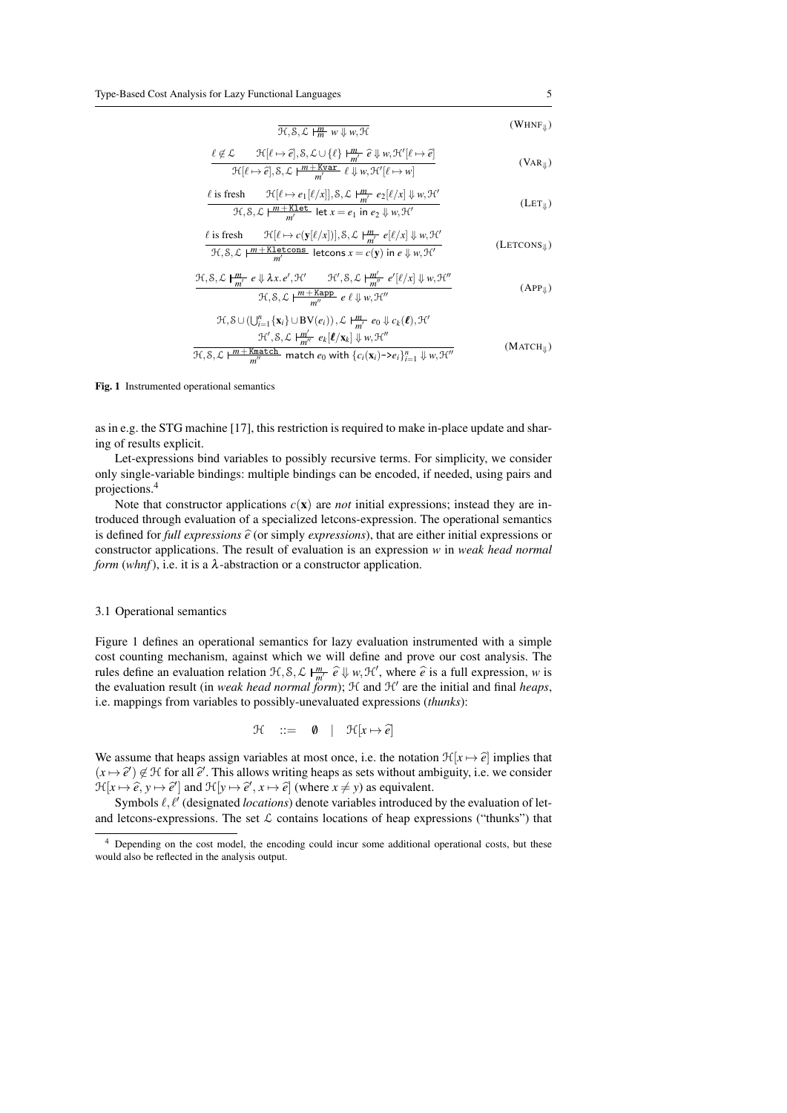$$
\frac{\overline{\mathcal{H}}, \mathcal{S}, \mathcal{L} \mid \frac{m}{m} \ w \Downarrow w, \mathcal{H}}{\mathcal{H}} \qquad (\text{WHNF}_{\Downarrow})
$$
\n
$$
\mathcal{L} \qquad \mathcal{H}[\ell \mapsto \hat{e}], \mathcal{S}, \mathcal{L} \cup \{\ell\} \downarrow \frac{m}{m} \cdot \hat{e} \Downarrow w, \mathcal{H}'[\ell \mapsto \hat{e}]
$$

$$
\frac{\ell \notin \mathcal{L}}{\mathcal{H}[\ell \mapsto \hat{e}], \mathcal{S}, \mathcal{L} \cup \{\ell\} \mid \frac{m}{m'} \hat{e} \Downarrow w, \mathcal{H}'[\ell \mapsto \hat{e}]}{\mathcal{H}[\ell \mapsto \hat{e}], \mathcal{S}, \mathcal{L} \mid \frac{m + \text{Kvar}}{m'} \hat{e} \Downarrow w, \mathcal{H}'[\ell \mapsto w]} \tag{VaR}_{\Downarrow})
$$

` is fresh H[` 7→ *e*1[`/*x*]],S,L *<sup>m</sup> m* <sup>0</sup> *e*2[`/*x*] ⇓ *w*,H<sup>0</sup> H,S,L *m*+Klet *m* 0 let *x* = *e*<sup>1</sup> in *e*<sup>2</sup> ⇓ *w*,H<sup>0</sup> (LET⇓)

$$
\frac{\ell \text{ is fresh}}{\mathcal{H}, \mathcal{S}, \mathcal{L} \mid \frac{m + \text{Kletons}}{m} \text{ letcons } x = c(\mathbf{y}) \parallel \mathcal{S}, \mathcal{L} \mid \frac{m}{m'} e[\ell/x] \Downarrow w, \mathcal{H}'}{\text{ letcons } x = c(\mathbf{y}) \text{ in } e \Downarrow w, \mathcal{H}'} \tag{LETCONS\Downarrow}
$$

$$
\frac{\mathcal{H}, \mathcal{S}, \mathcal{L} \mid \frac{m}{m'} \ e \Downarrow \lambda x. e', \mathcal{H}' \qquad \mathcal{H}', \mathcal{S}, \mathcal{L} \mid \frac{m'}{m''} \ e'[\ell/x] \Downarrow w, \mathcal{H}''}{\mathcal{H}, \mathcal{S}, \mathcal{L} \mid \frac{m + \text{Kapp}}{m''} \ e \ \ell \Downarrow w, \mathcal{H}''}
$$
\n(APP<sub>Y</sub>)

$$
\mathcal{H}, \mathcal{S} \cup (\bigcup_{i=1}^{n} \{ \mathbf{x}_{i} \} \cup \mathbf{BV}(e_{i})), \mathcal{L} \downarrow \frac{m}{m'} e_{0} \Downarrow c_{k}(\ell), \mathcal{H}'
$$
\n
$$
\mathcal{H}', \mathcal{S}, \mathcal{L} \downarrow \frac{m'}{m''} e_{k}[\ell/\mathbf{x}_{k}] \Downarrow w, \mathcal{H}''
$$
\n
$$
\mathcal{L} e_{0} \triangle \downarrow \frac{m + \text{Kmatch}}{m''} \downarrow \frac{1}{m} \downarrow \frac{1}{m} \downarrow \frac{1}{m} \downarrow \frac{1}{m} \downarrow \frac{1}{m} \downarrow \frac{1}{m} \downarrow \frac{1}{m} \downarrow \frac{1}{m} \downarrow \frac{1}{m} \downarrow \frac{1}{m} \downarrow \frac{1}{m} \downarrow \frac{1}{m} \downarrow \frac{1}{m} \downarrow \frac{1}{m} \downarrow \frac{1}{m} \downarrow \frac{1}{m} \downarrow \frac{1}{m} \downarrow \frac{1}{m} \downarrow \frac{1}{m} \downarrow \frac{1}{m} \downarrow \frac{1}{m} \downarrow \frac{1}{m} \downarrow \frac{1}{m} \downarrow \frac{1}{m} \downarrow \frac{1}{m} \downarrow \frac{1}{m} \downarrow \frac{1}{m} \downarrow \frac{1}{m} \downarrow \frac{1}{m} \downarrow \frac{1}{m} \downarrow \frac{1}{m} \downarrow \frac{1}{m} \downarrow \frac{1}{m} \downarrow \frac{1}{m} \downarrow \frac{1}{m} \downarrow \frac{1}{m} \downarrow \frac{1}{m} \downarrow \frac{1}{m} \downarrow \frac{1}{m} \downarrow \frac{1}{m} \downarrow \frac{1}{m} \downarrow \frac{1}{m} \downarrow \frac{1}{m} \downarrow \frac{1}{m} \downarrow \frac{1}{m} \downarrow \frac{1}{m} \downarrow \frac{1}{m} \downarrow \frac{1}{m} \downarrow \frac{1}{m} \downarrow \frac{1}{m} \downarrow \frac{1}{m} \downarrow \frac{1}{m} \downarrow \frac{1}{m} \downarrow \frac{1}{m} \downarrow \frac{1}{m} \downarrow \frac{1}{m} \downarrow \frac{1}{m} \down
$$

$$
\mathcal{H}, \mathcal{S}, \mathcal{L} \mid \frac{m + \text{Kmatch}}{m''} \text{ match } e_0 \text{ with } \{c_i(\mathbf{x}_i) \rightarrow e_i\}_{i=1}^n \Downarrow w, \mathcal{H}''
$$
\n
$$
(W \land c \land \text{L})
$$

Fig. 1 Instrumented operational semantics

as in e.g. the STG machine [17], this restriction is required to make in-place update and sharing of results explicit.

Let-expressions bind variables to possibly recursive terms. For simplicity, we consider only single-variable bindings: multiple bindings can be encoded, if needed, using pairs and projections.<sup>4</sup>

Note that constructor applications  $c(x)$  are *not* initial expressions; instead they are introduced through evaluation of a specialized letcons-expression. The operational semantics is defined for *full expressions*  $\hat{e}$  (or simply *expressions*), that are either initial expressions or constructor applications. The result of evaluation is an expression *w* in *weak head normal form* ( $whnf$ ), i.e. it is a  $\lambda$ -abstraction or a constructor application.

#### 3.1 Operational semantics

Figure 1 defines an operational semantics for lazy evaluation instrumented with a simple cost counting mechanism, against which we will define and prove our cost analysis. The rules define an evaluation relation  $\mathcal{H}, \mathcal{S}, \mathcal{L} \mid \frac{m}{m} \hat{e} \Downarrow w, \mathcal{H}'$ , where  $\hat{e}$  is a full expression, *w* is<br>the evaluation result (in weak hard normal form); *H* and *H'* are the initial and final hanne the evaluation result (in *weak head normal form*);  $H$  and  $H'$  are the initial and final *heaps*, i.e. mappings from variables to possibly-unevaluated expressions (*thunks*):

$$
\mathfrak{H} \quad ::= \quad \emptyset \quad | \quad \mathfrak{H}[x \mapsto \widehat{e}]
$$

We assume that heaps assign variables at most once, i.e. the notation  $\mathcal{H}[x \mapsto \hat{e}]$  implies that  $(x \mapsto \hat{e}') \notin \mathcal{H}$  for all  $\hat{e}'$ . This allows writing heaps as sets without ambiguity, i.e. we consider  $\mathcal{H}_{\text{loc}} \otimes \hat{e}$  and  $\mathcal{H}_{\text{loc}} \otimes \hat{e}'$  where  $x \neq y$ ) as equivalent  $\mathcal{H}[x \mapsto \hat{e}, y \mapsto \hat{e}']$  and  $\mathcal{H}[y \mapsto \hat{e}', x \mapsto \hat{e}]$  (where  $x \neq y$ ) as equivalent.<br>Symbols  $\hat{e}, \hat{e}'$  (decirated logations) denote variables introduced

Symbols  $\ell, \ell'$  (designated *locations*) denote variables introduced by the evaluation of letand letcons-expressions. The set  $\mathcal L$  contains locations of heap expressions ("thunks") that

<sup>4</sup> Depending on the cost model, the encoding could incur some additional operational costs, but these would also be reflected in the analysis output.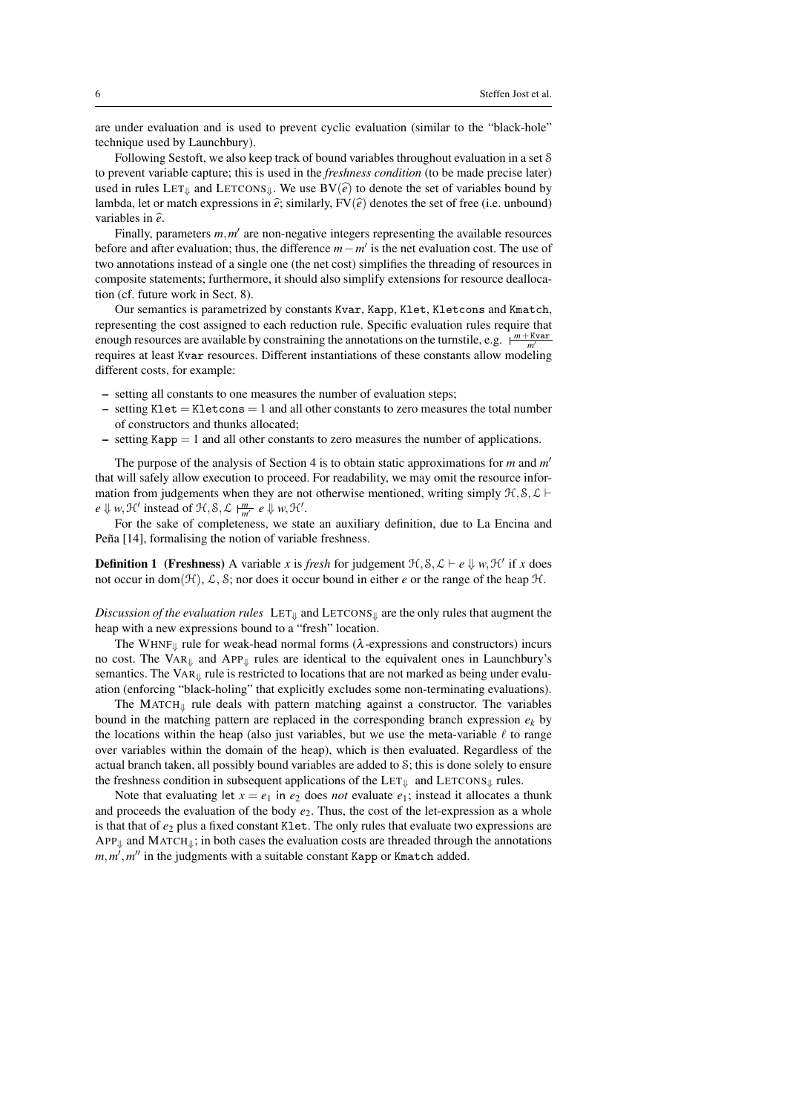are under evaluation and is used to prevent cyclic evaluation (similar to the "black-hole" technique used by Launchbury).

Following Sestoft, we also keep track of bound variables throughout evaluation in a set S to prevent variable capture; this is used in the *freshness condition* (to be made precise later) used in rules  $LET_{\parallel}$  and  $LETCONS_{\parallel}$ . We use  $BV(\hat{e})$  to denote the set of variables bound by lambda, let or match expressions in  $\hat{e}$ ; similarly,  $FV(\hat{e})$  denotes the set of free (i.e. unbound) variables in  $\hat{e}$ .

Finally, parameters  $m, m'$  are non-negative integers representing the available resources before and after evaluation; thus, the difference *m*−*m*<sup>'</sup> is the net evaluation cost. The use of two annotations instead of a single one (the net cost) simplifies the threading of resources in composite statements; furthermore, it should also simplify extensions for resource deallocation (cf. future work in Sect. 8).

Our semantics is parametrized by constants Kvar, Kapp, Klet, Kletcons and Kmatch, representing the cost assigned to each reduction rule. Specific evaluation rules require that enough resources are available by constraining the annotations on the turnstile, e.g.  $\frac{m + Kvar}{m'}$ requires at least Kvar resources. Different instantiations of these constants allow modeling different costs, for example:

- setting all constants to one measures the number of evaluation steps;
- $-$  setting Klet  $=$  Kletcons  $=$  1 and all other constants to zero measures the total number of constructors and thunks allocated;
- $-$  setting Kapp  $= 1$  and all other constants to zero measures the number of applications.

The purpose of the analysis of Section 4 is to obtain static approximations for *m* and *m* 0 that will safely allow execution to proceed. For readability, we may omit the resource information from judgements when they are not otherwise mentioned, writing simply  $H, S, L \vdash$  $e \Downarrow w$ ,  $\mathcal{H}'$  instead of  $\mathcal{H}, \mathcal{S}, \mathcal{L} \models^m_{m'} e \Downarrow w$ ,  $\mathcal{H}'$ .

For the sake of completeness, we state an auxiliary definition, due to La Encina and Peña [14], formalising the notion of variable freshness.

**Definition 1** (Freshness) A variable *x* is *fresh* for judgement  $\mathcal{H}, \mathcal{S}, \mathcal{L} \vdash e \Downarrow w, \mathcal{H}'$  if *x* does not occur in dom( $\mathcal{H}$ ),  $\mathcal{L}$ ,  $\mathcal{S}$ ; nor does it occur bound in either *e* or the range of the heap  $\mathcal{H}$ .

*Discussion of the evaluation rules* LET<sub>↓</sub> and LETCONS<sub>↓</sub> are the only rules that augment the heap with a new expressions bound to a "fresh" location.

The WHNF $_{\parallel}$  rule for weak-head normal forms ( $\lambda$ -expressions and constructors) incurs no cost. The VAR⇓ and APP⇓ rules are identical to the equivalent ones in Launchbury's semantics. The  $VAR<sub>µ</sub>$  rule is restricted to locations that are not marked as being under evaluation (enforcing "black-holing" that explicitly excludes some non-terminating evaluations).

The MATCH $_{\parallel}$  rule deals with pattern matching against a constructor. The variables bound in the matching pattern are replaced in the corresponding branch expression  $e_k$  by the locations within the heap (also just variables, but we use the meta-variable  $\ell$  to range over variables within the domain of the heap), which is then evaluated. Regardless of the actual branch taken, all possibly bound variables are added to S; this is done solely to ensure the freshness condition in subsequent applications of the LET $_{\Downarrow}$  and LETCONS $_{\Downarrow}$  rules.

Note that evaluating let  $x = e_1$  in  $e_2$  does *not* evaluate  $e_1$ ; instead it allocates a thunk and proceeds the evaluation of the body  $e_2$ . Thus, the cost of the let-expression as a whole is that that of  $e_2$  plus a fixed constant Klet. The only rules that evaluate two expressions are  $APP_{\Downarrow}$  and  $MATEH_{\Downarrow}$ ; in both cases the evaluation costs are threaded through the annotations  $m$ , $m'$ , $m''$  in the judgments with a suitable constant Kapp or Kmatch added.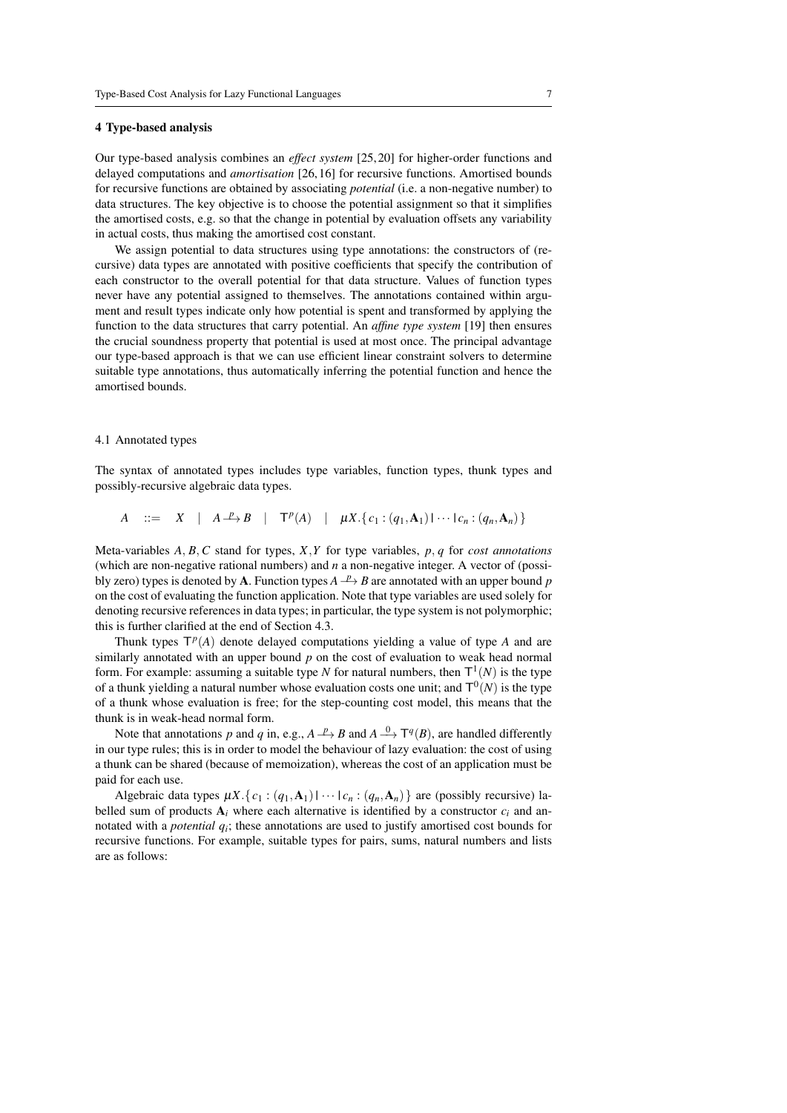#### 4 Type-based analysis

Our type-based analysis combines an *effect system* [25, 20] for higher-order functions and delayed computations and *amortisation* [26, 16] for recursive functions. Amortised bounds for recursive functions are obtained by associating *potential* (i.e. a non-negative number) to data structures. The key objective is to choose the potential assignment so that it simplifies the amortised costs, e.g. so that the change in potential by evaluation offsets any variability in actual costs, thus making the amortised cost constant.

We assign potential to data structures using type annotations: the constructors of (recursive) data types are annotated with positive coefficients that specify the contribution of each constructor to the overall potential for that data structure. Values of function types never have any potential assigned to themselves. The annotations contained within argument and result types indicate only how potential is spent and transformed by applying the function to the data structures that carry potential. An *affine type system* [19] then ensures the crucial soundness property that potential is used at most once. The principal advantage our type-based approach is that we can use efficient linear constraint solvers to determine suitable type annotations, thus automatically inferring the potential function and hence the amortised bounds.

#### 4.1 Annotated types

The syntax of annotated types includes type variables, function types, thunk types and possibly-recursive algebraic data types.

*A* ::= *X* | *A* $\stackrel{p}{\rightarrow}$ *B* | **T**<sup>*p*</sup>(*A*) |  $\mu X.\{c_1 : (q_1, A_1) | \cdots | c_n : (q_n, A_n)\}$ 

Meta-variables *A*, *B*, *C* stand for types, *X*,*Y* for type variables, *p*, *q* for *cost annotations* (which are non-negative rational numbers) and *n* a non-negative integer. A vector of (possibly zero) types is denoted by **A**. Function types  $A \xrightarrow{p} B$  are annotated with an upper bound *p* on the cost of evaluating the function application. Note that type variables are used solely for denoting recursive references in data types; in particular, the type system is not polymorphic; this is further clarified at the end of Section 4.3.

Thunk types  $T^p(A)$  denote delayed computations yielding a value of type  $A$  and are similarly annotated with an upper bound *p* on the cost of evaluation to weak head normal form. For example: assuming a suitable type N for natural numbers, then  $T^1(N)$  is the type of a thunk yielding a natural number whose evaluation costs one unit; and  $T^0(N)$  is the type of a thunk whose evaluation is free; for the step-counting cost model, this means that the thunk is in weak-head normal form.

Note that annotations *p* and *q* in, e.g.,  $A \xrightarrow{p} B$  and  $A \xrightarrow{0} T^q(B)$ , are handled differently in our type rules; this is in order to model the behaviour of lazy evaluation: the cost of using a thunk can be shared (because of memoization), whereas the cost of an application must be paid for each use.

Algebraic data types  $\mu X$ . { $c_1$  :  $(q_1, \mathbf{A}_1)$  |  $\cdots$  | $c_n$  :  $(q_n, \mathbf{A}_n)$  } are (possibly recursive) labelled sum of products  $A_i$  where each alternative is identified by a constructor  $c_i$  and annotated with a *potential*  $q_i$ ; these annotations are used to justify amortised cost bounds for recursive functions. For example, suitable types for pairs, sums, natural numbers and lists are as follows: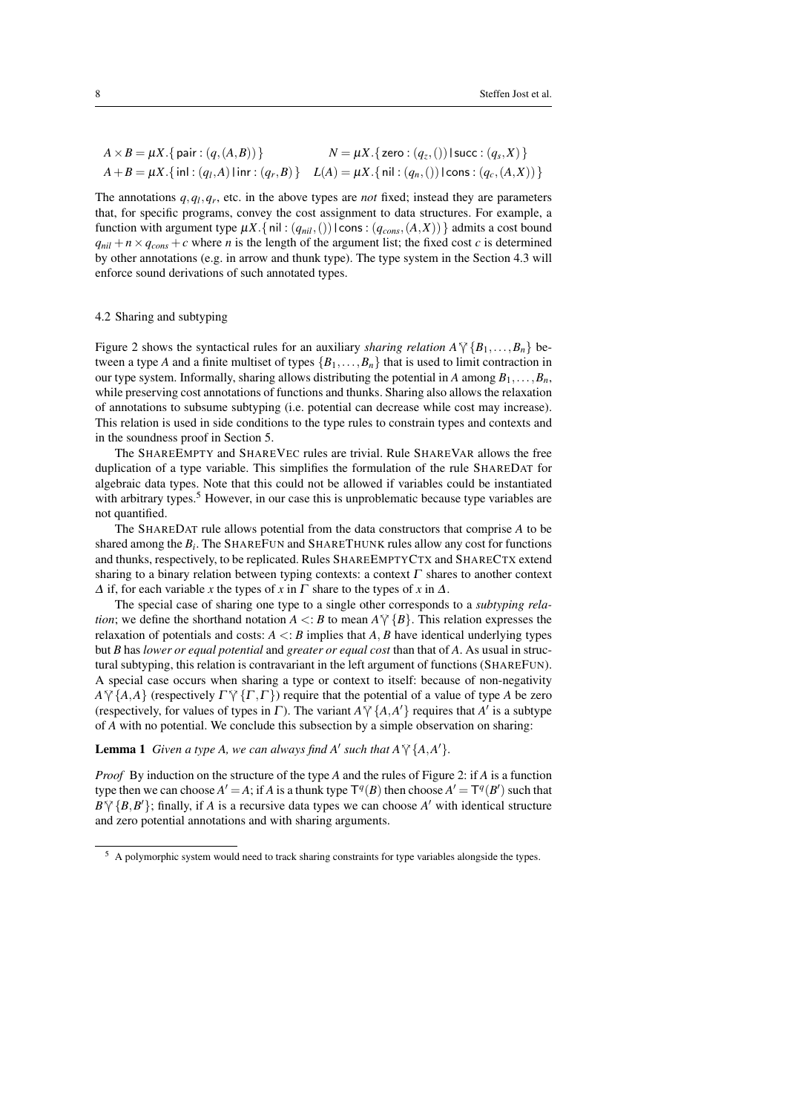$$
A \times B = \mu X. \{ \text{pair} : (q, (A, B)) \}
$$
  
\n
$$
A + B = \mu X. \{ \text{pair} : (q, (A, B)) \}
$$
  
\n
$$
N = \mu X. \{ \text{zero} : (q_z, () ) \} \text{succ} : (q_s, X) \}
$$
  
\n
$$
L(A) = \mu X. \{ \text{nil} : (q_n, () ) \} \text{cons} : (q_c, (A, X)) \}
$$

The annotations  $q, q_l, q_r$ , etc. in the above types are *not* fixed; instead they are parameters that, for specific programs, convey the cost assignment to data structures. For example, a function with argument type  $\mu X$ . { nil :  $(q_{nil},())$  | cons :  $(q_{cons}, (A, X))$  } admits a cost bound  $q_{nil} + n \times q_{cons} + c$  where *n* is the length of the argument list; the fixed cost *c* is determined by other annotations (e.g. in arrow and thunk type). The type system in the Section 4.3 will enforce sound derivations of such annotated types.

## 4.2 Sharing and subtyping

Figure 2 shows the syntactical rules for an auxiliary *sharing relation*  $A \vee \{B_1, \ldots, B_n\}$  between a type *A* and a finite multiset of types  $\{B_1, \ldots, B_n\}$  that is used to limit contraction in our type system. Informally, sharing allows distributing the potential in *A* among  $B_1, \ldots, B_n$ , while preserving cost annotations of functions and thunks. Sharing also allows the relaxation of annotations to subsume subtyping (i.e. potential can decrease while cost may increase). This relation is used in side conditions to the type rules to constrain types and contexts and in the soundness proof in Section 5.

The SHAREEMPTY and SHAREVEC rules are trivial. Rule SHAREVAR allows the free duplication of a type variable. This simplifies the formulation of the rule SHAREDAT for algebraic data types. Note that this could not be allowed if variables could be instantiated with arbitrary types.<sup>5</sup> However, in our case this is unproblematic because type variables are not quantified.

The SHAREDAT rule allows potential from the data constructors that comprise *A* to be shared among the  $B_i$ . The SHAREFUN and SHARETHUNK rules allow any cost for functions and thunks, respectively, to be replicated. Rules SHAREEMPTYCTX and SHARECTX extend sharing to a binary relation between typing contexts: a context  $\Gamma$  shares to another context  $\Delta$  if, for each variable *x* the types of *x* in  $\Gamma$  share to the types of *x* in  $\Delta$ .

The special case of sharing one type to a single other corresponds to a *subtyping relation*; we define the shorthand notation  $A \leq B$  to mean  $A \vee \{B\}$ . This relation expresses the relaxation of potentials and costs:  $A \leq B$  implies that  $A, B$  have identical underlying types but *B* has *lower or equal potential* and *greater or equal cost* than that of *A*. As usual in structural subtyping, this relation is contravariant in the left argument of functions (SHAREFUN). A special case occurs when sharing a type or context to itself: because of non-negativity  $A \tilde{\gamma} \{A, A\}$  (respectively  $\Gamma \tilde{\gamma} \{ \Gamma, \Gamma \}$ ) require that the potential of a value of type *A* be zero (respectively, for values of types in  $\Gamma$ ). The variant  $A \nmid \{A, A'\}$  requires that  $A'$  is a subtype of *A* with no notatial. We conclude this subcostion by a simple observation on shorting of *A* with no potential. We conclude this subsection by a simple observation on sharing:

**Lemma 1** Given a type A, we can always find A' such that  $A \gamma \{A, A'\}$ .

*Proof* By induction on the structure of the type *A* and the rules of Figure 2: if *A* is a function type then we can choose  $A' = A$ ; if *A* is a thunk type  $T^q(B)$  then choose  $A' = T^q(B')$  such that  $B\sqrt{\{B,B'\}}$ ; finally, if *A* is a recursive data types we can choose *A'* with identical structure and zero potential annotations and with sharing arguments.

<sup>5</sup> A polymorphic system would need to track sharing constraints for type variables alongside the types.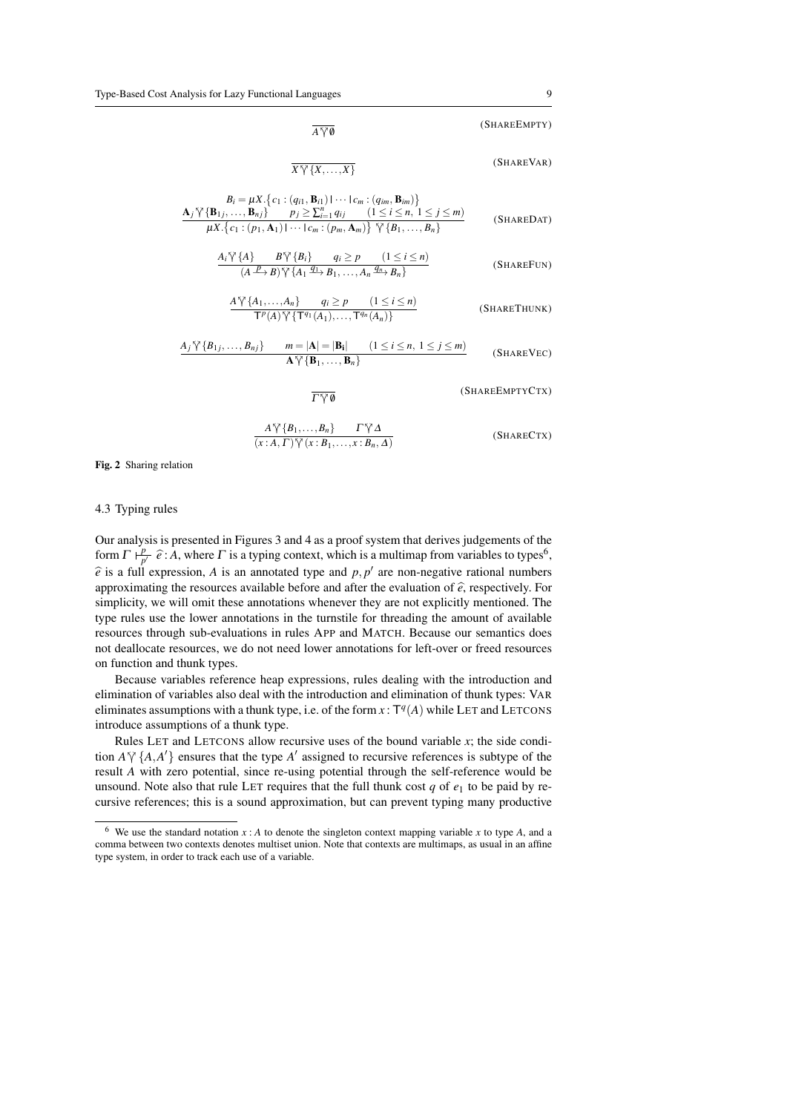$$
\overline{A\,\tilde{\gamma}\,0}
$$
 (SHAREEMPTY)

$$
\overline{X\sqrt[N]{\{X,\ldots,X\}}}
$$
 (SHAREVAR)

$$
B_i = \mu X. \{c_1 : (q_{i1}, \mathbf{B}_{i1}) \mid \cdots \mid c_m : (q_{im}, \mathbf{B}_{im})\}
$$
  
\n
$$
\frac{\mathbf{A}_j \, \mathbf{\hat{Y}} \{ \mathbf{B}_{1j}, \ldots, \mathbf{B}_{nj} \} \quad p_j \geq \sum_{i=1}^n q_{ij} \quad (1 \leq i \leq n, 1 \leq j \leq m)}{\mu X. \{c_1 : (p_1, \mathbf{A}_1) \mid \cdots \mid c_m : (p_m, \mathbf{A}_m)\} \, \mathbf{\hat{Y}} \{ B_1, \ldots, B_n\}}
$$
(SHAREDAT)

$$
\frac{A_i \sqrt[n]{\{A\}} \qquad B \sqrt[n]{\{B_i\}} \qquad q_i \ge p \qquad (1 \le i \le n)}{(A \xrightarrow{P} B) \sqrt[n]{\{A_1 \xrightarrow{q_1} B_1, \dots, A_n \xrightarrow{q_n} B_n\}}}
$$
\n(SHAREFUN)

$$
\frac{A\sqrt[n]{\{A_1,\ldots,A_n\}}\qquad q_i \ge p \qquad (1 \le i \le n)}{\mathsf{T}^p(A)\sqrt[n]{\{\mathsf{T}^{q_1}(A_1),\ldots,\mathsf{T}^{q_n}(A_n)\}}}
$$
\n(SHARETHUNK)

$$
\frac{A_j \sqrt[N]{\{B_{1j},\ldots,B_{nj}\}}}{\mathbf{A}\sqrt[N]{\{B_1,\ldots,B_n\}}}\n\qquad n = |\mathbf{A}| = |\mathbf{B_i}| \n(1 \le i \le n, 1 \le j \le m)
$$
\n(SHAREVEC)

(SHAREEMPTYCTX)

$$
\frac{A\widetilde{\gamma}\left\{B_{1},\ldots,B_{n}\right\}}{(x:A,\Gamma)\widetilde{\gamma}(x:B_{1},\ldots,x:B_{n},\Delta)} \qquad (SHARECTX)
$$

Fig. 2 Sharing relation

## 4.3 Typing rules

Our analysis is presented in Figures 3 and 4 as a proof system that derives judgements of the form  $\Gamma \vdash^p_p$  $\frac{p}{p'}$   $\hat{e}$ : *A*, where *Γ* is a typing context, which is a multimap from variables to types<sup>6</sup>,  $\hat{e}$  is a full expression, *A* is an annotated type and *p*, *p*<sup> $\prime$ </sup> are non-negative rational numbers approximating the resources available before and after the evaluation of  $\hat{e}$ , respectively. For simplicity, we will omit these annotations whenever they are not explicitly mentioned. The type rules use the lower annotations in the turnstile for threading the amount of available resources through sub-evaluations in rules APP and MATCH. Because our semantics does not deallocate resources, we do not need lower annotations for left-over or freed resources on function and thunk types.

 $\overline{\Gamma \vee \emptyset}$ 

Because variables reference heap expressions, rules dealing with the introduction and elimination of variables also deal with the introduction and elimination of thunk types: VAR eliminates assumptions with a thunk type, i.e. of the form  $x : T<sup>q</sup>(A)$  while LET and LETCONS introduce assumptions of a thunk type.

Rules LET and LETCONS allow recursive uses of the bound variable *x*; the side condition  $A \gamma \{A, A'\}$  ensures that the type  $A'$  assigned to recursive references is subtype of the result A with zero potential, since  $\Gamma$  optimal potential through the self-reference would be result *A* with zero potential, since re-using potential through the self-reference would be unsound. Note also that rule LET requires that the full thunk cost  $q$  of  $e_1$  to be paid by recursive references; this is a sound approximation, but can prevent typing many productive

<sup>&</sup>lt;sup>6</sup> We use the standard notation  $x : A$  to denote the singleton context mapping variable  $x$  to type  $A$ , and a comma between two contexts denotes multiset union. Note that contexts are multimaps, as usual in an affine type system, in order to track each use of a variable.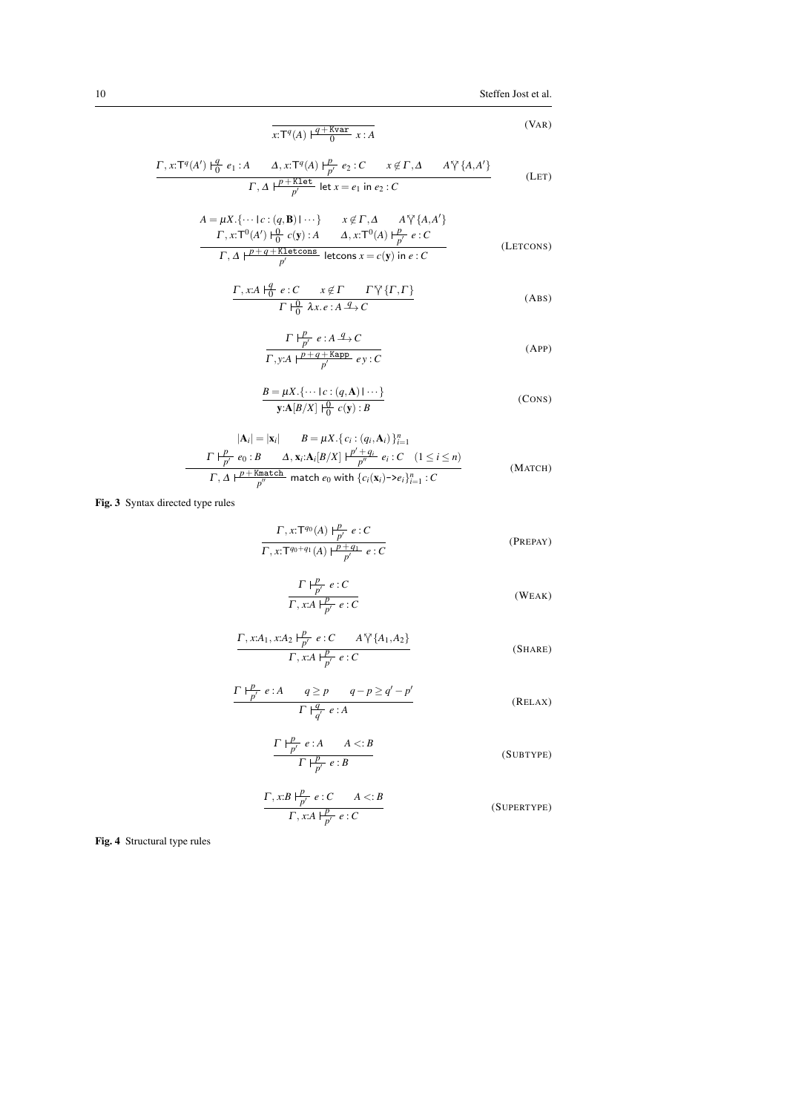10 Steffen Jost et al.

$$
\overline{x: T^q(A) \mid ^{\underline{q} + \text{Kvar}} 0} \quad x:A
$$
 (VAR)

$$
\frac{\Gamma, x: \mathsf{T}^q(A') \mid \frac{q}{0} e_1: A \qquad A, x: \mathsf{T}^q(A) \mid \frac{p}{p'} e_2: C \qquad x \notin \Gamma, \Delta \qquad A \,\forall \{A, A'\} \\\hline \qquad \qquad \Gamma, \, A \mid \frac{p + \text{Klet}}{p'} \text{ let } x = e_1 \text{ in } e_2: C \tag{LET}
$$

$$
A = \mu X. \{\cdots \mid c : (q, \mathbf{B}) \mid \cdots\} \qquad x \notin \Gamma, \Delta \qquad A \tilde{\gamma} \{A, A'\}
$$
  
\n
$$
\frac{\Gamma, x: \Gamma^0(A') \mid^{\Omega}_{\Omega} c(\mathbf{y}): A \qquad \Delta, x: \Gamma^0(A) \mid^{\underline{P}}_{\underline{P'}} e : C}{\Gamma, \Delta \mid^{\underline{P}+q+\text{Kletcons}} \text{ letcons } x = c(\mathbf{y}) \text{ in } e : C}
$$
 (Lefcons)

$$
\frac{\Gamma, x:A \mid_{0}^{q} e:C \quad x \notin \Gamma \quad \Gamma \sqrt{\{\Gamma, \Gamma\}}}{\Gamma \mid_{0}^{0} \lambda x.e:A \xrightarrow{q} C}
$$
 (ABS)

$$
\frac{\Gamma \mid \frac{p}{p'} e : A \xrightarrow{q} C}{\Gamma, y:A \mid \frac{p+q+\text{Kapp}}{p'} e y : C}
$$
\n(APP)

$$
\frac{B = \mu X \cdot \{ \cdots \mid c : (q, \mathbf{A}) \mid \cdots \}}{\mathbf{y} \cdot \mathbf{A}[B/X] \mid \frac{\mathbf{0}}{\mathbf{0}} \quad c(\mathbf{y}) : B} \tag{Cons}
$$

$$
|\mathbf{A}_{i}| = |\mathbf{x}_{i}| \qquad B = \mu X. \{ c_{i} : (q_{i}, \mathbf{A}_{i}) \}_{i=1}^{n}
$$
  

$$
\frac{\Gamma \vdash_{p'}^{p} e_{0} : B \qquad \Delta, \mathbf{x}_{i}: A_{i}[B/X] \vdash_{p'}^{p'+q_{i}} e_{i} : C \quad (1 \leq i \leq n)}{\Gamma, \Delta \vdash_{p'}^{p'+\text{Match}}} \quad \text{match } e_{0} \text{ with } \{ c_{i}(\mathbf{x}_{i}) \negthinspace > \negthinspace e_{i} \}_{i=1}^{n} : C \tag{MATEH}
$$

Fig. 3 Syntax directed type rules

 $\frac{1}{2}$ 

$$
\frac{\Gamma, x: T^{q_0}(A) \Vdash^p_{p'} e:C}{\Gamma, x: T^{q_0+q_1}(A) \Vdash^p_{p'} e:C}
$$
 (PREPAY)

$$
\frac{\Gamma \vdash_{p'}^{p} e:C}{\Gamma, x:A \vdash_{p'}^{p} e:C}
$$
 (WEAK)

$$
\frac{\Gamma, x:A_1, x:A_2 \vdash^p_{p'} e:C \qquad A \bigvee \{A_1, A_2\}}{\Gamma, x:A \vdash^p_{p'} e:C} \tag{SHARE}
$$

$$
\frac{\Gamma \vdash_{p'}^{p} e:A \qquad q \ge p \qquad q-p \ge q'-p'}{\Gamma \vdash_{q'}^{q} e:A} \qquad (\text{RELAX})
$$

$$
\frac{\Gamma \mid \frac{p}{p'} e : A \qquad A < : B}{\Gamma \mid \frac{p}{p'} e : B} \tag{SUBType}
$$

$$
\frac{\Gamma, x:B \mid_{p'}^{p} e:C \qquad A \lt: B}{\Gamma, x:A \mid_{p'}^{p} e:C}
$$
 (SuperType)

Fig. 4 Structural type rules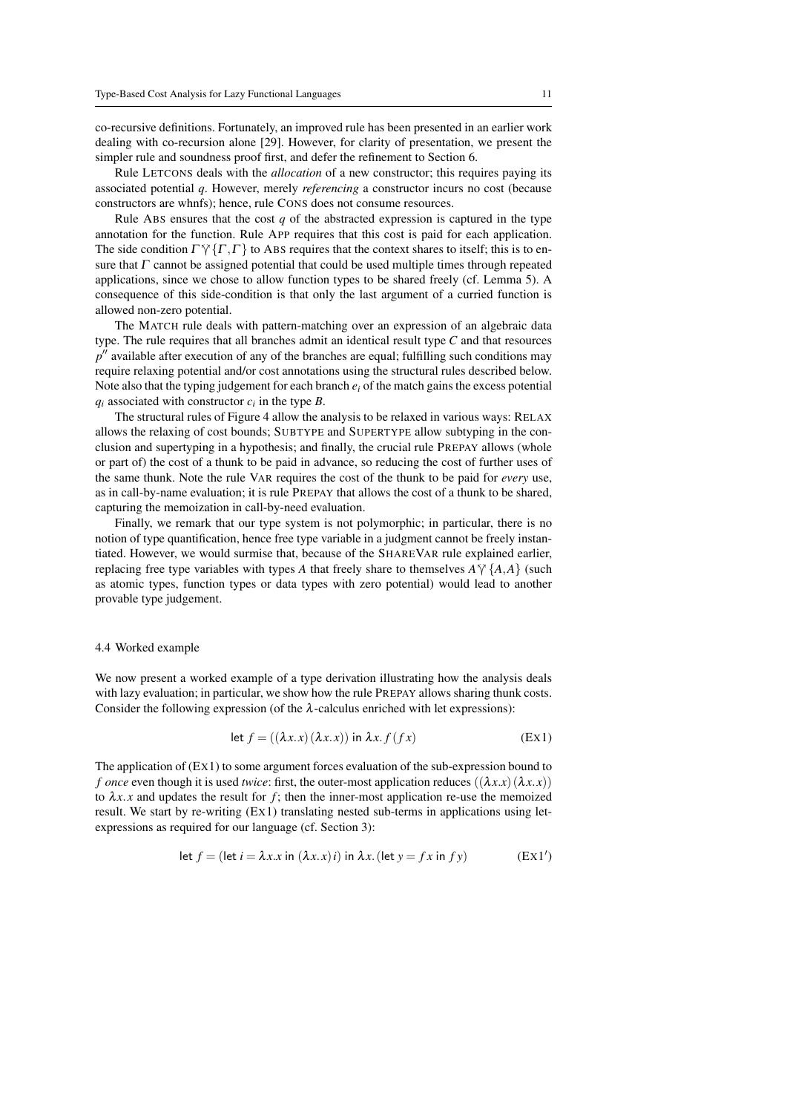co-recursive definitions. Fortunately, an improved rule has been presented in an earlier work dealing with co-recursion alone [29]. However, for clarity of presentation, we present the simpler rule and soundness proof first, and defer the refinement to Section 6.

Rule LETCONS deals with the *allocation* of a new constructor; this requires paying its associated potential *q*. However, merely *referencing* a constructor incurs no cost (because constructors are whnfs); hence, rule CONS does not consume resources.

Rule ABS ensures that the cost *q* of the abstracted expression is captured in the type annotation for the function. Rule APP requires that this cost is paid for each application. The side condition  $\Gamma \gamma \{ \Gamma, \Gamma \}$  to ABS requires that the context shares to itself; this is to ensure that  $\Gamma$  cannot be assigned potential that could be used multiple times through repeated applications, since we chose to allow function types to be shared freely (cf. Lemma 5). A consequence of this side-condition is that only the last argument of a curried function is allowed non-zero potential.

The MATCH rule deals with pattern-matching over an expression of an algebraic data type. The rule requires that all branches admit an identical result type *C* and that resources p<sup>"</sup> available after execution of any of the branches are equal; fulfilling such conditions may require relaxing potential and/or cost annotations using the structural rules described below. Note also that the typing judgement for each branch  $e_i$  of the match gains the excess potential  $q_i$  associated with constructor  $c_i$  in the type *B*.

The structural rules of Figure 4 allow the analysis to be relaxed in various ways: RELAX allows the relaxing of cost bounds; SUBTYPE and SUPERTYPE allow subtyping in the conclusion and supertyping in a hypothesis; and finally, the crucial rule PREPAY allows (whole or part of) the cost of a thunk to be paid in advance, so reducing the cost of further uses of the same thunk. Note the rule VAR requires the cost of the thunk to be paid for *every* use, as in call-by-name evaluation; it is rule PREPAY that allows the cost of a thunk to be shared, capturing the memoization in call-by-need evaluation.

Finally, we remark that our type system is not polymorphic; in particular, there is no notion of type quantification, hence free type variable in a judgment cannot be freely instantiated. However, we would surmise that, because of the SHAREVAR rule explained earlier, replacing free type variables with types *A* that freely share to themselves  $A \gamma \{A, A\}$  (such as atomic types, function types or data types with zero potential) would lead to another provable type judgement.

#### 4.4 Worked example

We now present a worked example of a type derivation illustrating how the analysis deals with lazy evaluation; in particular, we show how the rule PREPAY allows sharing thunk costs. Consider the following expression (of the  $\lambda$ -calculus enriched with let expressions):

$$
\text{let } f = ((\lambda x. x) (\lambda x. x)) \text{ in } \lambda x. f (f x) \tag{Ex1}
$$

The application of (EX1) to some argument forces evaluation of the sub-expression bound to *f* once even though it is used *twice*: first, the outer-most application reduces  $((\lambda x.x)(\lambda x.x))$ to  $\lambda x.x$  and updates the result for  $f$ ; then the inner-most application re-use the memoized result. We start by re-writing (EX1) translating nested sub-terms in applications using letexpressions as required for our language (cf. Section 3):

$$
\text{let } f = (\text{let } i = \lambda x.x \text{ in } (\lambda x.x)i) \text{ in } \lambda x. (\text{let } y = fx \text{ in } fy) \tag{Ex1'}
$$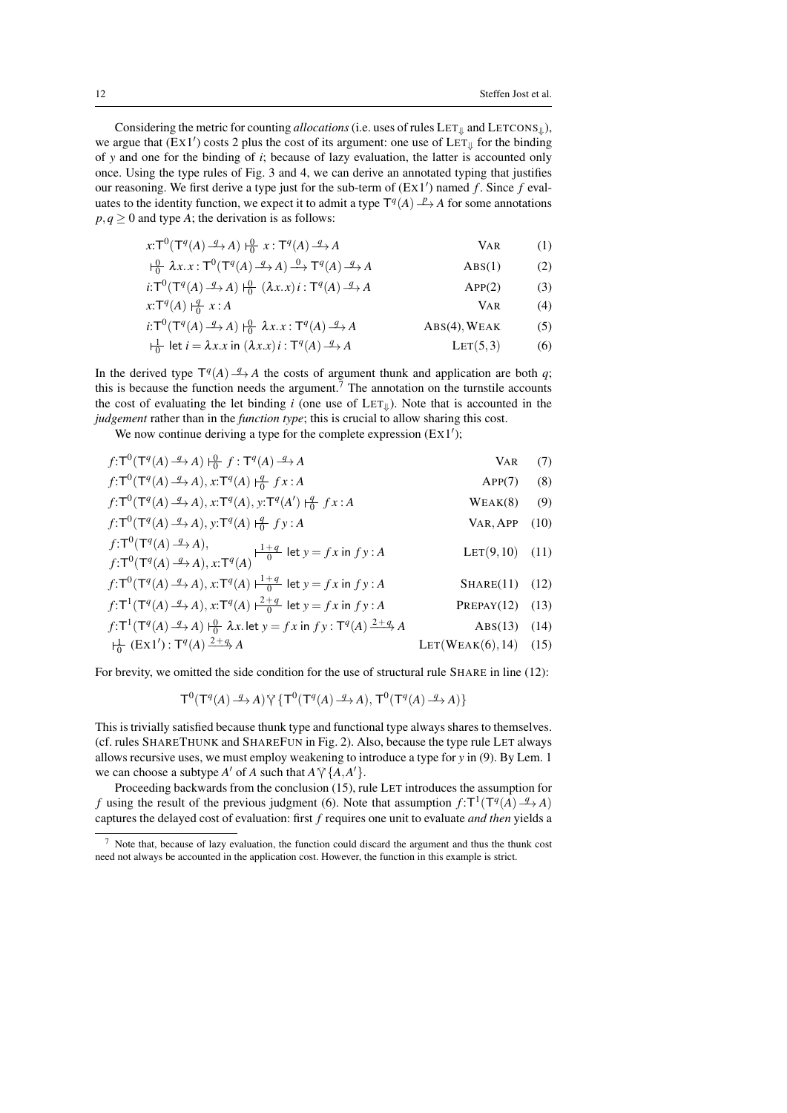Considering the metric for counting *allocations* (i.e. uses of rules  $LET_{\parallel}$  and  $LETCONS_{\parallel}$ ), we argue that  $(Ex1')$  costs 2 plus the cost of its argument: one use of  $LET_{\parallel}$  for the binding of *y* and one for the binding of *i*; because of lazy evaluation, the latter is accounted only once. Using the type rules of Fig. 3 and 4, we can derive an annotated typing that justifies our reasoning. We first derive a type just for the sub-term of (EX1') named f. Since f evaluates to the identity function, we expect it to admit a type  $T^q(A) \rightarrow A$  for some annotations  $p, q \geq 0$  and type *A*; the derivation is as follows:

$$
x: T^{0}(T^{q}(A) \xrightarrow{q} A) \xleftarrow{0} x: T^{q}(A) \xrightarrow{q} A
$$
 VAR (1)

$$
\vdash_{0}^{0} \lambda x. x: \mathsf{T}^{0}(\mathsf{T}^{q}(A) \xrightarrow{q} A) \xrightarrow{0} \mathsf{T}^{q}(A) \xrightarrow{q} A
$$
 *ABS(1)* (2)

$$
i: T^{0}(T^{q}(A) \xrightarrow{q} A) \xrightarrow{0} (\lambda x.x) i: T^{q}(A) \xrightarrow{q} A
$$
APP(2) (3)

$$
x: \mathsf{T}^q(A) \xrightarrow{q} x:A \qquad \qquad \text{VAR} \qquad (4)
$$

$$
i: \mathsf{T}^0(\mathsf{T}^q(A) \xrightarrow{q} A) \xrightarrow[0]{\mathsf{0}} \lambda x. x : \mathsf{T}^q(A) \xrightarrow{q} A
$$
 **ABS(4), WEAK** (5)

1 0 let *i* = λ*x*.*x* in (λ*x*.*x*)*i* : T *q* (*A*)−→*<sup>q</sup> A* LET(5,3) (6)

In the derived type  $T^q(A) \stackrel{q}{\longrightarrow} A$  the costs of argument thunk and application are both *q*; this is because the function needs the argument.<sup>7</sup> The annotation on the turnstile accounts the cost of evaluating the let binding  $i$  (one use of  $LET_{\parallel}$ ). Note that is accounted in the *judgement* rather than in the *function type*; this is crucial to allow sharing this cost.

We now continue deriving a type for the complete expression  $(Ex1')$ ;

| $f:\mathsf{T}^0(\mathsf{T}^q(A) \xrightarrow{q} A) \underset{\mathsf{0}}{\mathsf{L}^0} f:\mathsf{T}^q(A) \xrightarrow{q} A$                                                                        | <b>VAR</b>           | (7) |
|----------------------------------------------------------------------------------------------------------------------------------------------------------------------------------------------------|----------------------|-----|
| $f:\mathsf{T}^0(\mathsf{T}^q(A) \xrightarrow{q} A), x:\mathsf{T}^q(A) \xrightarrow{q} fx:A$                                                                                                        | APP(7)               | (8) |
| $f:\mathsf{T}^0(\mathsf{T}^q(A) \xrightarrow{q} A), x:\mathsf{T}^q(A), y:\mathsf{T}^q(A') \mapsto f x:A$                                                                                           | WEAK(8)              | (9) |
| $f:\mathsf{T}^0(\mathsf{T}^q(A) \xrightarrow{q} A), y:\mathsf{T}^q(A) \xrightarrow{q} f y : A$                                                                                                     | VAR, APP (10)        |     |
| $f:\mathsf{T}^0(\mathsf{T}^q(A) \xrightarrow{q} A),$<br>$f:\mathsf{T}^0(\mathsf{T}^q(A) \xrightarrow{q} A), x:\mathsf{T}^q(A) \xrightarrow{\mathsf{I}+q} \mathsf{let}\ y = fx\ \mathsf{in}\ fy: A$ | $LET(9,10)$ (11)     |     |
| $f:\mathsf{T}^0(\mathsf{T}^q(A) \xrightarrow{q} A), x:\mathsf{T}^q(A) \xrightarrow[\;0]{} \mathsf{let} y = fx \text{ in } fy : A$                                                                  | $SHARE(11)$ (12)     |     |
| $f:\mathsf{T}^1(\mathsf{T}^q(A) \xrightarrow{q} A), x:\mathsf{T}^q(A) \xrightarrow{2+q} \mathsf{let} y = fx \text{ in } fy:A$                                                                      | PREPAY $(12)$ $(13)$ |     |
| $f:\mathsf{T}^1(\mathsf{T}^q(A) \xrightarrow{q} A) \mapsto^0 \lambda x$ . let $y = fx$ in $fy : \mathsf{T}^q(A) \xrightarrow{2+q} A$                                                               | $ABS(13)$ (14)       |     |

$$
\frac{1}{0} \left( \operatorname{Ex} 1' \right) : \mathsf{T}^q(A) \xrightarrow{2+q} A \qquad \qquad \text{LET}(W \operatorname{EAK}(6), 14) \quad (15)
$$

For brevity, we omitted the side condition for the use of structural rule SHARE in line (12):

$$
T^0(T^q(A) \xrightarrow{q} A) \,\forall \, \{T^0(T^q(A) \xrightarrow{q} A), T^0(T^q(A) \xrightarrow{q} A)\}
$$

This is trivially satisfied because thunk type and functional type always shares to themselves. (cf. rules SHARETHUNK and SHAREFUN in Fig. 2). Also, because the type rule LET always allows recursive uses, we must employ weakening to introduce a type for *y* in (9). By Lem. 1 we can choose a subtype *A'* of *A* such that  $A^{\gamma} \{A, A'\}$ .<br>Proceeding healty and from the conclusion (15).

Proceeding backwards from the conclusion (15), rule LET introduces the assumption for *f* using the result of the previous judgment (6). Note that assumption  $f: T^1(T^q(A) \xrightarrow{q} A)$ captures the delayed cost of evaluation: first *f* requires one unit to evaluate *and then* yields a

<sup>7</sup> Note that, because of lazy evaluation, the function could discard the argument and thus the thunk cost need not always be accounted in the application cost. However, the function in this example is strict.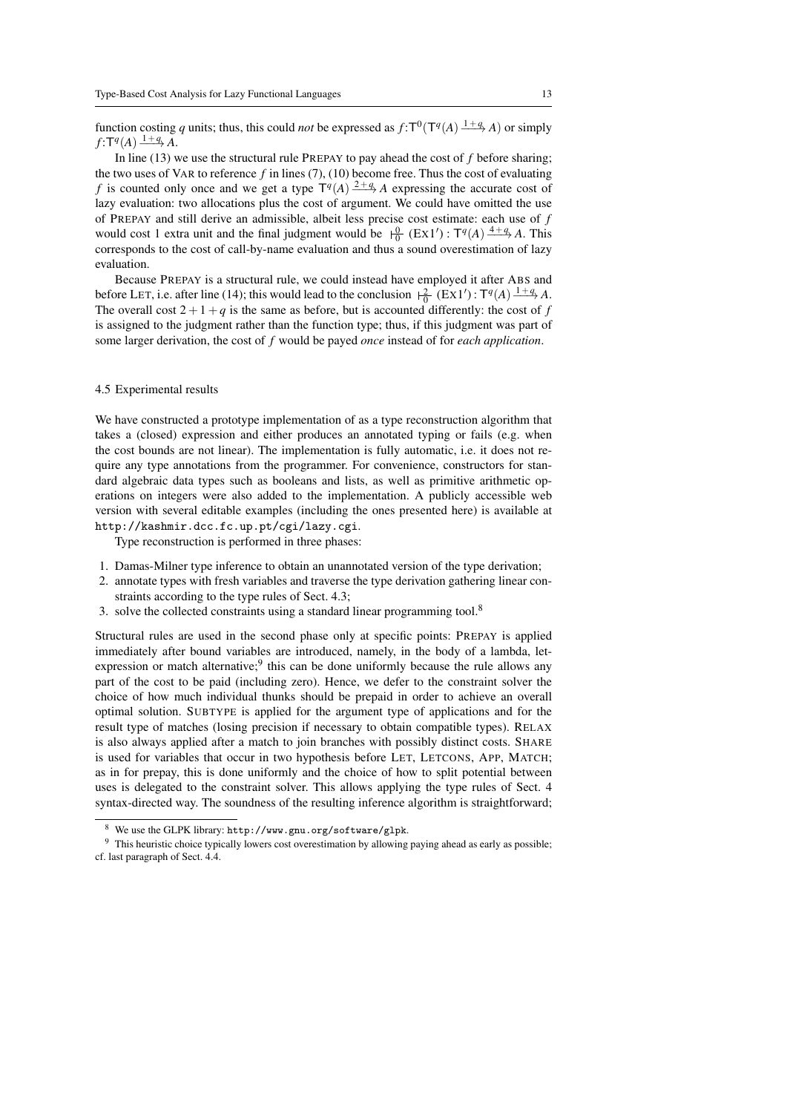function costing *q* units; thus, this could *not* be expressed as  $f: T^0(T^q(A) \xrightarrow{1+q} A)$  or simply  $f: T^q(A) \xrightarrow{1+q} A$ .

In line (13) we use the structural rule PREPAY to pay ahead the cost of *f* before sharing; the two uses of VAR to reference  $f$  in lines  $(7)$ ,  $(10)$  become free. Thus the cost of evaluating *f* is counted only once and we get a type  $T^q(A) \stackrel{2+q}{\longrightarrow} A$  expressing the accurate cost of lazy evaluation: two allocations plus the cost of argument. We could have omitted the use of PREPAY and still derive an admissible, albeit less precise cost estimate: each use of *f* would cost 1 extra unit and the final judgment would be  $\frac{0}{0}$  (Ex1'): T<sup>q</sup>(A)  $\frac{4+q}{2}$  *A*. This corresponds to the cost of call-by-name evaluation and thus a sound overestimation of lazy evaluation.

Because PREPAY is a structural rule, we could instead have employed it after ABS and before LET, i.e. after line (14); this would lead to the conclusion  $\frac{2}{0}$  (EX1'):  $T^q(A) \frac{1+q}{2}A$ . The overall cost  $2+1+q$  is the same as before, but is accounted differently: the cost of *f* is assigned to the judgment rather than the function type; thus, if this judgment was part of some larger derivation, the cost of *f* would be payed *once* instead of for *each application*.

#### 4.5 Experimental results

We have constructed a prototype implementation of as a type reconstruction algorithm that takes a (closed) expression and either produces an annotated typing or fails (e.g. when the cost bounds are not linear). The implementation is fully automatic, i.e. it does not require any type annotations from the programmer. For convenience, constructors for standard algebraic data types such as booleans and lists, as well as primitive arithmetic operations on integers were also added to the implementation. A publicly accessible web version with several editable examples (including the ones presented here) is available at http://kashmir.dcc.fc.up.pt/cgi/lazy.cgi.

Type reconstruction is performed in three phases:

- 1. Damas-Milner type inference to obtain an unannotated version of the type derivation;
- 2. annotate types with fresh variables and traverse the type derivation gathering linear constraints according to the type rules of Sect. 4.3;
- 3. solve the collected constraints using a standard linear programming tool.<sup>8</sup>

Structural rules are used in the second phase only at specific points: PREPAY is applied immediately after bound variables are introduced, namely, in the body of a lambda, letexpression or match alternative;<sup>9</sup> this can be done uniformly because the rule allows any part of the cost to be paid (including zero). Hence, we defer to the constraint solver the choice of how much individual thunks should be prepaid in order to achieve an overall optimal solution. SUBTYPE is applied for the argument type of applications and for the result type of matches (losing precision if necessary to obtain compatible types). RELAX is also always applied after a match to join branches with possibly distinct costs. SHARE is used for variables that occur in two hypothesis before LET, LETCONS, APP, MATCH; as in for prepay, this is done uniformly and the choice of how to split potential between uses is delegated to the constraint solver. This allows applying the type rules of Sect. 4 syntax-directed way. The soundness of the resulting inference algorithm is straightforward;

<sup>8</sup> We use the GLPK library: http://www.gnu.org/software/glpk.

<sup>&</sup>lt;sup>9</sup> This heuristic choice typically lowers cost overestimation by allowing paying ahead as early as possible; cf. last paragraph of Sect. 4.4.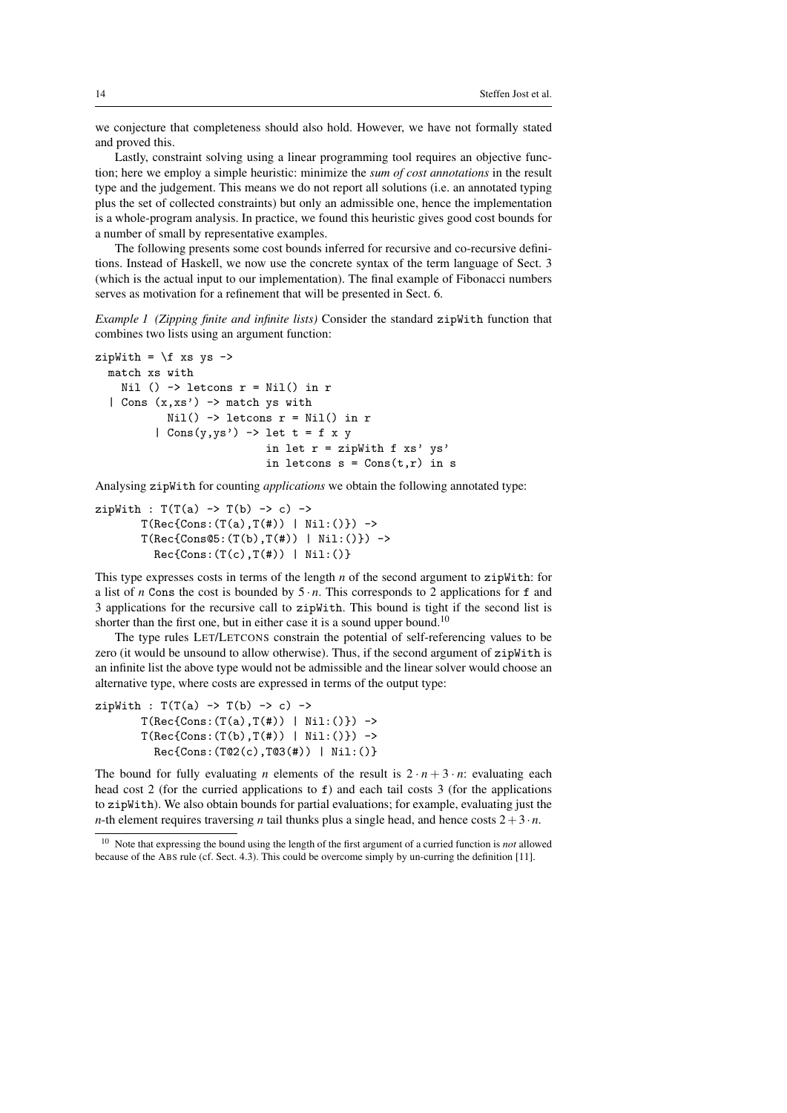we conjecture that completeness should also hold. However, we have not formally stated and proved this.

Lastly, constraint solving using a linear programming tool requires an objective function; here we employ a simple heuristic: minimize the *sum of cost annotations* in the result type and the judgement. This means we do not report all solutions (i.e. an annotated typing plus the set of collected constraints) but only an admissible one, hence the implementation is a whole-program analysis. In practice, we found this heuristic gives good cost bounds for a number of small by representative examples.

The following presents some cost bounds inferred for recursive and co-recursive definitions. Instead of Haskell, we now use the concrete syntax of the term language of Sect. 3 (which is the actual input to our implementation). The final example of Fibonacci numbers serves as motivation for a refinement that will be presented in Sect. 6.

*Example 1 (Zipping finite and infinite lists)* Consider the standard zipWith function that combines two lists using an argument function:

```
zipWith = \f{x} xs ys ->
  match xs with
    Nil () \rightarrow letcons r = Nil() in r
  | Cons (x, xs') \rightarrow match ys withNil() \rightarrow letcons r = Nil() in r| Cons(y,ys') \rightarrow let t = f x yin let r = zipWith f xs' ys'in letcons s = Const(r, r) in s
```
Analysing zipWith for counting *applications* we obtain the following annotated type:

```
zipWith : T(T(a) \rightarrow T(b) \rightarrow c) \rightarrowT(Rec{Cons: (T(a), T(f)) | Nil: ()}) \rightarrowT(Rec{Cons@5:(T(b),T(\#)) | Nil:()} ->
           Rec{Cons:(T(c),T(\#)) | Nil:()}
```
This type expresses costs in terms of the length *n* of the second argument to zipWith: for a list of *n* Cons the cost is bounded by  $5 \cdot n$ . This corresponds to 2 applications for f and 3 applications for the recursive call to zipWith. This bound is tight if the second list is shorter than the first one, but in either case it is a sound upper bound.<sup>10</sup>

The type rules LET/LETCONS constrain the potential of self-referencing values to be zero (it would be unsound to allow otherwise). Thus, if the second argument of zipWith is an infinite list the above type would not be admissible and the linear solver would choose an alternative type, where costs are expressed in terms of the output type:

```
zipWith : T(T(a) \rightarrow T(b) \rightarrow c) ->
        T(Rec{Cons:(T(a),T(\#)) | Nil:()} ->
        T(Rec{Cons: (T(b), T(f)) | Nil: ()}) \rightarrowRec{Cons:(T@2(c),T@3(#)) | Nil:()}
```
The bound for fully evaluating *n* elements of the result is  $2 \cdot n + 3 \cdot n$ : evaluating each head cost 2 (for the curried applications to  $f$ ) and each tail costs 3 (for the applications to zipWith). We also obtain bounds for partial evaluations; for example, evaluating just the *n*-th element requires traversing *n* tail thunks plus a single head, and hence costs  $2+3 \cdot n$ .

<sup>10</sup> Note that expressing the bound using the length of the first argument of a curried function is *not* allowed because of the ABS rule (cf. Sect. 4.3). This could be overcome simply by un-curring the definition [11].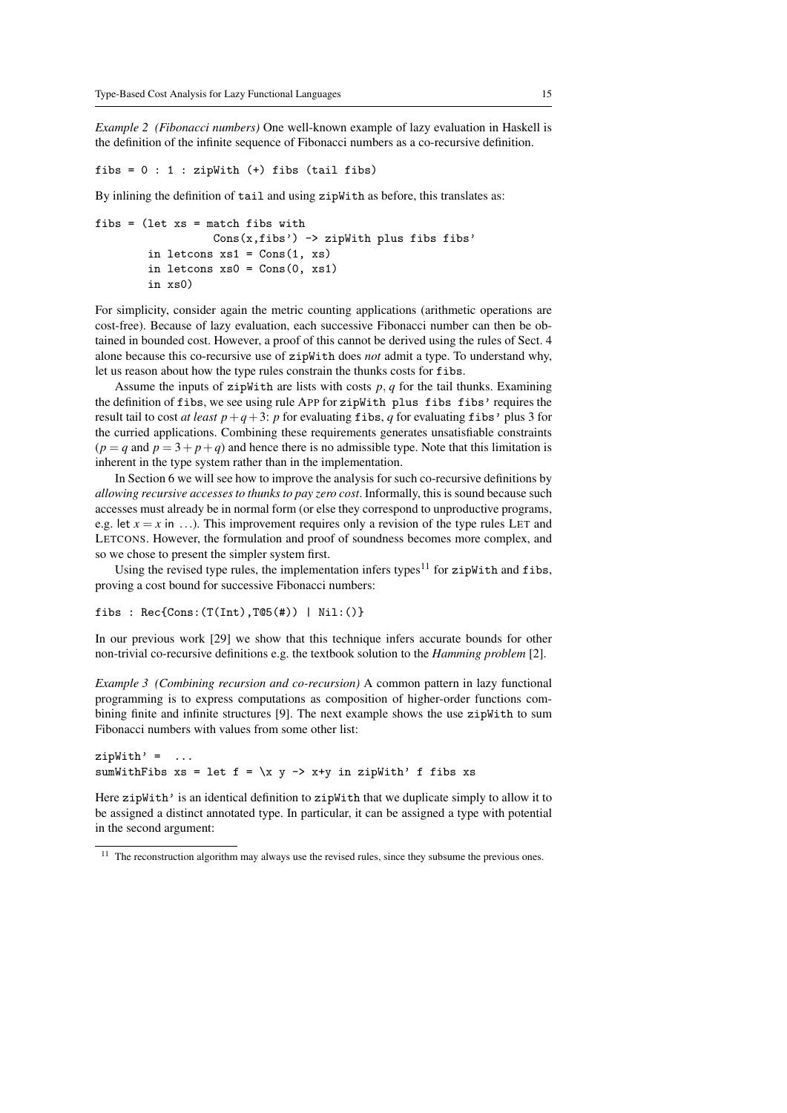*Example 2 (Fibonacci numbers)* One well-known example of lazy evaluation in Haskell is the definition of the infinite sequence of Fibonacci numbers as a co-recursive definition.

fibs =  $0 : 1 : zipWith (+)$  fibs (tail fibs)

By inlining the definition of tail and using zipWith as before, this translates as:

```
fibs = (let xs = match fibs with
                   Cons(x, fibs') \rightarrow zipWith plus fibs fibs'in letcons xs1 = Cons(1, xs)in letcons xs0 = Cons(0, xs1)in xs0)
```
For simplicity, consider again the metric counting applications (arithmetic operations are cost-free). Because of lazy evaluation, each successive Fibonacci number can then be obtained in bounded cost. However, a proof of this cannot be derived using the rules of Sect. 4 alone because this co-recursive use of zipWith does *not* admit a type. To understand why, let us reason about how the type rules constrain the thunks costs for fibs.

Assume the inputs of zipWith are lists with costs  $p, q$  for the tail thunks. Examining the definition of fibs, we see using rule APP for zipWith plus fibs fibs' requires the result tail to cost *at least p*+ $q$ +3: *p* for evaluating fibs, *q* for evaluating fibs' plus 3 for the curried applications. Combining these requirements generates unsatisfiable constraints  $(p = q \text{ and } p = 3 + p + q)$  and hence there is no admissible type. Note that this limitation is inherent in the type system rather than in the implementation.

In Section 6 we will see how to improve the analysis for such co-recursive definitions by *allowing recursive accesses to thunks to pay zero cost*. Informally, this is sound because such accesses must already be in normal form (or else they correspond to unproductive programs, e.g. let  $x = x$  in ...). This improvement requires only a revision of the type rules LET and LETCONS. However, the formulation and proof of soundness becomes more complex, and so we chose to present the simpler system first.

Using the revised type rules, the implementation infers types<sup>11</sup> for zipWith and fibs, proving a cost bound for successive Fibonacci numbers:

fibs : Rec{Cons:(T(Int),T@5(#)) | Nil:()}

In our previous work [29] we show that this technique infers accurate bounds for other non-trivial co-recursive definitions e.g. the textbook solution to the *Hamming problem* [2].

*Example 3 (Combining recursion and co-recursion)* A common pattern in lazy functional programming is to express computations as composition of higher-order functions combining finite and infinite structures [9]. The next example shows the use zipWith to sum Fibonacci numbers with values from some other list:

```
zivWith' =sumWithFibs xs = let f = \x y \rightarrow x+y in zipWith' f fibs xs
```
Here zipWith' is an identical definition to zipWith that we duplicate simply to allow it to be assigned a distinct annotated type. In particular, it can be assigned a type with potential in the second argument:

<sup>&</sup>lt;sup>11</sup> The reconstruction algorithm may always use the revised rules, since they subsume the previous ones.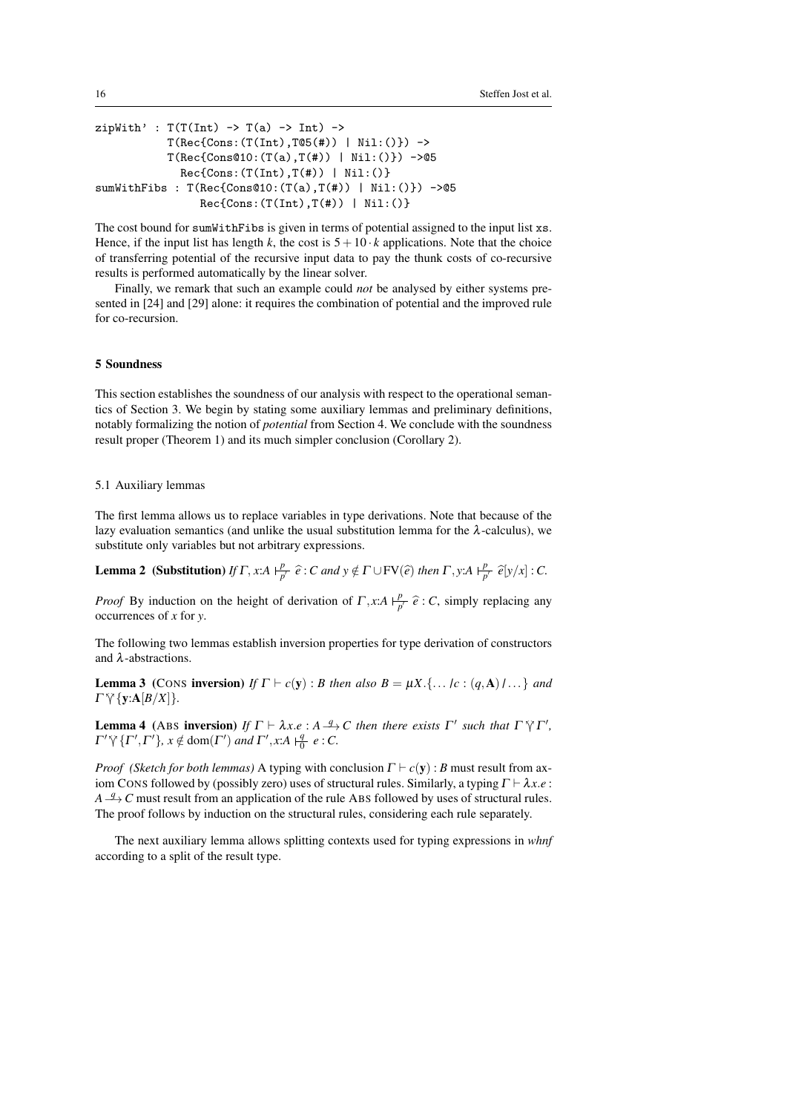```
zipWith' : T(T(Int) \rightarrow T(a) \rightarrow Int) \rightarrowT(Rec{Cons: (T(Int),T@5(*)) | Nil:()) \rightarrowT(Rec{Cons@10:(T(a),T(f)) | Nil:()} ->@5
               Rec{Cons:(T(Int),T(\#)) | Nil:()}sumWithFibs : T(Rec{Cons@10:(T(a),T(#)) | Nil:()}) ->@5
                  Rec{Cons:(T(Int),T(\#)) | Nil:()}
```
The cost bound for sumWithFibs is given in terms of potential assigned to the input list xs. Hence, if the input list has length *k*, the cost is  $5+10 \cdot k$  applications. Note that the choice of transferring potential of the recursive input data to pay the thunk costs of co-recursive results is performed automatically by the linear solver.

Finally, we remark that such an example could *not* be analysed by either systems presented in [24] and [29] alone: it requires the combination of potential and the improved rule for co-recursion.

#### 5 Soundness

This section establishes the soundness of our analysis with respect to the operational semantics of Section 3. We begin by stating some auxiliary lemmas and preliminary definitions, notably formalizing the notion of *potential* from Section 4. We conclude with the soundness result proper (Theorem 1) and its much simpler conclusion (Corollary 2).

## 5.1 Auxiliary lemmas

The first lemma allows us to replace variables in type derivations. Note that because of the lazy evaluation semantics (and unlike the usual substitution lemma for the  $\lambda$ -calculus), we substitute only variables but not arbitrary expressions.

**Lemma 2** (Substitution) *If*  $\Gamma$ , *x*:*A*  $\vdash^p$  $\frac{p}{p'}\hat{e}$ : *C* and  $y \notin \Gamma \cup FV(\hat{e})$  then  $\Gamma$ , *y*:*A*  $\vdash_p^p$  $\frac{p}{p'}\hat{e}[y/x]:C.$ 

*Proof* By induction on the height of derivation of  $\Gamma$ , *x*:*A*  $\varphi$  $\frac{p}{p'}\hat{e}$ : *C*, simply replacing any occurrences of *x* for *y*.

The following two lemmas establish inversion properties for type derivation of constructors and λ-abstractions.

**Lemma 3** (CONS inversion) *If*  $\Gamma \vdash c(y)$ : *B* then also  $B = \mu X$ .{...} $c : (q, A)$ } ...} and  $\Gamma \vee \{y:A[B/X]\}.$ 

**Lemma 4** (ABS **inversion**) *If*  $\Gamma \vdash \lambda x.e : A \xrightarrow{q} C$  *then there exists*  $\Gamma'$  *such that*  $\Gamma \nmid \Gamma'$ ,  $\Gamma' \nmid \Gamma' \rmid \Gamma'$ ,  $\Gamma' \nmid \Gamma' \rmid \Gamma' \rmid \Gamma' \rmid \Gamma' \rmid \Gamma' \rmid \Gamma' \rmid \Gamma' \rmid \Gamma' \rmid \Gamma' \rmid \Gamma' \rmid \Gamma' \rmid \Gamma' \rmid \Gamma' \rmid \Gamma' \rmid \Gamma' \rmid \$  $\Gamma' \gamma \{ \Gamma', \Gamma' \}, x \notin \text{dom}(\Gamma') \text{ and } \Gamma', x : A \mid_0^q e : C.$ 

*Proof (Sketch for both lemmas)* A typing with conclusion  $\Gamma \vdash c(y)$ : *B* must result from axiom CONS followed by (possibly zero) uses of structural rules. Similarly, a typing  $\Gamma \vdash \lambda x.e$ : *A*  $\frac{q}{q}$  *C* must result from an application of the rule ABS followed by uses of structural rules. The proof follows by induction on the structural rules, considering each rule separately.

The next auxiliary lemma allows splitting contexts used for typing expressions in *whnf* according to a split of the result type.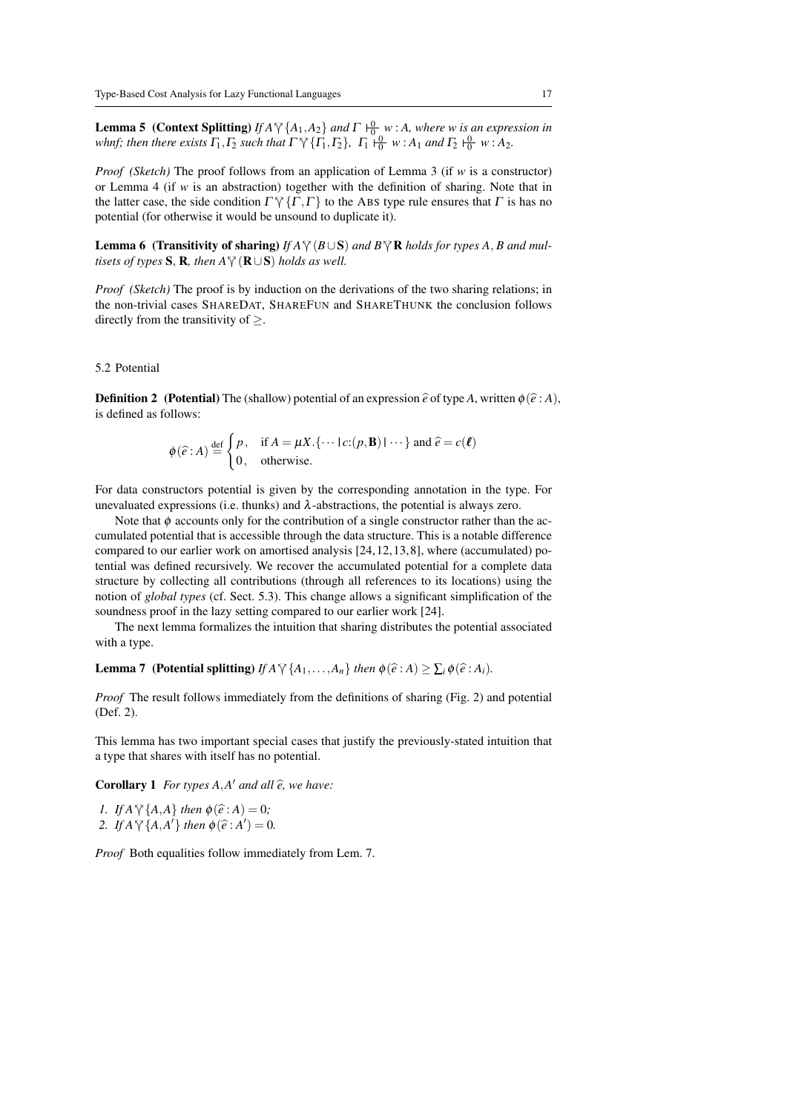**Lemma 5** (Context Splitting) *If A*<sup> $\gamma$ </sup>{ $A_1$ ,  $A_2$ } *and*  $\Gamma$   $\frac{0}{0}$  *w* : *A, where w is an expression in*<br>what then there wists  $\Gamma$ ,  $\Gamma$  such that  $\Gamma^{52}$  ( $\Gamma$ ,  $\Gamma$ ),  $\Gamma$  10, w i.4, and  $\Gamma$  10, w i.4. *whnf; then there exists*  $\Gamma_1, \Gamma_2$  *such that*  $\Gamma \searrow \{ \Gamma_1, \Gamma_2 \}$ ,  $\Gamma_1 \stackrel{\cdot 0}{\mid} \frac{0}{0}$  *w* : *A*<sub>1</sub> *and*  $\Gamma_2 \stackrel{\cdot 0}{\mid}$  *w* : *A*<sub>2</sub>.

*Proof (Sketch)* The proof follows from an application of Lemma 3 (if *w* is a constructor) or Lemma 4 (if *w* is an abstraction) together with the definition of sharing. Note that in the latter case, the side condition  $\Gamma \gamma \{ \Gamma, \Gamma \}$  to the ABS type rule ensures that  $\Gamma$  is has no potential (for otherwise it would be unsound to duplicate it).

**Lemma 6** (Transitivity of sharing) *If A* $\forall$  (*B* $\cup$ S) *and B* $\forall$  **R** *holds for types A, B and multisets of types*  $S$ ,  $R$ *, then*  $A \tilde{\gamma}$  ( $R \cup S$ ) *holds as well.* 

*Proof (Sketch)* The proof is by induction on the derivations of the two sharing relations; in the non-trivial cases SHAREDAT, SHAREFUN and SHARETHUNK the conclusion follows directly from the transitivity of  $\geq$ .

## 5.2 Potential

**Definition 2** (Potential) The (shallow) potential of an expression  $\hat{e}$  of type *A*, written  $\phi(\hat{e}: A)$ , is defined as follows:

$$
\phi(\widehat{e}:A) \stackrel{\text{def}}{=} \begin{cases} p, & \text{if } A = \mu X. \{ \cdots \mid c: (p, \mathbf{B}) \mid \cdots \} \text{ and } \widehat{e} = c(\boldsymbol{\ell}) \\ 0, & \text{otherwise.} \end{cases}
$$

For data constructors potential is given by the corresponding annotation in the type. For unevaluated expressions (i.e. thunks) and  $\lambda$ -abstractions, the potential is always zero.

Note that  $\phi$  accounts only for the contribution of a single constructor rather than the accumulated potential that is accessible through the data structure. This is a notable difference compared to our earlier work on amortised analysis [24, 12, 13, 8], where (accumulated) potential was defined recursively. We recover the accumulated potential for a complete data structure by collecting all contributions (through all references to its locations) using the notion of *global types* (cf. Sect. 5.3). This change allows a significant simplification of the soundness proof in the lazy setting compared to our earlier work [24].

The next lemma formalizes the intuition that sharing distributes the potential associated with a type.

**Lemma 7** (Potential splitting) *If*  $A \vee \{A_1, \ldots, A_n\}$  *then*  $\phi(\hat{e}: A) > \sum_i \phi(\hat{e}: A_i)$ *.* 

*Proof* The result follows immediately from the definitions of sharing (Fig. 2) and potential (Def. 2).

This lemma has two important special cases that justify the previously-stated intuition that a type that shares with itself has no potential.

**Corollary 1** *For types A,A' and all*  $\hat{e}$ *, we have:* 

*1. If*  $A \forall \{A, A\}$  *then*  $\phi(\hat{e}: A) = 0$ *;* 2. If  $A \vee \{A, A'\}$  then  $\phi(\hat{e}: A') = 0$ .

*Proof* Both equalities follow immediately from Lem. 7.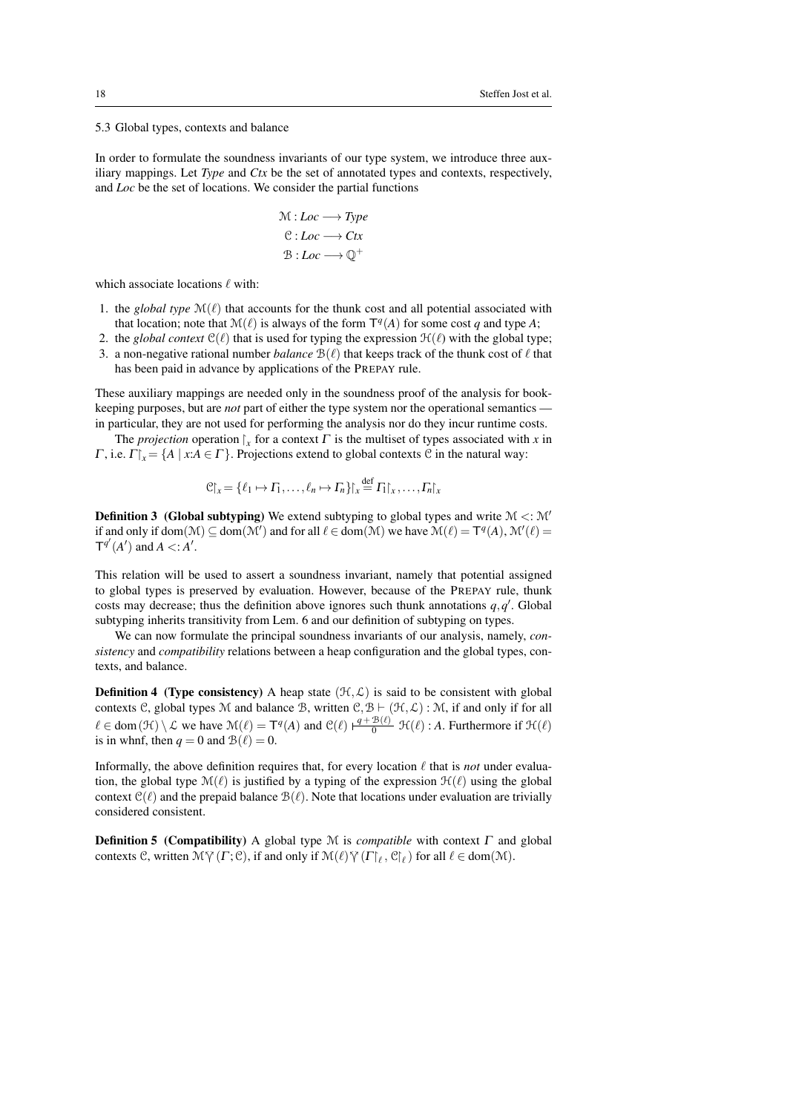5.3 Global types, contexts and balance

In order to formulate the soundness invariants of our type system, we introduce three auxiliary mappings. Let *Type* and *Ctx* be the set of annotated types and contexts, respectively, and *Loc* be the set of locations. We consider the partial functions

$$
\mathcal{M}: Loc \longrightarrow Type
$$
  

$$
\mathcal{C}: Loc \longrightarrow Ctx
$$
  

$$
\mathcal{B}: Loc \longrightarrow \mathbb{Q}^+
$$

which associate locations  $\ell$  with:

- 1. the *global type*  $\mathcal{M}(\ell)$  that accounts for the thunk cost and all potential associated with that location; note that  $\mathcal{M}(\ell)$  is always of the form  $\mathsf{T}^q(A)$  for some cost *q* and type *A*;
- 2. the *global context*  $C(\ell)$  that is used for typing the expression  $H(\ell)$  with the global type;
- 3. a non-negative rational number *balance*  $B(\ell)$  that keeps track of the thunk cost of  $\ell$  that has been paid in advance by applications of the PREPAY rule.

These auxiliary mappings are needed only in the soundness proof of the analysis for bookkeeping purposes, but are *not* part of either the type system nor the operational semantics in particular, they are not used for performing the analysis nor do they incur runtime costs.

The *projection* operation  $\int_x$  for a context  $\Gamma$  is the multiset of types associated with *x* in Γ, i.e.  $\Gamma\upharpoonright_{x} = \{A \mid x:A \in \Gamma\}$ . Projections extend to global contexts C in the natural way:

$$
\mathcal{C}|_{x} = \{ \ell_1 \mapsto \Gamma_1, \dots, \ell_n \mapsto \Gamma_n \} \upharpoonright_{x} \stackrel{\text{def}}{=} \Gamma_1 \upharpoonright_{x}, \dots, \Gamma_n \upharpoonright_{x}
$$

**Definition 3** (Global subtyping) We extend subtyping to global types and write  $M \leq M'$ if and only if dom( $\mathcal{M}$ )  $\subseteq$  dom( $\mathcal{M}'$ ) and for all  $\ell \in$  dom( $\mathcal{M}$ ) we have  $\mathcal{M}(\ell) = T^q(A)$ ,  $\mathcal{M}'(\ell) =$  $T^{q'}(A')$  and  $A \leq A'.$ 

This relation will be used to assert a soundness invariant, namely that potential assigned to global types is preserved by evaluation. However, because of the PREPAY rule, thunk costs may decrease; thus the definition above ignores such thunk annotations  $q, q'$ . Global subtyping inherits transitivity from Lem. 6 and our definition of subtyping on types.

We can now formulate the principal soundness invariants of our analysis, namely, *consistency* and *compatibility* relations between a heap configuration and the global types, contexts, and balance.

**Definition 4** (Type consistency) A heap state  $(\mathcal{H}, \mathcal{L})$  is said to be consistent with global contexts C, global types M and balance B, written  $C, B \vdash (\mathcal{H}, \mathcal{L}) : \mathcal{M}$ , if and only if for all  $\ell \in \text{dom}(\mathcal{H}) \setminus \mathcal{L}$  we have  $\mathcal{M}(\ell) = \mathsf{T}^q(A)$  and  $\mathcal{C}(\ell) \neq \frac{q + \mathcal{B}(\ell)}{0}$   $\mathcal{H}(\ell)$ : *A*. Furthermore if  $\mathcal{H}(\ell)$ is in whnf, then  $q = 0$  and  $\mathcal{B}(\ell) = 0$ .

Informally, the above definition requires that, for every location  $\ell$  that is *not* under evaluation, the global type  $\mathcal{M}(\ell)$  is justified by a typing of the expression  $\mathcal{H}(\ell)$  using the global context  $C(\ell)$  and the prepaid balance  $\mathcal{B}(\ell)$ . Note that locations under evaluation are trivially considered consistent.

Definition 5 (Compatibility) A global type M is *compatible* with context Γ and global contexts C, written  $\mathcal{M}\gamma(T;\mathcal{C})$ , if and only if  $\mathcal{M}(\ell)\gamma(\Gamma|_{\ell},\mathcal{C}|_{\ell})$  for all  $\ell \in \text{dom}(\mathcal{M})$ .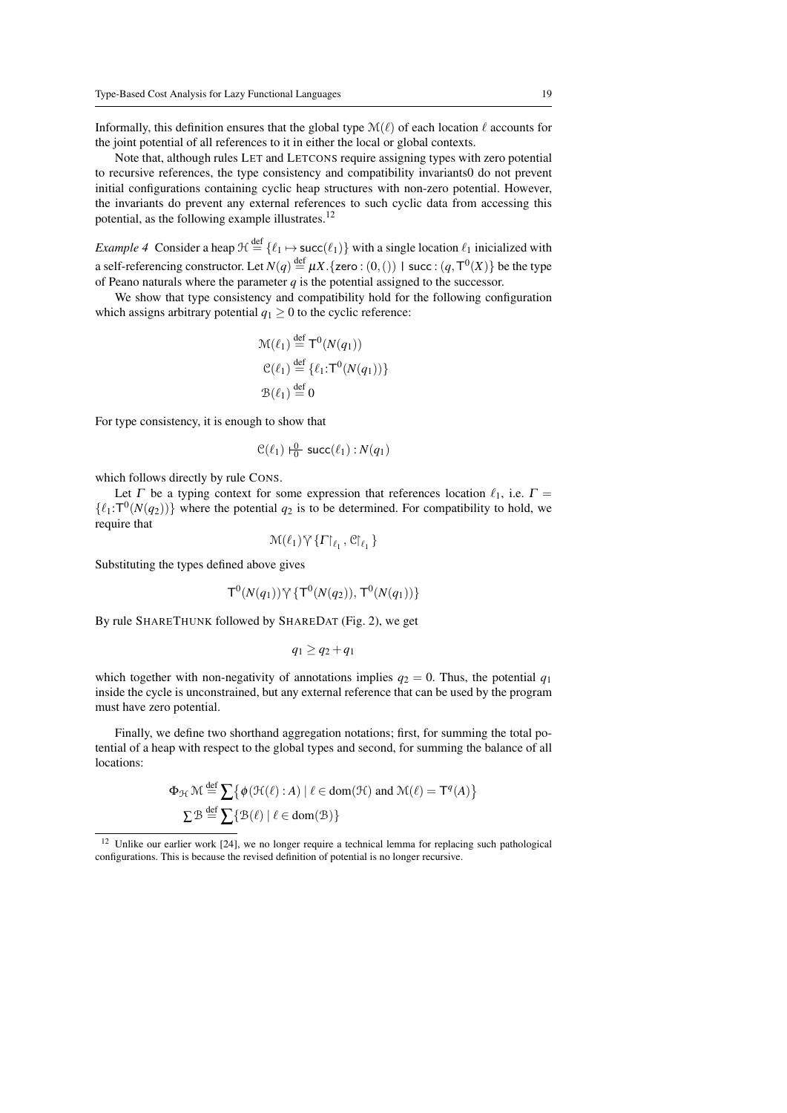Informally, this definition ensures that the global type  $\mathcal{M}(\ell)$  of each location  $\ell$  accounts for the joint potential of all references to it in either the local or global contexts.

Note that, although rules LET and LETCONS require assigning types with zero potential to recursive references, the type consistency and compatibility invariants0 do not prevent initial configurations containing cyclic heap structures with non-zero potential. However, the invariants do prevent any external references to such cyclic data from accessing this potential, as the following example illustrates.<sup>12</sup>

*Example 4* Consider a heap  $\mathcal{H} \stackrel{\text{def}}{=} \{\ell_1 \mapsto \textsf{succ}(\ell_1)\}$  with a single location  $\ell_1$  inicialized with a self-referencing constructor. Let  $N(q) \stackrel{\text{def}}{=} \mu X.$  {zero :  $(0, ()$  | succ :  $(q, \mathsf{T}^0(X))$  be the type of Peano naturals where the parameter *q* is the potential assigned to the successor.

We show that type consistency and compatibility hold for the following configuration which assigns arbitrary potential  $q_1 > 0$  to the cyclic reference:

$$
\mathcal{M}(\ell_1) \stackrel{\text{def}}{=} \mathsf{T}^0(N(q_1))
$$
  
\n
$$
\mathcal{C}(\ell_1) \stackrel{\text{def}}{=} \{ \ell_1 : \mathsf{T}^0(N(q_1)) \}
$$
  
\n
$$
\mathcal{B}(\ell_1) \stackrel{\text{def}}{=} 0
$$

For type consistency, it is enough to show that

$$
\mathcal{C}(\ell_1) \vdash_0^0 \mathsf{succ}(\ell_1) : N(q_1)
$$

which follows directly by rule CONS.

Let  $\Gamma$  be a typing context for some expression that references location  $\ell_1$ , i.e.  $\Gamma$  =  $\{\ell_1:\mathsf{T}^0(N(q_2))\}$  where the potential  $q_2$  is to be determined. For compatibility to hold, we require that

$$
\mathcal{M}(\ell_1)\,\tilde{\lor}\,\{\Gamma\!\!\upharpoonright_{\ell_1},\mathcal{C}\!\!\upharpoonright_{\ell_1}\}
$$

Substituting the types defined above gives

$$
T^0(N(q_1))\,\tilde{\gamma}\,\{T^0(N(q_2)),\,T^0(N(q_1))\}
$$

By rule SHARETHUNK followed by SHAREDAT (Fig. 2), we get

$$
q_1 \geq q_2 + q_1
$$

which together with non-negativity of annotations implies  $q_2 = 0$ . Thus, the potential  $q_1$ inside the cycle is unconstrained, but any external reference that can be used by the program must have zero potential.

Finally, we define two shorthand aggregation notations; first, for summing the total potential of a heap with respect to the global types and second, for summing the balance of all locations:

$$
\Phi_{\mathcal{H}} \mathcal{M} \stackrel{\text{def}}{=} \sum \{ \phi(\mathcal{H}(\ell): A) \mid \ell \in \text{dom}(\mathcal{H}) \text{ and } \mathcal{M}(\ell) = \mathsf{T}^q(A) \}
$$
  

$$
\sum \mathcal{B} \stackrel{\text{def}}{=} \sum \{ \mathcal{B}(\ell) \mid \ell \in \text{dom}(\mathcal{B}) \}
$$

<sup>&</sup>lt;sup>12</sup> Unlike our earlier work [24], we no longer require a technical lemma for replacing such pathological configurations. This is because the revised definition of potential is no longer recursive.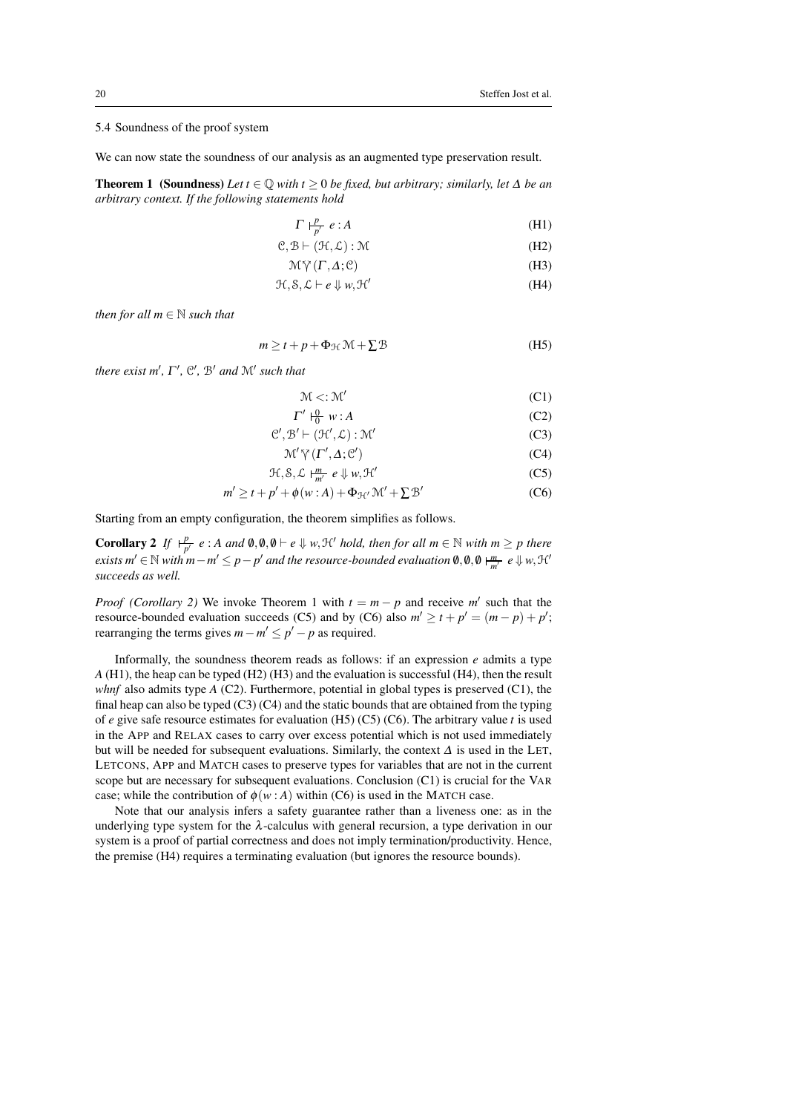## 5.4 Soundness of the proof system

We can now state the soundness of our analysis as an augmented type preservation result.

**Theorem 1** (Soundness) *Let*  $t \in \mathbb{Q}$  *with*  $t \ge 0$  *be fixed, but arbitrary; similarly, let* ∆ *be an arbitrary context. If the following statements hold*

$$
\Gamma \vdash^p_{p'} e : A \tag{H1}
$$

$$
C, B \vdash (\mathcal{H}, \mathcal{L}): \mathcal{M} \tag{H2}
$$

$$
\mathcal{M}\,\tilde{\gamma}\,(T,\Delta;\mathcal{C})\tag{H3}
$$

$$
\mathcal{H}, \mathcal{S}, \mathcal{L} \vdash e \Downarrow w, \mathcal{H}' \tag{H4}
$$

*then for all*  $m \in \mathbb{N}$  *such that* 

$$
m \ge t + p + \Phi_{\mathcal{H}} \mathcal{M} + \sum \mathcal{B}
$$
 (H5)

*there exist*  $m'$ ,  $\Gamma'$ ,  $\mathcal{C}'$ ,  $\mathcal{B}'$  *and*  $\mathcal{M}'$  *such that* 

$$
\mathcal{M} < : \mathcal{M}' \tag{C1}
$$

$$
\Gamma' \vdash_0^0 w : A \tag{C2}
$$

$$
\mathcal{C}', \mathcal{B}' \vdash (\mathcal{H}', \mathcal{L}): \mathcal{M}' \tag{C3}
$$

$$
\mathcal{M}' \tilde{\gamma}(\Gamma', \Delta; \mathcal{C}') \tag{C4}
$$

$$
\mathcal{H}, \mathcal{S}, \mathcal{L} \models^m_{m'} e \Downarrow w, \mathcal{H}' \tag{C5}
$$

$$
m' \ge t + p' + \phi(w : A) + \Phi_{\mathcal{H}'} \mathcal{M}' + \Sigma \mathcal{B}' \tag{C6}
$$

Starting from an empty configuration, the theorem simplifies as follows.

**Corollary 2** *If*  $\frac{p}{p'} e$  : *A* and  $\emptyset, \emptyset \vdash e \Downarrow w$ ,  $\mathcal{H}'$  hold, then for all  $m \in \mathbb{N}$  with  $m \geq p$  there  $e$ *xists*  $m' \in \mathbb{N}$  *with*  $m - m' \leq p - p'$  and the resource-bounded evaluation  $\emptyset, \emptyset, \emptyset \models_{m'}^m e \Downarrow w$ ,  $\mathcal{H}'$ *succeeds as well.*

*Proof (Corollary 2)* We invoke Theorem 1 with  $t = m - p$  and receive *m'* such that the resource-bounded evaluation succeeds (C5) and by (C6) also  $m' \ge t + p' = (m - p) + p'$ ; rearranging the terms gives  $m - m' \le p' - p$  as required.

Informally, the soundness theorem reads as follows: if an expression *e* admits a type *A* (H1), the heap can be typed (H2) (H3) and the evaluation is successful (H4), then the result *whnf* also admits type  $A$  (C2). Furthermore, potential in global types is preserved (C1), the final heap can also be typed  $(C3)$   $(C4)$  and the static bounds that are obtained from the typing of *e* give safe resource estimates for evaluation (H5) (C5) (C6). The arbitrary value *t* is used in the APP and RELAX cases to carry over excess potential which is not used immediately but will be needed for subsequent evaluations. Similarly, the context  $\Delta$  is used in the LET, LETCONS, APP and MATCH cases to preserve types for variables that are not in the current scope but are necessary for subsequent evaluations. Conclusion (C1) is crucial for the VAR case; while the contribution of  $\phi(w : A)$  within (C6) is used in the MATCH case.

Note that our analysis infers a safety guarantee rather than a liveness one: as in the underlying type system for the  $\lambda$ -calculus with general recursion, a type derivation in our system is a proof of partial correctness and does not imply termination/productivity. Hence, the premise (H4) requires a terminating evaluation (but ignores the resource bounds).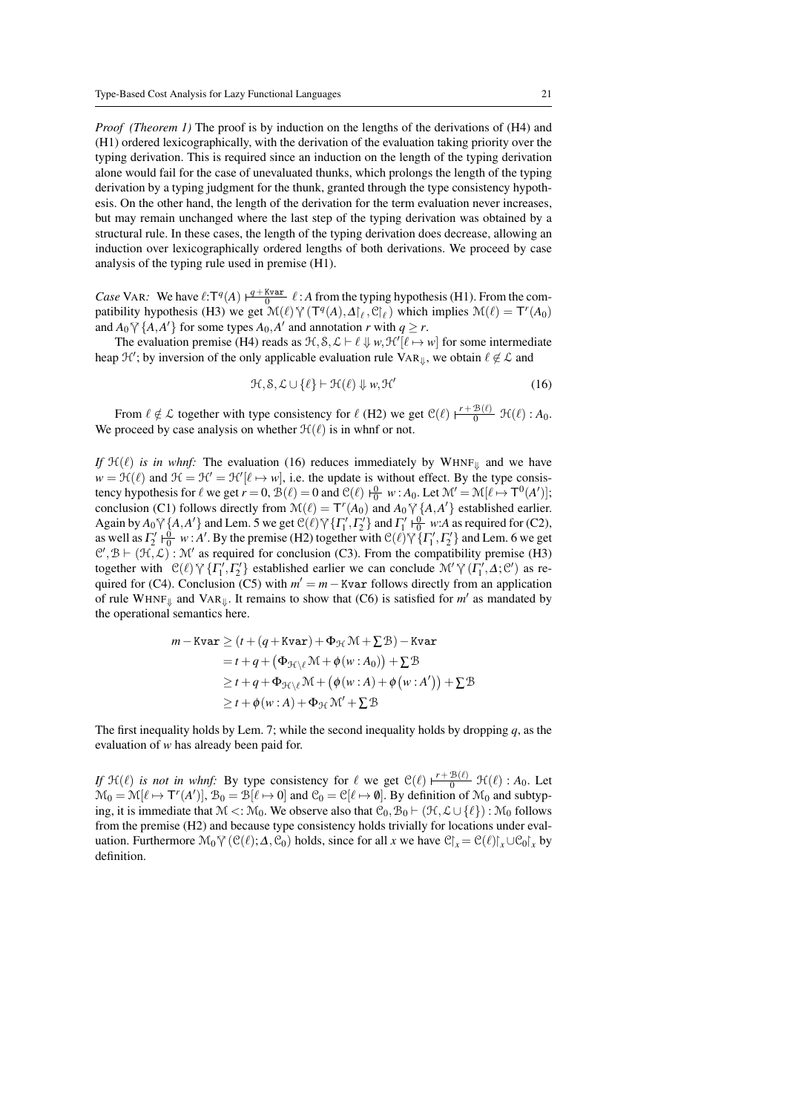*Proof (Theorem 1)* The proof is by induction on the lengths of the derivations of (H4) and (H1) ordered lexicographically, with the derivation of the evaluation taking priority over the typing derivation. This is required since an induction on the length of the typing derivation alone would fail for the case of unevaluated thunks, which prolongs the length of the typing derivation by a typing judgment for the thunk, granted through the type consistency hypothesis. On the other hand, the length of the derivation for the term evaluation never increases, but may remain unchanged where the last step of the typing derivation was obtained by a structural rule. In these cases, the length of the typing derivation does decrease, allowing an induction over lexicographically ordered lengths of both derivations. We proceed by case analysis of the typing rule used in premise (H1).

*Case* VAR: We have  $\ell: T^q(A) \xrightarrow{q + Kvar} \ell : A$  from the typing hypothesis (H1). From the compatibility hypothesis (H3) we get  $\mathcal{M}(\ell)$   $\mathcal{V}(\mathsf{T}^q(A), \Delta|_{\ell}, \mathcal{C}|_{\ell})$  which implies  $\mathcal{M}(\ell) = \mathsf{T}^r(A_0)$ and  $A_0 \nabla \{A, A'\}$  for some types  $A_0, A'$  and annotation *r* with  $q \ge r$ .<br>The synthetics **requires** (HA) reads as  $2 \mathcal{L} S$ ,  $C = \ell + 1$ , we  $2 \mathcal{L}^{\ell}(\ell)$ .

The evaluation premise (H4) reads as  $\mathcal{H}, \mathcal{S}, \mathcal{L} \vdash \ell \downarrow w, \mathcal{H}'[\ell \mapsto w]$  for some intermediate heap  $\mathcal{H}'$ ; by inversion of the only applicable evaluation rule  $\text{Var}_{\mathcal{V}}$ , we obtain  $\ell \notin \mathcal{L}$  and

$$
\mathcal{H}, \mathcal{S}, \mathcal{L} \cup \{\ell\} \vdash \mathcal{H}(\ell) \Downarrow w, \mathcal{H}' \tag{16}
$$

From  $\ell \notin \mathcal{L}$  together with type consistency for  $\ell$  (H2) we get  $\mathcal{C}(\ell) \mid \frac{r + \mathcal{B}(\ell)}{0} \mathcal{H}(\ell) : A_0$ . We proceed by case analysis on whether  $\mathcal{H}(\ell)$  is in whnf or not.

*If*  $H(f(\ell))$  *is in whnf:* The evaluation (16) reduces immediately by WHNF $_{\parallel}$  and we have  $w = \mathcal{H}(\ell)$  and  $\mathcal{H} = \mathcal{H}' = \mathcal{H}'[\ell \mapsto w]$ , i.e. the update is without effect. By the type consistency hypothesis for  $\ell$  we get  $r = 0$ ,  $\mathcal{B}(\ell) = 0$  and  $\mathcal{C}(\ell) \vdash_0^0 w : A_0$ . Let  $\mathcal{M}' = \mathcal{M}[\ell \mapsto \mathsf{T}^0(A')]$ ; conclusion (C1) follows directly from  $\mathcal{M}(\ell) = \mathcal{T}'(A_0)$  and  $A_0 \gamma \{A, A'\}$  established earlier. Again by  $A_0 \sqrt[n]{\{A, A'\}}$  and Lem. 5 we get  $\mathcal{C}(\ell) \sqrt[n]{\{T'_1, T'_2\}}$  and  $\Gamma'_1 \xrightarrow{0} w:A$  as required for (C2), as well as  $\Gamma_2' \frac{0}{10} w$ : *A'*. By the premise (H2) together with C( $\ell$ )  $\gamma^2 \{ \Gamma_1', \Gamma_2' \}$  and Lem. 6 we get  $\mathcal{O}'$   $\mathcal{P} \vdash (\mathcal{H} \cap \mathcal{L})$ .  $\mathcal{M}'$  as required for conclusion (G3). From the compatibility prom  $\mathcal{C}', \mathcal{B} \vdash (\mathcal{H}, \mathcal{L}) : \mathcal{M}'$  as required for conclusion (C3). From the compatibility premise (H3) together with  $\mathcal{C}(\ell) \vee \{ \Gamma'_1, \Gamma'_2 \}$  established earlier we can conclude  $\mathcal{M}' \vee \{ \Gamma'_1, \Delta; \mathcal{C}' \}$  as required for (C4). Conclusion (C5) with  $m' = m -$  Kvar follows directly from an application of rule WHNF<sub> $\Downarrow$ </sub> and VAR<sub> $\Downarrow$ </sub>. It remains to show that (C6) is satisfied for m' as mandated by the operational semantics here.

$$
m - \text{Kvar} \ge (t + (q + \text{Kvar}) + \Phi_{\mathcal{H}} \mathcal{M} + \Sigma \mathcal{B}) - \text{Kvar}
$$
  
=  $t + q + (\Phi_{\mathcal{H} \setminus \ell} \mathcal{M} + \phi(w : A_0)) + \Sigma \mathcal{B}$   

$$
\ge t + q + \Phi_{\mathcal{H} \setminus \ell} \mathcal{M} + (\phi(w : A) + \phi(w : A')) + \Sigma \mathcal{B}
$$
  

$$
\ge t + \phi(w : A) + \Phi_{\mathcal{H}} \mathcal{M}' + \Sigma \mathcal{B}
$$

The first inequality holds by Lem. 7; while the second inequality holds by dropping *q*, as the evaluation of *w* has already been paid for.

*If*  $\mathcal{H}(\ell)$  *is not in whnf*: By type consistency for  $\ell$  we get  $\mathcal{C}(\ell)$   $\frac{r + B(\ell)}{0}$   $\mathcal{H}(\ell)$  : *A*<sub>0</sub>. Let  $\mathcal{M}_0 = \mathcal{M}[\ell \mapsto T^r(A')]$ ,  $\mathcal{B}_0 = \mathcal{B}[\ell \mapsto 0]$  and  $\mathcal{C}_0 = \mathcal{C}[\ell \mapsto \emptyset]$ . By definition of  $\mathcal{M}_0$  and subtyping, it is immediate that  $M <: M_0$ . We observe also that  $\mathcal{C}_0, \mathcal{B}_0 \vdash (\mathcal{H}, \mathcal{L} \cup \{\ell\}) : M_0$  follows from the premise (H2) and because type consistency holds trivially for locations under evaluation. Furthermore  $\mathcal{M}_0 \mathcal{V}(\mathcal{C}(\ell); \Delta, \mathcal{C}_0)$  holds, since for all *x* we have  $\mathcal{C}\mathcal{V}_x = \mathcal{C}(\ell)\mathcal{V}_x \cup \mathcal{C}_0\mathcal{V}_x$  by definition.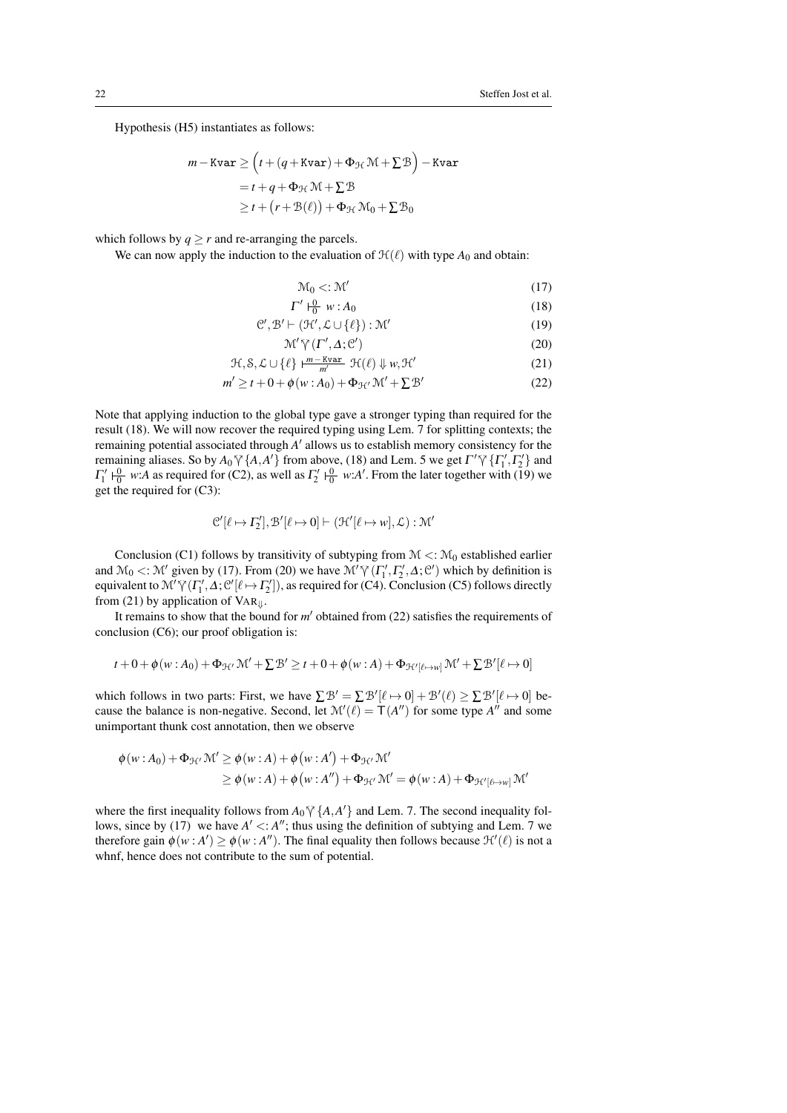Hypothesis (H5) instantiates as follows:

$$
m - \text{Kvar} \ge \left( t + (q + \text{Kvar}) + \Phi_{\mathcal{H}} \mathcal{M} + \Sigma \mathcal{B} \right) - \text{Kvar}
$$

$$
= t + q + \Phi_{\mathcal{H}} \mathcal{M} + \Sigma \mathcal{B}
$$

$$
\ge t + (r + \mathcal{B}(\ell)) + \Phi_{\mathcal{H}} \mathcal{M}_0 + \Sigma \mathcal{B}_0
$$

which follows by  $q > r$  and re-arranging the parcels.

We can now apply the induction to the evaluation of  $\mathcal{H}(\ell)$  with type  $A_0$  and obtain:

$$
\mathcal{M}_0 < : \mathcal{M}' \tag{17}
$$

$$
\Gamma' \vdash_0^0 w : A_0 \tag{18}
$$

$$
\mathcal{C}', \mathcal{B}' \vdash (\mathcal{H}', \mathcal{L} \cup \{\ell\}) : \mathcal{M}' \tag{19}
$$

$$
\mathcal{M}' \tilde{\gamma}(\Gamma', \Delta; \mathcal{C}') \tag{20}
$$

$$
\mathcal{H}, \mathcal{S}, \mathcal{L} \cup \{\ell\} \models^{\underline{m} - \underline{Kvar}}_{\underline{m'}} \mathcal{H}(\ell) \Downarrow w, \mathcal{H}'
$$
 (21)

$$
m' \ge t + 0 + \phi(w : A_0) + \Phi_{\mathcal{H}'} \mathcal{M}' + \Sigma \mathcal{B}' \tag{22}
$$

Note that applying induction to the global type gave a stronger typing than required for the result (18). We will now recover the required typing using Lem. 7 for splitting contexts; the remaining potential associated through A' allows us to establish memory consistency for the remaining aliases. So by  $A_0 \gamma \{A, A'\}$  from above, (18) and Lem. 5 we get  $\Gamma' \gamma \{T'_1, T'_2\}$  and  $\Gamma' \cup \{0, \ldots, A\}$  are required for  $(G_1)$ , as well as  $\Gamma' \cup \{0, \ldots, A'\}$ . From the later together with (10) was  $\Gamma_1' \vdash_0^0$  *w*:*A* as required for (C2), as well as  $\Gamma_2' \vdash_0^0 w:A'$ . From the later together with (19) we get the required for (C3):

$$
\mathcal{C}'[\ell \mapsto \Gamma_2'], \mathcal{B}'[\ell \mapsto 0] \vdash (\mathcal{H}'[\ell \mapsto w], \mathcal{L}): \mathcal{M}'
$$

Conclusion (C1) follows by transitivity of subtyping from  $M \lt: M_0$  established earlier and  $\mathcal{M}_0 <: \mathcal{M}'$  given by (17). From (20) we have  $\mathcal{M}' \gamma' (\Gamma'_1, \Gamma'_2, \Delta; \mathcal{C}')$  which by definition is equivalent to  $\mathcal{M}'\gamma(\Gamma'_1,\Delta;\mathcal{C}'[\ell \to \Gamma'_2]),$  as required for (C4). Conclusion (C5) follows directly from (21) by embiorized of  $V(\Delta)$ . from (21) by application of  $VAR_{\parallel}$ .

It remains to show that the bound for  $m'$  obtained from (22) satisfies the requirements of conclusion (C6); our proof obligation is:

$$
t + 0 + \phi(w : A_0) + \Phi_{\mathcal{H}'} \mathcal{M}' + \Sigma \mathcal{B}' \ge t + 0 + \phi(w : A) + \Phi_{\mathcal{H}'[\ell \mapsto w]} \mathcal{M}' + \Sigma \mathcal{B}'[\ell \mapsto 0]
$$

which follows in two parts: First, we have  $\sum \mathcal{B}' = \sum \mathcal{B}'[\ell \mapsto 0] + \mathcal{B}'(\ell) \geq \sum \mathcal{B}'[\ell \mapsto 0]$  because the balance is non-negative. Second, let  $\mathcal{M}'(\ell) = \mathsf{T}(A'')$  for some type  $A''$  and some unimportant thunk cost annotation, then we observe

$$
\phi(w:A_0) + \Phi_{\mathcal{H}'} \mathcal{M}' \ge \phi(w:A) + \phi(w:A') + \Phi_{\mathcal{H}'} \mathcal{M}'
$$
  
\n
$$
\ge \phi(w:A) + \phi(w:A'') + \Phi_{\mathcal{H}'} \mathcal{M}' = \phi(w:A) + \Phi_{\mathcal{H}'[\ell \mapsto w]} \mathcal{M}'
$$

where the first inequality follows from  $A_0 \gamma \{A, A'\}$  and Lem. 7. The second inequality fol-<br>lows ginea by (17), we have  $A' \leq A''$ , thus weing the definition of subtring and Lem. 7 we lows, since by (17) we have  $A' \le A''$ ; thus using the definition of subtying and Lem. 7 we therefore gain  $\phi(w : A') \ge \phi(w : A'')$ . The final equality then follows because  $\mathcal{H}'(\ell)$  is not a whnf, hence does not contribute to the sum of potential.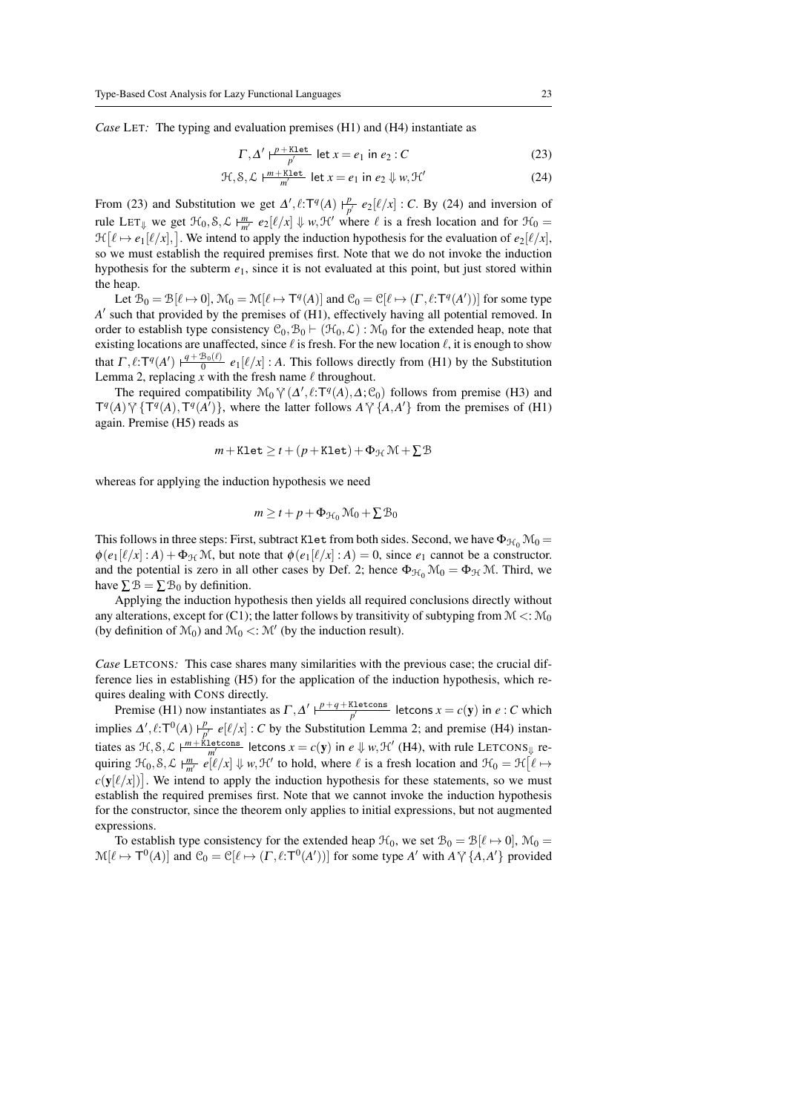*Case* LET*:* The typing and evaluation premises (H1) and (H4) instantiate as

$$
\Gamma, \Delta' \vdash^{\underline{p + \text{K1et}}}_{\underline{p'}} \text{let } x = e_1 \text{ in } e_2 : C
$$
 (23)

$$
\mathcal{H}, \mathcal{S}, \mathcal{L} \models^{\underline{m} + \underline{\text{Klet}}}_{\underline{m'}} \text{let } x = e_1 \text{ in } e_2 \Downarrow w, \mathcal{H}' \tag{24}
$$

From (23) and Substitution we get  $\Delta'$ ,  $\ell$ :T<sup>q</sup>(A)  $\vdash^p$  $\frac{p}{p'}$   $e_2[\ell/x]$  : *C*. By (24) and inversion of rule LET<sub> $\Downarrow$ </sub> we get  $\mathcal{H}_0$ ,  $\mathcal{S}, \mathcal{L}$   $\vdash^m_{m'} e_2[\ell/x] \Downarrow w$ ,  $\mathcal{H}'$  where  $\ell$  is a fresh location and for  $\mathcal{H}_0$  =  $\mathcal{H}[\ell \mapsto e_1[\ell/x],]$ . We intend to apply the induction hypothesis for the evaluation of  $e_2[\ell/x]$ , so we must establish the required premises first. Note that we do not invoke the induction hypothesis for the subterm  $e_1$ , since it is not evaluated at this point, but just stored within the heap.

Let  $\mathcal{B}_0 = \mathcal{B}[\ell \mapsto 0], \mathcal{M}_0 = \mathcal{M}[\ell \mapsto \mathsf{T}^q(A)]$  and  $\mathcal{C}_0 = \mathcal{C}[\ell \mapsto (\Gamma, \ell : \mathsf{T}^q(A'))]$  for some type A' such that provided by the premises of (H1), effectively having all potential removed. In order to establish type consistency  $C_0$ ,  $B_0 \vdash (\mathcal{H}_0, \mathcal{L}) : \mathcal{M}_0$  for the extended heap, note that existing locations are unaffected, since  $\ell$  is fresh. For the new location  $\ell$ , it is enough to show that  $\Gamma, \ell : T^q(A') \xrightarrow{\rho + B_0(\ell)} e_1[\ell/x] : A$ . This follows directly from (H1) by the Substitution Lemma 2, replacing x with the fresh name  $\ell$  throughout.

The required compatibility  $\mathcal{M}_0 \gamma(\Delta', \ell; \mathbf{T}^q(A), \Delta; \mathcal{C}_0)$  follows from premise (H3) and  $\Delta \Sigma^q(\mathbf{T}^q(A), \mathbf{T}^q(A'))$ , where the latter follows  $\Delta \Sigma^q(A, \Delta')$  from the premises of (H1)  $T^q(A) \gamma \{T^q(A), T^q(A')\}$ , where the latter follows  $A \gamma \{A, A'\}$  from the premises of (H1) again. Premise (H5) reads as

$$
m + \mathtt{Klet} \geq t + (p + \mathtt{Klet}) + \Phi_{\mathcal{H}} \mathcal{M} + \Sigma \mathcal{B}
$$

whereas for applying the induction hypothesis we need

$$
m \geq t + p + \Phi_{\mathcal{H}_0} \mathcal{M}_0 + \Sigma \mathcal{B}_0
$$

This follows in three steps: First, subtract Klet from both sides. Second, we have  $\Phi_{\mathcal{H}_0} \mathcal{M}_0 =$  $\phi(e_1[\ell/x] : A) + \Phi_{\mathcal{H}} \mathcal{M}$ , but note that  $\phi(e_1[\ell/x] : A) = 0$ , since  $e_1$  cannot be a constructor. and the potential is zero in all other cases by Def. 2; hence  $\Phi_{\mathcal{H}_0} \mathcal{M}_0 = \Phi_{\mathcal{H}} \mathcal{M}$ . Third, we have  $\Sigma \mathcal{B} = \Sigma \mathcal{B}_0$  by definition.

Applying the induction hypothesis then yields all required conclusions directly without any alterations, except for (C1); the latter follows by transitivity of subtyping from  $\mathcal{M} \leq \mathcal{M}_0$ (by definition of  $\mathcal{M}_0$ ) and  $\mathcal{M}_0 < \mathcal{M}'$  (by the induction result).

*Case* LETCONS*:* This case shares many similarities with the previous case; the crucial difference lies in establishing (H5) for the application of the induction hypothesis, which requires dealing with CONS directly.

Premise (H1) now instantiates as  $\Gamma$ ,  $\Delta'$   $\vdash^{\text{p+q+Kletcons}}_{p'}$  letcons  $x = c(y)$  in *e* : *C* which implies  $\Delta', \ell : T^0(A) \vdash^p_n$  $\frac{p}{p'}$  *e*[ $\ell/x$ ] : *C* by the Substitution Lemma 2; and premise (H4) instantiates as  $H, S, L$   $\mapsto \frac{m + \text{Kletcons}}{m'}$  letcons  $x = c(y)$  in  $e \Downarrow w$ ,  $H'$  (H4), with rule LETCONS<sub> $\Downarrow$ </sub> requiring  $\mathcal{H}_0, \mathcal{S}, \mathcal{L} \models_{m'}^m e[\ell/x] \Downarrow w, \mathcal{H}'$  to hold, where  $\ell$  is a fresh location and  $\mathcal{H}_0 = \mathcal{H}[\ell \mapsto \ell]$  $c(y[\ell/x])$ . We intend to apply the induction hypothesis for these statements, so we must establish the required premises first. Note that we cannot invoke the induction hypothesis for the constructor, since the theorem only applies to initial expressions, but not augmented expressions.

To establish type consistency for the extended heap  $\mathcal{H}_0$ , we set  $\mathcal{B}_0 = \mathcal{B}[\ell \mapsto 0]$ ,  $\mathcal{M}_0 =$  $\mathcal{M}[\ell \mapsto T^0(A)]$  and  $\mathcal{C}_0 = \mathcal{C}[\ell \mapsto (\Gamma, \ell: T^0(A'))]$  for some type *A'* with  $A \gamma \{A, A'\}$  provided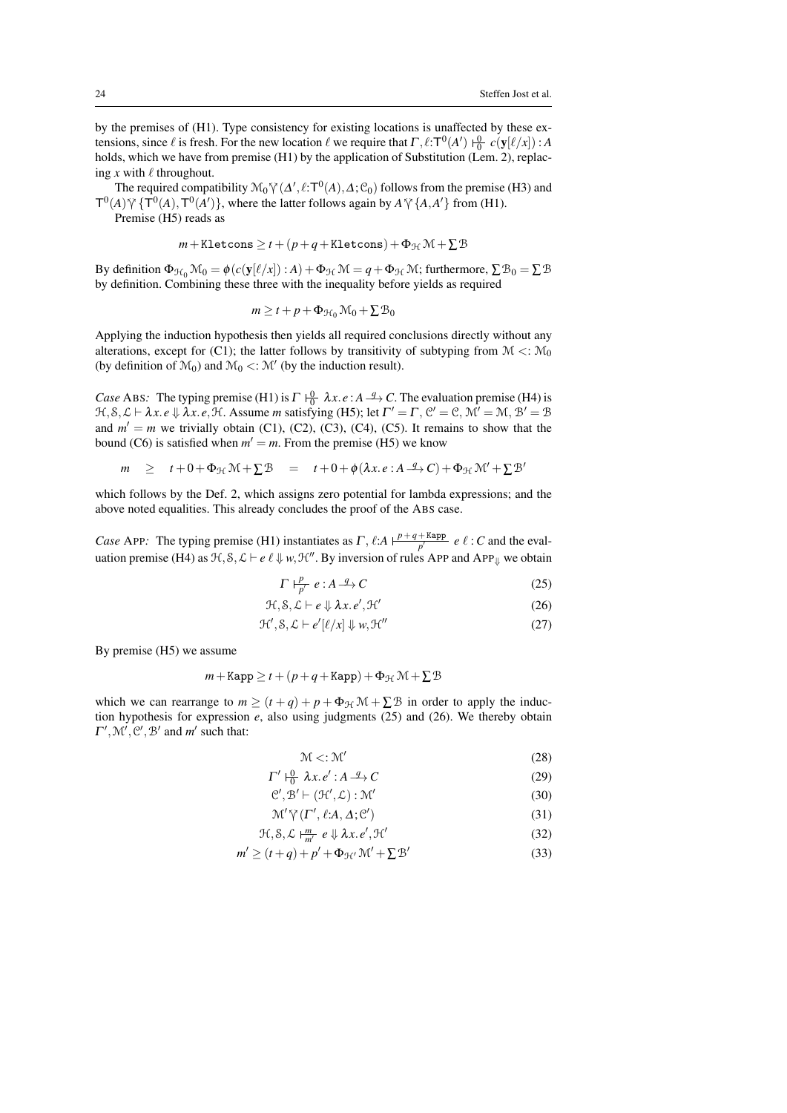by the premises of (H1). Type consistency for existing locations is unaffected by these extensions, since  $\ell$  is fresh. For the new location  $\ell$  we require that  $\Gamma$ ,  $\ell$ :  $T^0(A')$   $\frac{0}{0}$   $c(y[\ell/x])$ : *A* holds, which we have from premise (H1) by the application of Substitution (Lem. 2), replacing x with  $\ell$  throughout.

The required compatibility  $\mathcal{M}_0 \mathcal{V}(\Delta', \ell; \mathbf{T}^0(\mathbf{A}), \Delta; \mathcal{C}_0)$  follows from the premise (H3) and  $\Delta \mathcal{M}(\mathbf{T}^0(\mathbf{A}), \mathbf{T}^0(\mathbf{A}'))$ , where the latter follows gooin by  $\Delta \mathcal{M}(\mathbf{A}, \mathbf{A}')$  from (H1).  $T^{0}(A) \gamma \{T^{0}(A), T^{0}(A')\}$ , where the latter follows again by  $A \gamma \{A, A'\}$  from (H1).

Premise (H5) reads as

 $m +$ Kletcons  $\geq t + (p+q+$ Kletcons $) + \Phi_{\mathcal{H}} \mathcal{M} + \sum \mathcal{B}$ 

By definition  $\Phi_{\mathcal{H}_0} \mathcal{M}_0 = \phi(c(\mathbf{y}[\ell/x]) : A) + \Phi_{\mathcal{H}} \mathcal{M} = q + \Phi_{\mathcal{H}} \mathcal{M}$ ; furthermore,  $\sum \mathcal{B}_0 = \sum \mathcal{B}$ by definition. Combining these three with the inequality before yields as required

$$
m \geq t + p + \Phi_{\mathcal{H}_0} \mathcal{M}_0 + \Sigma \mathcal{B}_0
$$

Applying the induction hypothesis then yields all required conclusions directly without any alterations, except for (C1); the latter follows by transitivity of subtyping from  $\mathcal{M} < \mathcal{M}_0$ (by definition of  $\mathcal{M}_0$ ) and  $\mathcal{M}_0 < \mathcal{M}'$  (by the induction result).

*Case* ABS: The typing premise (H1) is  $\Gamma \downarrow_0^0 \lambda x$ . *e* :  $A \rightarrow Q$ . The evaluation premise (H4) is  $H, S, L \vdash \lambda x. e \Downarrow \lambda x. e, H$ . Assume *m* satisfying (H5); let  $\Gamma' = \Gamma$ ,  $C' = C$ ,  $\mathcal{M}' = \mathcal{M}, B' = B$ and  $m' = m$  we trivially obtain (C1), (C2), (C3), (C4), (C5). It remains to show that the bound (C6) is satisfied when  $m' = m$ . From the premise (H5) we know

$$
m \geq t + 0 + \Phi_{\mathcal{H}} \mathcal{M} + \Sigma \mathcal{B} = t + 0 + \phi(\lambda x. e : A \xrightarrow{q} C) + \Phi_{\mathcal{H}} \mathcal{M}' + \Sigma \mathcal{B}'
$$

which follows by the Def. 2, which assigns zero potential for lambda expressions; and the above noted equalities. This already concludes the proof of the ABS case.

*Case* APP: The typing premise (H1) instantiates as  $\Gamma$ ,  $\ell: A \frac{p+q+Kapp}{p'}$  $\frac{1}{p'}$  *e*  $\ell$  : *C* and the evaluation premise (H4) as  $\mathcal{H}, \mathcal{S}, \mathcal{L} \vdash e \ell \Downarrow w, \mathcal{H}''$ . By inversion of rules APP and APP<sub>II</sub> we obtain

$$
\Gamma \vdash_{p'}^P e : A \xrightarrow{q} C \tag{25}
$$

$$
\mathcal{H}, \mathcal{S}, \mathcal{L} \vdash e \Downarrow \lambda x. e', \mathcal{H}' \tag{26}
$$

$$
\mathcal{H}', \mathcal{S}, \mathcal{L} \vdash e'[\ell/x] \Downarrow w, \mathcal{H}''
$$
\n
$$
(27)
$$

By premise (H5) we assume

$$
m + \text{Kapp} \ge t + (p + q + \text{Kapp}) + \Phi_{\mathcal{H}} \mathcal{M} + \sum \mathcal{B}
$$

which we can rearrange to  $m \ge (t+q) + p + \Phi_H \mathcal{M} + \Sigma \mathcal{B}$  in order to apply the induction hypothesis for expression  $e$ , also using judgments (25) and (26). We thereby obtain  $\Gamma', \mathcal{M}', \mathcal{C}', \mathcal{B}'$  and  $m'$  such that:

$$
\mathcal{M} < : \mathcal{M}' \tag{28}
$$

$$
\Gamma' \vdash_{0}^{0} \lambda x. e' : A \xrightarrow{q} C \tag{29}
$$

$$
\mathcal{C}', \mathcal{B}' \vdash (\mathcal{H}', \mathcal{L}) : \mathcal{M}' \tag{30}
$$

$$
\mathcal{M}' \tilde{\gamma} (\Gamma', \ell : A, \Delta; \mathcal{C}')
$$
 (31)

$$
\mathcal{H}, \mathcal{S}, \mathcal{L} \models^{\underline{m}}_{m'} e \Downarrow \lambda x. e', \mathcal{H}' \tag{32}
$$

$$
m' \ge (t+q) + p' + \Phi_{\mathcal{H}'} \mathcal{M}' + \Sigma \mathcal{B}' \tag{33}
$$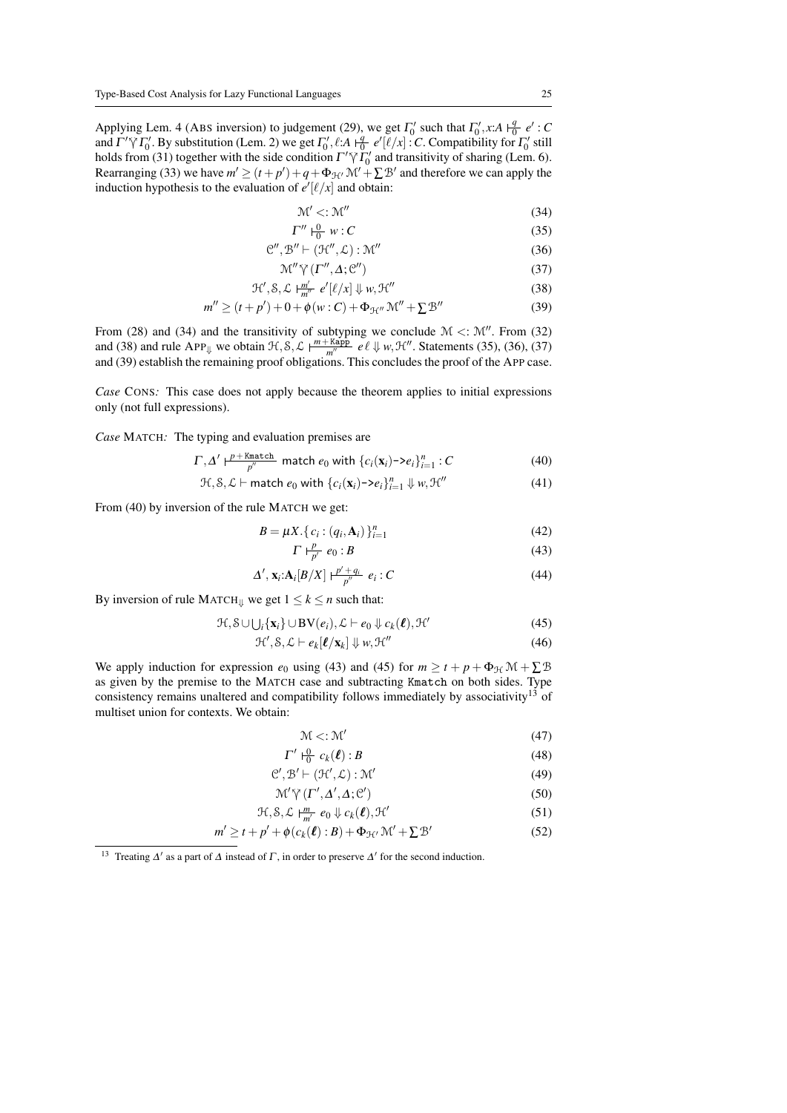Applying Lem. 4 (ABS inversion) to judgement (29), we get  $\Gamma_0'$  such that  $\Gamma_0', x:A \nvert \frac{q}{0} e' : C$ and  $\Gamma' \tilde{\gamma} \Gamma_0'$ . By substitution (Lem. 2) we get  $\Gamma_0'$ ,  $\ell:$ *A*  $\vdash q$   $e'[\ell/x]$ :*C*. Compatibility for  $\Gamma_0'$  still holds from (3.1) together with the side condition  $\Gamma' \tilde{\gamma} \Gamma'$  and transitivity of chering (I holds from (31) together with the side condition  $\Gamma' \gamma \tilde{I}_0'$  and transitivity of sharing (Lem. 6).<br>Because since (33) we have  $m' > (t + n') + \epsilon + \Phi = M' + \Sigma \mathcal{R}'$  and therefore we can apply the Rearranging (33) we have  $m' \ge (t + p') + q + \Phi_{\mathcal{H}} M' + \Sigma \mathcal{B}'$  and therefore we can apply the induction hypothesis to the evaluation of  $e'[\ell/x]$  and obtain:

$$
\mathcal{M}' < : \mathcal{M}'' \tag{34}
$$

$$
\Gamma'' \vdash_0^0 w : C \tag{35}
$$

$$
\mathcal{C}'' , \mathcal{B}'' \vdash (\mathcal{H}'' , \mathcal{L}) : \mathcal{M}'' \tag{36}
$$

$$
\mathcal{M}'' \,\tilde{\vee}\, (\Gamma'', \Delta; \mathcal{C}'')
$$
\n(37)

$$
\mathcal{H}', \mathcal{S}, \mathcal{L} \vdash_{m''}^{m'} e'[\ell/x] \Downarrow w, \mathcal{H}''
$$
\n(38)

$$
m'' \ge (t + p') + 0 + \phi(w : C) + \Phi_{\mathcal{H}''} \mathcal{M}'' + \Sigma \mathcal{B}''
$$
 (39)

From (28) and (34) and the transitivity of subtyping we conclude  $M \lt: M''$ . From (32) and (38) and rule APP<sub> $\Downarrow$ </sub> we obtain  $\mathcal{H}, \mathcal{S}, \mathcal{L} \models^{\text{m+Kapp}}_{\text{m}''}$  $\frac{\text{Kapp}}{m''}$  *e*  $\ell \downarrow w$ ,  $\mathcal{H}''$ . Statements (35), (36), (37) and (39) establish the remaining proof obligations. This concludes the proof of the APP case.

*Case* CONS: This case does not apply because the theorem applies to initial expressions only (not full expressions).

*Case* MATCH*:* The typing and evaluation premises are

$$
\Gamma, \Delta' \vdash^{\underline{p} + \underline{\text{Kmatch}}}_{\underline{p''}} \text{ match } e_0 \text{ with } \{c_i(\mathbf{x}_i) \negthinspace > \negthinspace e_i\}_{i=1}^n : C
$$
\n
$$
\tag{40}
$$

$$
\mathcal{H}, \mathcal{S}, \mathcal{L} \vdash \mathsf{match}\ e_0 \ \text{with}\ \{c_i(\mathbf{x}_i) \rightarrow e_i\}_{i=1}^n \ \Downarrow w, \mathcal{H}'' \tag{41}
$$

From (40) by inversion of the rule MATCH we get:

$$
B = \mu X. \{ c_i : (q_i, \mathbf{A}_i) \}_{i=1}^n \tag{42}
$$

$$
\Gamma \vdash^p_{p'} e_0 : B \tag{43}
$$

$$
\Delta', \mathbf{x}_i: \mathbf{A}_i[B/X] \vdash_{p''}^{\underline{p'+q_i}} e_i : C
$$
\n
$$
\tag{44}
$$

By inversion of rule MATCH $\psi$  we get  $1 \leq k \leq n$  such that:

$$
\mathcal{H}, \mathcal{S} \cup \bigcup_{i} \{ \mathbf{x}_{i} \} \cup \mathbf{BV}(e_{i}), \mathcal{L} \vdash e_{0} \Downarrow c_{k}(\ell), \mathcal{H}' \tag{45}
$$

$$
\mathcal{H}', \mathcal{S}, \mathcal{L} \vdash e_k[\ell/\mathbf{x}_k] \Downarrow w, \mathcal{H}''
$$
\n(46)

We apply induction for expression  $e_0$  using (43) and (45) for  $m \ge t + p + \Phi_{H} \mathcal{M} + \Sigma \mathcal{B}$ as given by the premise to the MATCH case and subtracting Kmatch on both sides. Type consistency remains unaltered and compatibility follows immediately by associativity<sup>13</sup> of multiset union for contexts. We obtain:

$$
\mathcal{M} < : \mathcal{M}' \tag{47}
$$

 $\Gamma' \vdash_{0}^{0} c_{k}(\ell) : B$  (48)

$$
\mathcal{C}', \mathcal{B}' \vdash (\mathcal{H}', \mathcal{L}) : \mathcal{M}' \tag{49}
$$

$$
\mathcal{M}' \gamma \left( \Gamma', \Delta', \Delta; \mathcal{C}' \right) \tag{50}
$$

$$
\mathcal{H}, \mathcal{S}, \mathcal{L} \vdash_{m'}^{m} e_0 \Downarrow c_k(\ell), \mathcal{H}' \tag{51}
$$

$$
m' \ge t + p' + \phi(c_k(\ell) : B) + \Phi_{\mathcal{H}'} \mathcal{M}' + \Sigma \mathcal{B}' \tag{52}
$$

<sup>13</sup> Treating  $\Delta'$  as a part of  $\Delta$  instead of  $\Gamma$ , in order to preserve  $\Delta'$  for the second induction.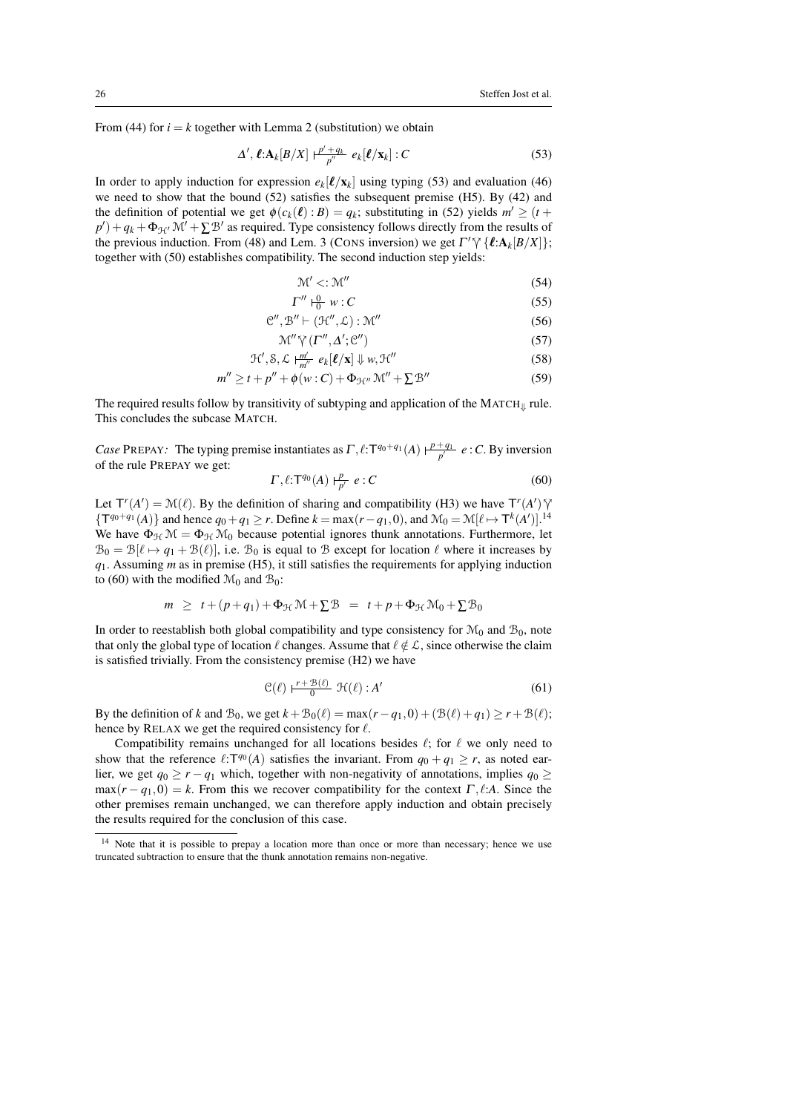From (44) for  $i = k$  together with Lemma 2 (substitution) we obtain

$$
\Delta', \ell: \mathbf{A}_k[B/X] \xrightarrow[p'']{P' \cdot q_k} e_k[\ell/x_k] : C
$$
\n(53)

In order to apply induction for expression  $e_k[\ell/\mathbf{x}_k]$  using typing (53) and evaluation (46) we need to show that the bound (52) satisfies the subsequent premise (H5). By (42) and the definition of potential we get  $\phi(c_k(\ell): B) = q_k$ ; substituting in (52) yields  $m' \ge (t +$  $p'$ ) +  $q_k$  +  $\Phi_{\mathcal{H}}$   $\mathcal{M}'$  +  $\sum \mathcal{B}'$  as required. Type consistency follows directly from the results of the previous induction. From (48) and Lem. 3 (CONS inversion) we get  $\Gamma' \gamma$  { $\ell: A_k[B/X]$ };<br>together with (50) ostablishes compatibility. The second induction stap viable. together with (50) establishes compatibility. The second induction step yields:

$$
\mathcal{M}' < : \mathcal{M}'' \tag{54}
$$

$$
\Gamma'' \vdash_0^0 w : C \tag{55}
$$

$$
\mathcal{C}^{\prime\prime},\mathcal{B}^{\prime\prime}\vdash(\mathcal{H}^{\prime\prime},\mathcal{L}):\mathcal{M}^{\prime\prime}\tag{56}
$$

$$
\mathcal{M}'' \gamma^{\prime}(\Gamma'', \Delta'; \mathcal{C}'') \tag{57}
$$

$$
\mathcal{H}', \mathcal{S}, \mathcal{L} \models_{m''}^{\underline{m}'} e_k[\ell/\mathbf{x}] \Downarrow w, \mathcal{H}''
$$
\n(58)

$$
m'' \ge t + p'' + \phi(w : C) + \Phi_{\mathcal{H}''} \mathcal{M}'' + \Sigma \mathcal{B}''
$$
\n
$$
(59)
$$

The required results follow by transitivity of subtyping and application of the  $MATCH_{\parallel}$  rule. This concludes the subcase MATCH.

*Case* PREPAY: The typing premise instantiates as  $\Gamma$ ,  $\ell$ :  $\Gamma^{q_0+q_1}(A)$   $\vdash_{p'}^{p+q_1} e$  : *C*. By inversion of the rule PREPAY we get:

 $\Gamma$ 

$$
\langle \ell : \mathsf{T}^{q_0}(A) \vdash_{p'}^P e : C \tag{60}
$$

Let  $T'(A') = \mathcal{N}(\ell)$ . By the definition of sharing and compatibility (H3) we have  $T'(A')'$   $\mathcal{N}(\mathcal{F}^{a_0+a_1}(A))$  and have  $\mathcal{F}_{\ell} = \mathcal{N}(\ell)$  and  $\mathcal{N} = \mathcal{N}(\ell)$ .  $\mathcal{N}(\ell)$  and  $\mathcal{N} = \mathcal{N}(\ell)$ { $\mathsf{T}^{q_0+q_1}(A)$ } and hence  $q_0 + q_1 \ge r$ . Define  $k = \max(r - q_1, 0)$ , and  $\mathcal{M}_0 = \mathcal{M}[\ell \mapsto \mathsf{T}^k(A')]$ .<sup>14</sup> We have  $\Phi_{\mathcal{H}}\mathcal{M} = \Phi_{\mathcal{H}}\mathcal{M}_0$  because potential ignores thunk annotations. Furthermore, let  $B_0 = B[\ell \mapsto q_1 + B(\ell)]$ , i.e.  $B_0$  is equal to B except for location  $\ell$  where it increases by *q*1. Assuming *m* as in premise (H5), it still satisfies the requirements for applying induction to (60) with the modified  $\mathcal{M}_0$  and  $\mathcal{B}_0$ :

$$
m \geq t + (p+q_1) + \Phi_{\mathcal{H}} \mathcal{M} + \Sigma \mathcal{B} = t + p + \Phi_{\mathcal{H}} \mathcal{M}_0 + \Sigma \mathcal{B}_0
$$

In order to reestablish both global compatibility and type consistency for  $\mathcal{M}_0$  and  $\mathcal{B}_0$ , note that only the global type of location  $\ell$  changes. Assume that  $\ell \notin \mathcal{L}$ , since otherwise the claim is satisfied trivially. From the consistency premise (H2) we have

$$
\mathcal{C}(\ell) \xrightarrow{r + \mathcal{B}(\ell)} \mathcal{H}(\ell) : A' \tag{61}
$$

By the definition of *k* and  $\mathcal{B}_0$ , we get  $k + \mathcal{B}_0(\ell) = \max(r - q_1, 0) + (\mathcal{B}(\ell) + q_1) \ge r + \mathcal{B}(\ell);$ hence by RELAX we get the required consistency for  $\ell$ .

Compatibility remains unchanged for all locations besides  $\ell$ ; for  $\ell$  we only need to show that the reference  $\ell: T^{q_0}(A)$  satisfies the invariant. From  $q_0 + q_1 \ge r$ , as noted earlier, we get  $q_0 \ge r - q_1$  which, together with non-negativity of annotations, implies  $q_0 \ge$  $max(r - q_1, 0) = k$ . From this we recover compatibility for the context  $\Gamma$ ,  $\ell : A$ . Since the other premises remain unchanged, we can therefore apply induction and obtain precisely the results required for the conclusion of this case.

<sup>&</sup>lt;sup>14</sup> Note that it is possible to prepay a location more than once or more than necessary; hence we use truncated subtraction to ensure that the thunk annotation remains non-negative.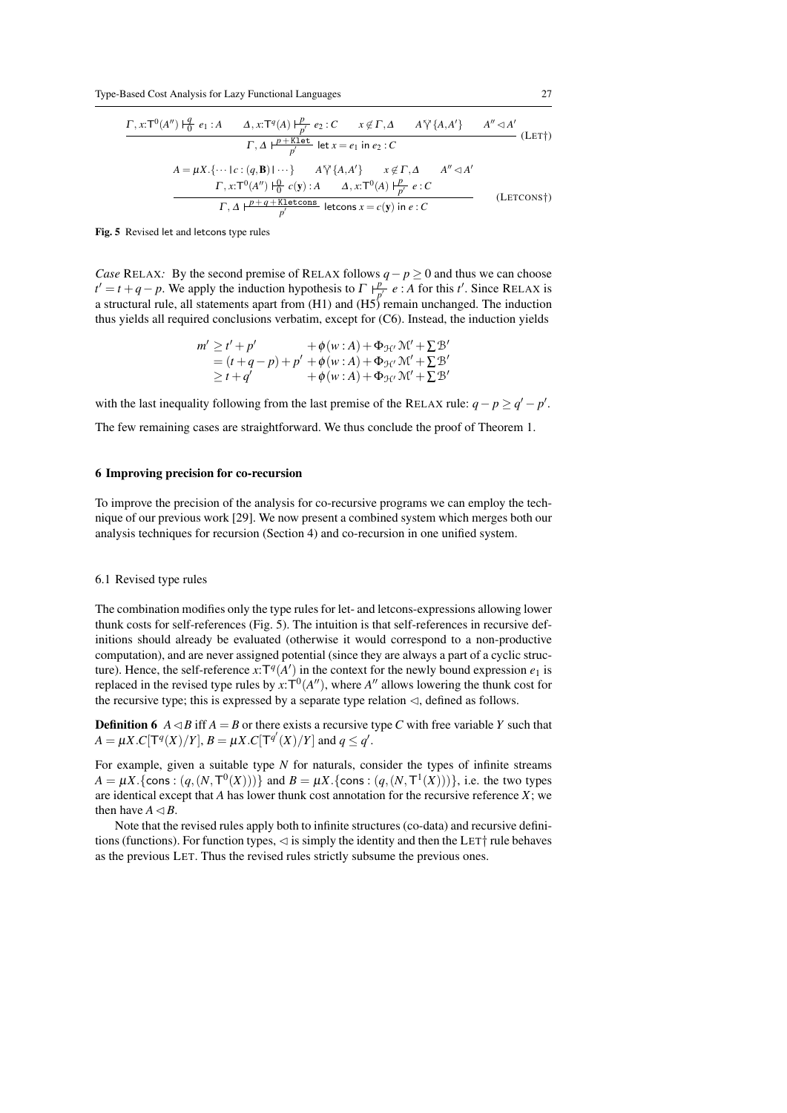$$
\frac{\Gamma, x: T^0(A'') \mid_{0}^q e_1: A \qquad \Delta, x: T^q(A) \mid_{p'}^p e_2: C \qquad x \notin \Gamma, \Delta \qquad A^{\gamma} \{A, A'\} \qquad A'' \lhd A'}{\Gamma, \Delta \mid_{p'}^p K \text{let}} \text{ let } x = e_1 \text{ in } e_2: C
$$
\n
$$
A = \mu X. \{\dots | c: (q, \mathbf{B}) \mid \dots \} \qquad A^{\gamma} \{A, A'\} \qquad x \notin \Gamma, \Delta \qquad A'' \lhd A'
$$
\n
$$
\frac{\Gamma, x: T^0(A'') \mid_{0}^0 c(\mathbf{y}): A \qquad \Delta, x: T^0(A) \mid_{p'}^p e: C}{\Gamma, \Delta \mid_{p'}^p K \text{letcons}} \text{letcons } x = c(\mathbf{y}) \text{ in } e: C
$$
\n(LETCONS<sup>†</sup>)

Fig. 5 Revised let and letcons type rules

*Case* RELAX: By the second premise of RELAX follows *q* − *p* ≥ 0 and thus we can choose  $t' = t + q - p$ . We apply the induction hypothesis to  $\Gamma + \frac{p}{q}$  $\frac{p}{p'}$  *e* : *A* for this *t'*. Since RELAX is a structural rule, all statements apart from (H1) and (H5) remain unchanged. The induction thus yields all required conclusions verbatim, except for (C6). Instead, the induction yields

$$
m' \ge t' + p'
$$
  
=  $(t+q-p)+p' + \phi(w:A) + \Phi_{\mathcal{H}'} \mathcal{M}' + \Sigma \mathcal{B}'$   
 $\ge t + q'$   
+  $\phi(w:A) + \Phi_{\mathcal{H}'} \mathcal{M}' + \Sigma \mathcal{B}'$   
+  $\phi(w:A) + \Phi_{\mathcal{H}'} \mathcal{M}' + \Sigma \mathcal{B}'$ 

with the last inequality following from the last premise of the RELAX rule:  $q - p \ge q' - p'$ .

The few remaining cases are straightforward. We thus conclude the proof of Theorem 1.

## 6 Improving precision for co-recursion

To improve the precision of the analysis for co-recursive programs we can employ the technique of our previous work [29]. We now present a combined system which merges both our analysis techniques for recursion (Section 4) and co-recursion in one unified system.

#### 6.1 Revised type rules

The combination modifies only the type rules for let- and letcons-expressions allowing lower thunk costs for self-references (Fig. 5). The intuition is that self-references in recursive definitions should already be evaluated (otherwise it would correspond to a non-productive computation), and are never assigned potential (since they are always a part of a cyclic structure). Hence, the self-reference  $x: T^q(A')$  in the context for the newly bound expression  $e_1$  is replaced in the revised type rules by  $x:T^0(A'')$ , where  $A''$  allows lowering the thunk cost for the recursive type; this is expressed by a separate type relation  $\triangleleft$ , defined as follows.

**Definition 6**  $A \triangleleft B$  iff  $A = B$  or there exists a recursive type C with free variable Y such that  $A = \mu X . C[\mathsf{T}^q(X)/Y], B = \mu X . C[\mathsf{T}^{q'}(X)/Y]$  and  $q \le q'.$ 

For example, given a suitable type *N* for naturals, consider the types of infinite streams *A* =  $\mu X$ .{cons :  $(q, (N, T^0(X)))$ } and *B* =  $\mu X$ .{cons :  $(q, (N, T^1(X)))$ }, i.e. the two types are identical except that *A* has lower thunk cost annotation for the recursive reference *X*; we then have  $A \triangleleft B$ .

Note that the revised rules apply both to infinite structures (co-data) and recursive definitions (functions). For function types,  $\triangleleft$  is simply the identity and then the LET  $\dagger$  rule behaves as the previous LET. Thus the revised rules strictly subsume the previous ones.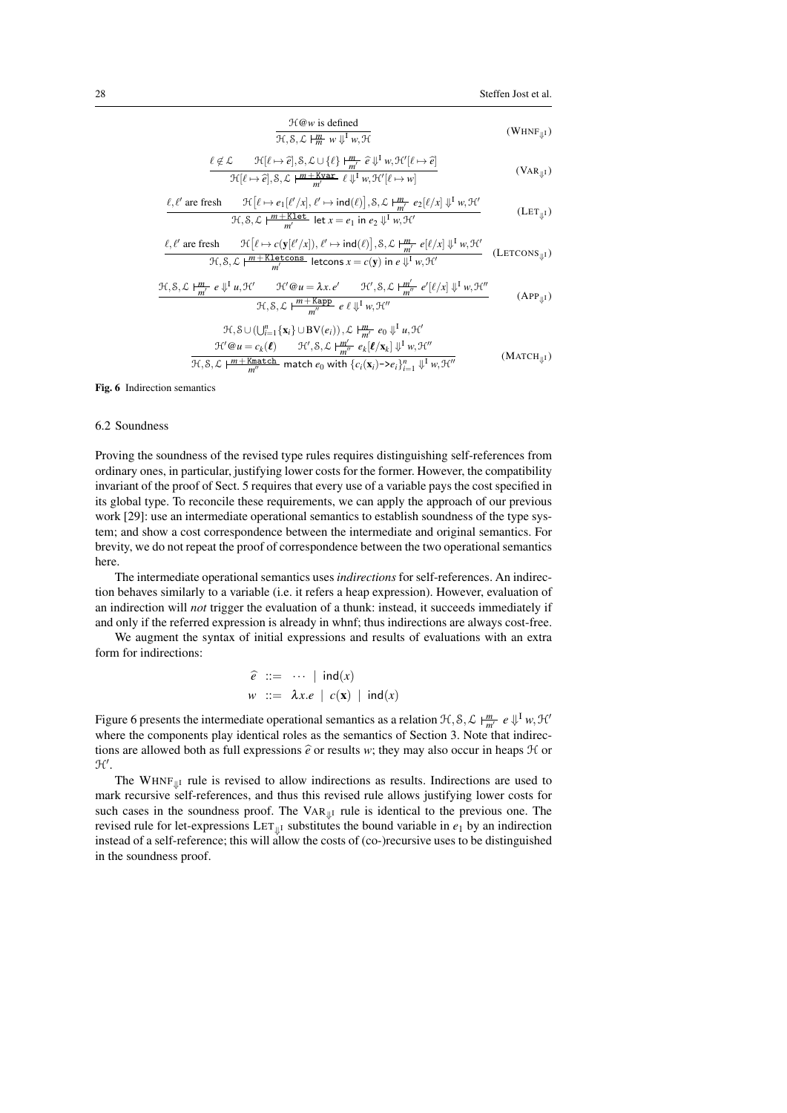$$
\frac{\mathcal{H}\text{@}w \text{ is defined}}{\mathcal{H}, \mathcal{S}, \mathcal{L} \mid \frac{m}{m} w \Downarrow^{\text{I}} w, \mathcal{H}}
$$
 (WHNF<sub>ij1</sub>)

$$
\frac{\ell \notin \mathcal{L}}{\mathcal{H}[\ell \mapsto \hat{e}], \mathcal{S}, \mathcal{L} \cup \{\ell\} \frac{\mu}{m'} \hat{e} \downarrow^{\text{I}} w, \mathcal{H}'[\ell \mapsto \hat{e}]}{\mathcal{H}[\ell \mapsto \hat{e}], \mathcal{S}, \mathcal{L} \frac{\mu + \text{Kvar}}{m'} \hat{e} \downarrow^{\text{I}} w, \mathcal{H}'[\ell \mapsto w]}
$$
(VaR<sub>µ1</sub>)

$$
\frac{\ell, \ell' \text{ are fresh } \mathcal{H}[\ell \mapsto e_1[\ell'/x], \ell' \mapsto \text{ind}(\ell)], \mathcal{S}, \mathcal{L} \vdash^{\text{m}}_{m'} e_2[\ell/x] \Downarrow^{\text{I}} w, \mathcal{H}'}{\mathcal{H}, \mathcal{S}, \mathcal{L} \vdash^{\text{m}+\text{Klet}}_{m'} \text{let } x = e_1 \text{ in } e_2 \Downarrow^{\text{I}} w, \mathcal{H}'}
$$
\n(LET<sub>ij1</sub>)

$$
\frac{\ell, \ell' \text{ are fresh } \mathcal{H}[\ell \mapsto c(\mathbf{y}[\ell'/x]), \ell' \mapsto \text{ind}(\ell)], \mathcal{S}, \mathcal{L} \models^m_{m'} e[\ell/x] \Downarrow^{\text{I}} w, \mathcal{H}'}{\mathcal{H}, \mathcal{S}, \mathcal{L} \models^m \vdash^{\text{K}} \text{letcons} \text{ letcons } x = c(\mathbf{y}) \text{ in } e \Downarrow^{\text{I}} w, \mathcal{H}'} \quad (\text{LETCONS}_{\Downarrow \text{I}})
$$

$$
\frac{\mathcal{H}, \mathcal{S}, \mathcal{L} \mid \frac{m}{m'} \ e \Downarrow^{\mathrm{I}} u, \mathcal{H}'}{\mathcal{H}, \mathcal{S}, \mathcal{L} \mid \frac{m + \mathrm{Kapp}}{m''} \ e \ell \Downarrow^{\mathrm{I}} w, \mathcal{H}''} \frac{\mathcal{H}'}{w} \cdot \mathcal{S}, \mathcal{L} \mid \frac{m'}{m''} \ e' [\ell/x] \Downarrow^{\mathrm{I}} w, \mathcal{H}''} \tag{APPU1}
$$

$$
\mathcal{H}, \mathcal{S} \cup (\bigcup_{i=1}^{n} \{\mathbf{x}_{i}\} \cup \text{BV}(e_{i})), \mathcal{L} \mid \frac{m}{m'} e_{0} \downarrow^{I} u, \mathcal{H}'
$$
\n
$$
\mathcal{H}' \otimes u = c_{k}(\ell) \qquad \mathcal{H}', \mathcal{S}, \mathcal{L} \mid \frac{m'}{m''} e_{k}[\ell/\mathbf{x}_{k}] \downarrow^{I} w, \mathcal{H}''
$$
\n
$$
\mathcal{H}, \mathcal{S}, \mathcal{L} \mid \frac{m + \text{Kmatch}}{m''} \text{ match } e_{0} \text{ with } \{c_{i}(\mathbf{x}_{i}) - \lambda e_{i}\}_{i=1}^{n} \downarrow^{I} w, \mathcal{H}''
$$
\n(MATCH<sub>\\downarrow</sub>I)

Fig. 6 Indirection semantics

## 6.2 Soundness

Proving the soundness of the revised type rules requires distinguishing self-references from ordinary ones, in particular, justifying lower costs for the former. However, the compatibility invariant of the proof of Sect. 5 requires that every use of a variable pays the cost specified in its global type. To reconcile these requirements, we can apply the approach of our previous work [29]: use an intermediate operational semantics to establish soundness of the type system; and show a cost correspondence between the intermediate and original semantics. For brevity, we do not repeat the proof of correspondence between the two operational semantics here.

The intermediate operational semantics uses *indirections* for self-references. An indirection behaves similarly to a variable (i.e. it refers a heap expression). However, evaluation of an indirection will *not* trigger the evaluation of a thunk: instead, it succeeds immediately if and only if the referred expression is already in whnf; thus indirections are always cost-free.

We augment the syntax of initial expressions and results of evaluations with an extra form for indirections:

$$
\widehat{e} ::= \cdots \mid ind(x)
$$
  

$$
w ::= \lambda x.e \mid c(\mathbf{x}) \mid ind(x)
$$

Figure 6 presents the intermediate operational semantics as a relation  $H, S, L \downarrow^m_{m'} e \Downarrow^{\text{I}} w, \mathcal{H}'$ where the components play identical roles as the semantics of Section 3. Note that indirections are allowed both as full expressions  $\hat{e}$  or results *w*; they may also occur in heaps  $H$  or  $\mathcal{H}'$ .

The WHNF $_{\parallel\text{I}}$  rule is revised to allow indirections as results. Indirections are used to mark recursive self-references, and thus this revised rule allows justifying lower costs for such cases in the soundness proof. The  $VAR_{||}$  rule is identical to the previous one. The revised rule for let-expressions  $LET_{\parallel I}$  substitutes the bound variable in  $e_1$  by an indirection instead of a self-reference; this will allow the costs of (co-)recursive uses to be distinguished in the soundness proof.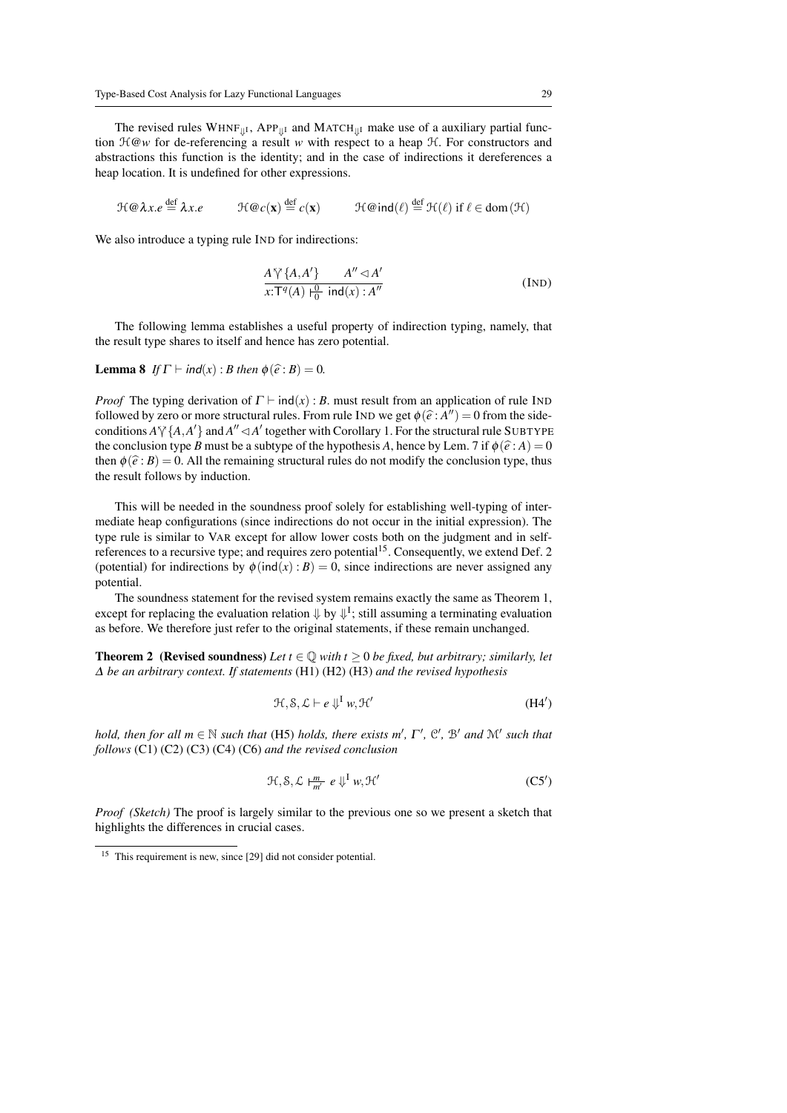The revised rules  $WHNF_{||1}$ , APP<sub>||I</sub> and MATCH<sub>||I</sub> make use of a auxiliary partial function H@*w* for de-referencing a result *w* with respect to a heap H. For constructors and abstractions this function is the identity; and in the case of indirections it dereferences a heap location. It is undefined for other expressions.

 $\mathcal{H} \omega \lambda x.e \stackrel{\text{def}}{=} \lambda x.e \qquad \mathcal{H} \omega c(\mathbf{x})$  $\det^{\text{def}} c(\mathbf{x})$  H@ind $(\ell) \stackrel{\text{def}}{=} \mathcal{H}(\ell)$  if  $\ell \in \text{dom}(\mathcal{H})$ 

We also introduce a typing rule IND for indirections:

$$
\frac{A\,\forall\,\{A,A'\}\qquad A'' \lhd A'}{x:\Gamma^q(A)\,\biguplus_0^0 \text{ ind}(x):A''}
$$
 (IND)

The following lemma establishes a useful property of indirection typing, namely, that the result type shares to itself and hence has zero potential.

**Lemma 8** *If*  $\Gamma \vdash \text{ind}(x) : B$  *then*  $\phi(\hat{e}: B) = 0$ *.* 

*Proof* The typing derivation of  $\Gamma \vdash \text{ind}(x)$ : *B*. must result from an application of rule IND followed by zero or more structural rules. From rule IND we get  $\phi(\hat{e}: A'') = 0$  from the side-<br>conditions  $A^{57}$  ( $A \ A'$ ) and  $A'' \subset A'$  together with Corollery 1. For the structural rule SUPTYPE conditions  $A \vee \{A, A'\}$  and  $A'' \triangleleft A'$  together with Corollary 1. For the structural rule SUBTYPE the conclusion type *B* must be a subtype of the hypothesis *A*, hence by Lem. 7 if  $\phi(\hat{e}: A) = 0$ then  $\phi(\hat{e}: B) = 0$ . All the remaining structural rules do not modify the conclusion type, thus the result follows by induction.

This will be needed in the soundness proof solely for establishing well-typing of intermediate heap configurations (since indirections do not occur in the initial expression). The type rule is similar to VAR except for allow lower costs both on the judgment and in selfreferences to a recursive type; and requires zero potential<sup>15</sup>. Consequently, we extend Def. 2 (potential) for indirections by  $\phi$ (ind(x) : *B*) = 0, since indirections are never assigned any potential.

The soundness statement for the revised system remains exactly the same as Theorem 1, except for replacing the evaluation relation  $\Downarrow$  by  $\Downarrow^{I}$ ; still assuming a terminating evaluation as before. We therefore just refer to the original statements, if these remain unchanged.

**Theorem 2** (Revised soundness) *Let*  $t \in \mathbb{Q}$  *with*  $t \geq 0$  *be fixed, but arbitrary; similarly, let* ∆ *be an arbitrary context. If statements* (H1) (H2) (H3) *and the revised hypothesis*

$$
\mathcal{H}, \mathcal{S}, \mathcal{L} \vdash e \Downarrow^{\mathrm{I}} w, \mathcal{H}' \tag{H4'}
$$

*hold, then for all*  $m \in \mathbb{N}$  *such that* (H5) *holds, there exists*  $m'$ ,  $\Gamma'$ ,  $\mathcal{C}'$ ,  $\mathcal{B}'$  *and*  $\mathcal{M}'$  *such that follows* (C1) (C2) (C3) (C4) (C6) *and the revised conclusion*

$$
\mathcal{H}, \mathcal{S}, \mathcal{L} \vdash_{m'}^{m} e \Downarrow^{I} w, \mathcal{H}'
$$
 (C5')

*Proof (Sketch)* The proof is largely similar to the previous one so we present a sketch that highlights the differences in crucial cases.

<sup>&</sup>lt;sup>15</sup> This requirement is new, since [29] did not consider potential.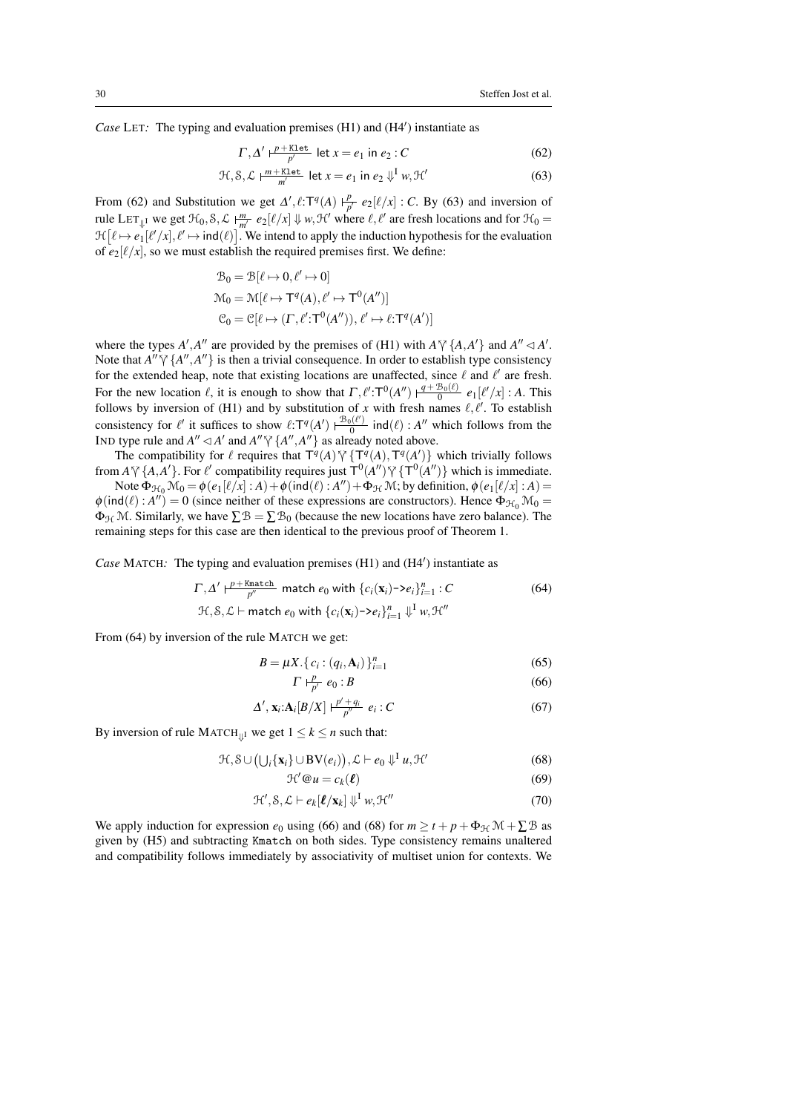Case LET: The typing and evaluation premises (H1) and (H4') instantiate as

$$
\Gamma, \Delta' \Vdash^{\underline{p+\text{Klet}}}_{\underline{p'}} \text{let } x = e_1 \text{ in } e_2 : C
$$
 (62)

$$
\mathcal{H}, \mathcal{S}, \mathcal{L} \models^{\underline{m} + \underline{\text{Klet}}}_{\underline{m'}} \text{let } x = e_1 \text{ in } e_2 \Downarrow^{\underline{I}} w, \mathcal{H}' \tag{63}
$$

From (62) and Substitution we get  $\Delta'$ ,  $\ell$ :T<sup>q</sup>(A)  $\vdash^p$  $\frac{p}{p'}$   $e_2[\ell/x]$  : *C*. By (63) and inversion of rule LET<sub> $\psi$ I</sub> we get  $\mathcal{H}_0, \mathcal{S}, \mathcal{L} \models_{m'}^m e_2[\ell/x] \Downarrow w, \mathcal{H}'$  where  $\ell, \ell'$  are fresh locations and for  $\mathcal{H}_0 =$  $\mathcal{H}[\ell \mapsto e_1[\ell'/x], \ell' \mapsto \text{ind}(\ell)]$ . We intend to apply the induction hypothesis for the evaluation of  $e_2[\ell/x]$ , so we must establish the required premises first. We define:

$$
\mathcal{B}_0 = \mathcal{B}[\ell \mapsto 0, \ell' \mapsto 0]
$$
  

$$
\mathcal{M}_0 = \mathcal{M}[\ell \mapsto \mathsf{T}^q(A), \ell' \mapsto \mathsf{T}^0(A'')]
$$
  

$$
\mathcal{C}_0 = \mathcal{C}[\ell \mapsto (\Gamma, \ell'; \mathsf{T}^0(A'')), \ell' \mapsto \ell; \mathsf{T}^q(A')]
$$

where the types *A'*, *A''* are provided by the premises of (H1) with  $A \gamma \{A, A'\}$  and  $A'' \lhd A'$ .<br>Note that  $A'' \succeq A''$ ,  $A'' \rhd A''$  is then a trivial consequence In order to actablish time consistency. Note that  $A'' \gamma \{A'', A''\}$  is then a trivial consequence. In order to establish type consistency for the extended heap, note that existing locations are unaffected, since  $\ell$  and  $\ell'$  are fresh. For the new location  $\ell$ , it is enough to show that  $\Gamma, \ell': \Gamma^0(A'') \xrightarrow{q + B_0(\ell)} e_1[\ell'/x] : A$ . This follows by inversion of (H1) and by substitution of x with fresh names  $\ell, \ell'$ . To establish consistency for  $\ell'$  it suffices to show  $\ell: T^q(A') \rightharpoonup^{\mathcal{B}_0(\ell')}$  $\frac{\partial h^{(\ell)}}{\partial}$  ind( $\ell$ ) : *A*<sup>*''*</sup> which follows from the IND type rule and  $A'' \triangleleft A'$  and  $A'' \triangleleft A''$ ,  $A''$  as already noted above.<br>The compatibility for  $\ell$  requires that  $\mathbf{T}(\ell_1) \triangleleft A'$   $\mathbf{T}(\ell_2) \triangleleft A$ 

The compatibility for  $\ell$  requires that  $T^q(A) \gamma \{T^q(A), T^q(A')\}$  which trivially follows from  $A \gamma \{A, A'\}$ . For  $\ell'$  compatibility requires just  $T^0(A'') \gamma \{T^0(A'')\}$  which is immediate.

Note  $\Phi_{\mathcal{H}_0} \mathcal{M}_0 = \phi(e_1[\ell/x] : A) + \phi(\text{ind}(\ell) : A'') + \Phi_{\mathcal{H}} \mathcal{M}$ ; by definition,  $\phi(e_1[\ell/x] : A) =$  $\phi(\text{ind}(\ell) : A'') = 0$  (since neither of these expressions are constructors). Hence  $\Phi_{\mathcal{H}_0} \mathcal{M}_0 =$  $\Phi_{\mathcal{H}}\mathcal{M}$ . Similarly, we have  $\sum \mathcal{B} = \sum \mathcal{B}_0$  (because the new locations have zero balance). The remaining steps for this case are then identical to the previous proof of Theorem 1.

Case MATCH: The typing and evaluation premises (H1) and (H4') instantiate as

$$
\Gamma, \Delta' \vdash^{\underline{p} + \underline{\text{Kmatch}}}_{\underline{p''}} \text{ match } e_0 \text{ with } \{c_i(\mathbf{x}_i) \negthinspace > \negthinspace e_i\}_{i=1}^n : C
$$
\n
$$
\exists \ell, \mathcal{S}, \mathcal{L} \vdash \text{match } e_0 \text{ with } \{c_i(\mathbf{x}_i) \negthinspace > \negthinspace e_i\}_{i=1}^n \Downarrow^{\mathrm{I}} w, \mathcal{H}''
$$
\n
$$
(64)
$$

From (64) by inversion of the rule MATCH we get:

$$
B = \mu X. \{c_i : (q_i, \mathbf{A}_i)\}_{i=1}^n
$$
 (65)

$$
\Gamma \vdash^p_{p'} e_0 : B \tag{66}
$$

$$
\Delta', \mathbf{x}_i: \mathbf{A}_i[B/X] \vdash_{p''}^{\frac{p'+q_i}{p''}} e_i : C
$$
\n
$$
(67)
$$

By inversion of rule MATCH<sup> $||$ I</sup> we get  $1 \leq k \leq n$  such that:

$$
\mathcal{H}, \mathcal{S} \cup (\bigcup_{i} \{ \mathbf{x}_{i} \} \cup BV(e_{i})), \mathcal{L} \vdash e_{0} \Downarrow^{I} u, \mathcal{H}'
$$
\n
$$
(68)
$$

$$
\mathcal{H}'\mathcal{Q}u = c_k(\boldsymbol{\ell})\tag{69}
$$

$$
\mathcal{H}', \mathcal{S}, \mathcal{L} \vdash e_k[\ell/\mathbf{x}_k] \Downarrow^{\mathrm{I}} w, \mathcal{H}'' \tag{70}
$$

We apply induction for expression  $e_0$  using (66) and (68) for  $m \ge t + p + \Phi_{\mathcal{H}} \mathcal{M} + \sum \mathcal{B}$  as given by (H5) and subtracting Kmatch on both sides. Type consistency remains unaltered and compatibility follows immediately by associativity of multiset union for contexts. We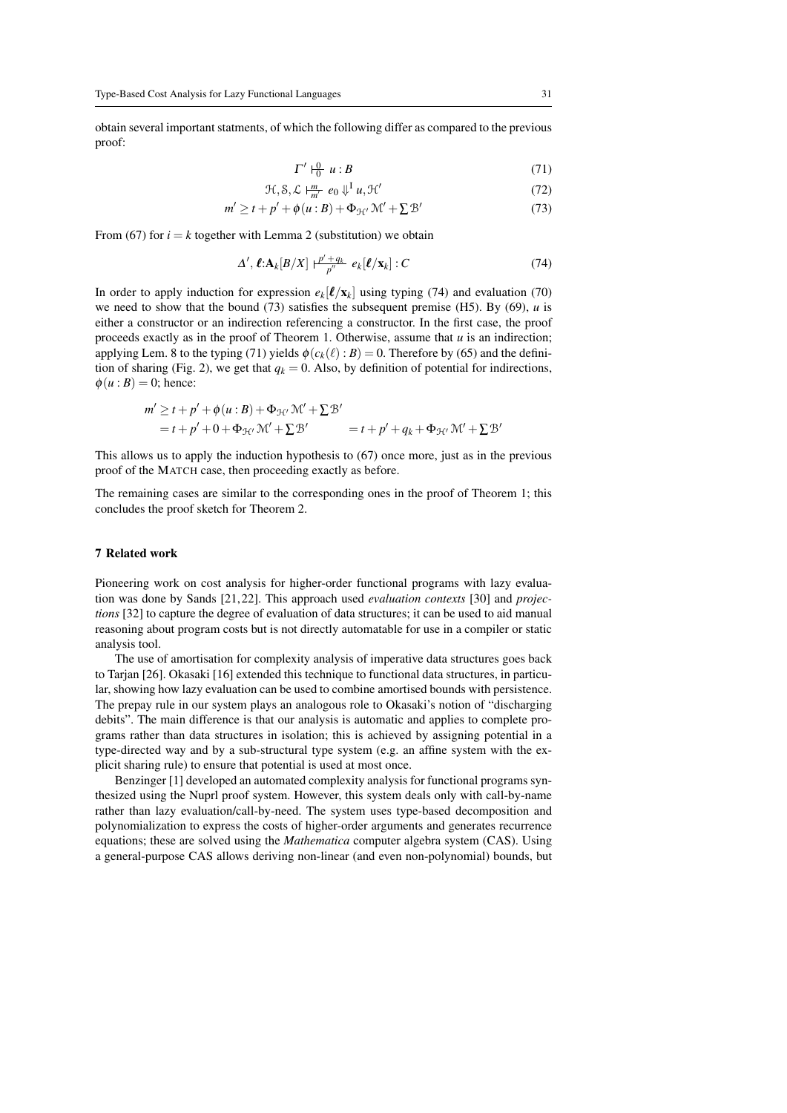obtain several important statments, of which the following differ as compared to the previous proof:

$$
\Gamma' \vdash_0^0 u : B \tag{71}
$$

$$
\mathcal{H}, \mathcal{S}, \mathcal{L} \vdash_{m'}^{\underline{m}} e_0 \Downarrow^{\underline{I}} u, \mathcal{H}' \tag{72}
$$

$$
m' \ge t + p' + \phi(u:B) + \Phi_{\mathcal{H}'} \mathcal{M}' + \Sigma \mathcal{B}' \tag{73}
$$

From (67) for  $i = k$  together with Lemma 2 (substitution) we obtain

$$
\Delta', \ell: \mathbf{A}_k[B/X] \xrightarrow[p''']{} q_k[\ell/x_k] : C \tag{74}
$$

In order to apply induction for expression  $e_k[\ell/x_k]$  using typing (74) and evaluation (70) we need to show that the bound (73) satisfies the subsequent premise (H5). By (69), *u* is either a constructor or an indirection referencing a constructor. In the first case, the proof proceeds exactly as in the proof of Theorem 1. Otherwise, assume that *u* is an indirection; applying Lem. 8 to the typing (71) yields  $\phi(c_k(\ell) : B) = 0$ . Therefore by (65) and the definition of sharing (Fig. 2), we get that  $q_k = 0$ . Also, by definition of potential for indirections,  $\phi(u:B) = 0$ ; hence:

$$
m' \ge t + p' + \phi(u : B) + \Phi_{\mathcal{H}'} \mathcal{M}' + \Sigma \mathcal{B}'
$$
  
=  $t + p' + 0 + \Phi_{\mathcal{H}'} \mathcal{M}' + \Sigma \mathcal{B}'$  =  $t + p' + q_k + \Phi_{\mathcal{H}'} \mathcal{M}' + \Sigma \mathcal{B}'$ 

This allows us to apply the induction hypothesis to (67) once more, just as in the previous proof of the MATCH case, then proceeding exactly as before.

The remaining cases are similar to the corresponding ones in the proof of Theorem 1; this concludes the proof sketch for Theorem 2.

#### 7 Related work

Pioneering work on cost analysis for higher-order functional programs with lazy evaluation was done by Sands [21, 22]. This approach used *evaluation contexts* [30] and *projections* [32] to capture the degree of evaluation of data structures; it can be used to aid manual reasoning about program costs but is not directly automatable for use in a compiler or static analysis tool.

The use of amortisation for complexity analysis of imperative data structures goes back to Tarjan [26]. Okasaki [16] extended this technique to functional data structures, in particular, showing how lazy evaluation can be used to combine amortised bounds with persistence. The prepay rule in our system plays an analogous role to Okasaki's notion of "discharging debits". The main difference is that our analysis is automatic and applies to complete programs rather than data structures in isolation; this is achieved by assigning potential in a type-directed way and by a sub-structural type system (e.g. an affine system with the explicit sharing rule) to ensure that potential is used at most once.

Benzinger [1] developed an automated complexity analysis for functional programs synthesized using the Nuprl proof system. However, this system deals only with call-by-name rather than lazy evaluation/call-by-need. The system uses type-based decomposition and polynomialization to express the costs of higher-order arguments and generates recurrence equations; these are solved using the *Mathematica* computer algebra system (CAS). Using a general-purpose CAS allows deriving non-linear (and even non-polynomial) bounds, but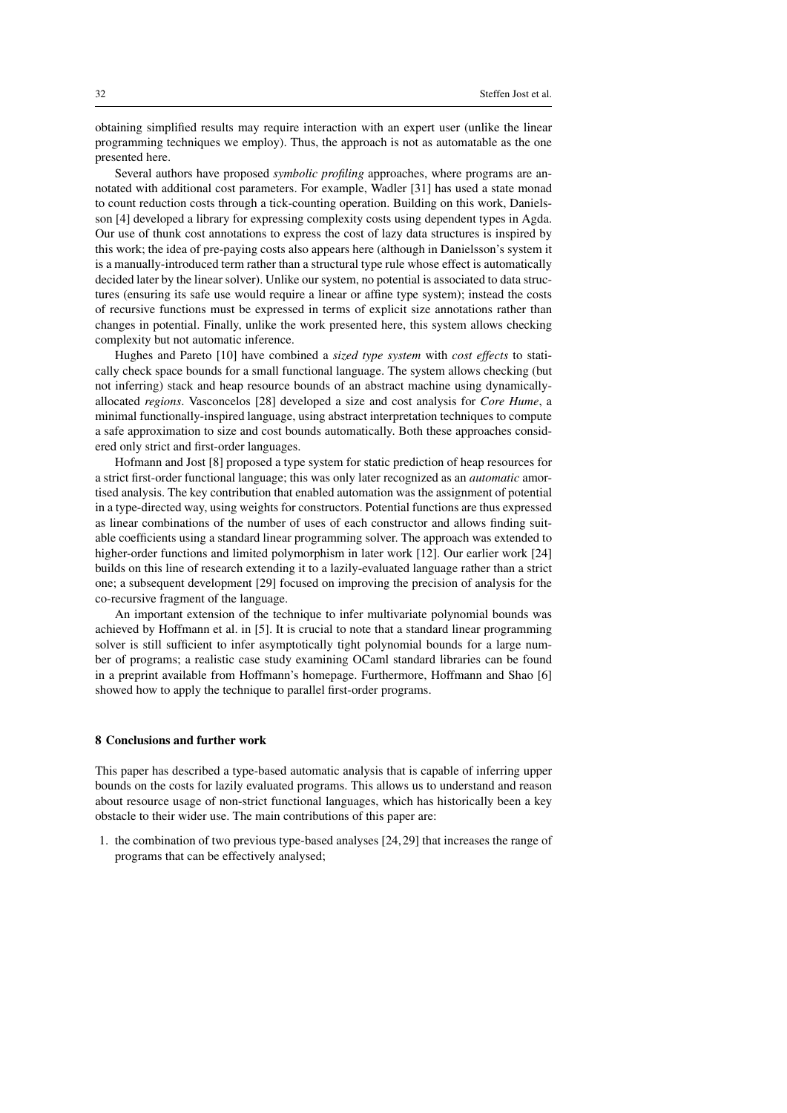obtaining simplified results may require interaction with an expert user (unlike the linear programming techniques we employ). Thus, the approach is not as automatable as the one presented here.

Several authors have proposed *symbolic profiling* approaches, where programs are annotated with additional cost parameters. For example, Wadler [31] has used a state monad to count reduction costs through a tick-counting operation. Building on this work, Danielsson [4] developed a library for expressing complexity costs using dependent types in Agda. Our use of thunk cost annotations to express the cost of lazy data structures is inspired by this work; the idea of pre-paying costs also appears here (although in Danielsson's system it is a manually-introduced term rather than a structural type rule whose effect is automatically decided later by the linear solver). Unlike our system, no potential is associated to data structures (ensuring its safe use would require a linear or affine type system); instead the costs of recursive functions must be expressed in terms of explicit size annotations rather than changes in potential. Finally, unlike the work presented here, this system allows checking complexity but not automatic inference.

Hughes and Pareto [10] have combined a *sized type system* with *cost effects* to statically check space bounds for a small functional language. The system allows checking (but not inferring) stack and heap resource bounds of an abstract machine using dynamicallyallocated *regions*. Vasconcelos [28] developed a size and cost analysis for *Core Hume*, a minimal functionally-inspired language, using abstract interpretation techniques to compute a safe approximation to size and cost bounds automatically. Both these approaches considered only strict and first-order languages.

Hofmann and Jost [8] proposed a type system for static prediction of heap resources for a strict first-order functional language; this was only later recognized as an *automatic* amortised analysis. The key contribution that enabled automation was the assignment of potential in a type-directed way, using weights for constructors. Potential functions are thus expressed as linear combinations of the number of uses of each constructor and allows finding suitable coefficients using a standard linear programming solver. The approach was extended to higher-order functions and limited polymorphism in later work [12]. Our earlier work [24] builds on this line of research extending it to a lazily-evaluated language rather than a strict one; a subsequent development [29] focused on improving the precision of analysis for the co-recursive fragment of the language.

An important extension of the technique to infer multivariate polynomial bounds was achieved by Hoffmann et al. in [5]. It is crucial to note that a standard linear programming solver is still sufficient to infer asymptotically tight polynomial bounds for a large number of programs; a realistic case study examining OCaml standard libraries can be found in a preprint available from Hoffmann's homepage. Furthermore, Hoffmann and Shao [6] showed how to apply the technique to parallel first-order programs.

#### 8 Conclusions and further work

This paper has described a type-based automatic analysis that is capable of inferring upper bounds on the costs for lazily evaluated programs. This allows us to understand and reason about resource usage of non-strict functional languages, which has historically been a key obstacle to their wider use. The main contributions of this paper are:

1. the combination of two previous type-based analyses [24, 29] that increases the range of programs that can be effectively analysed;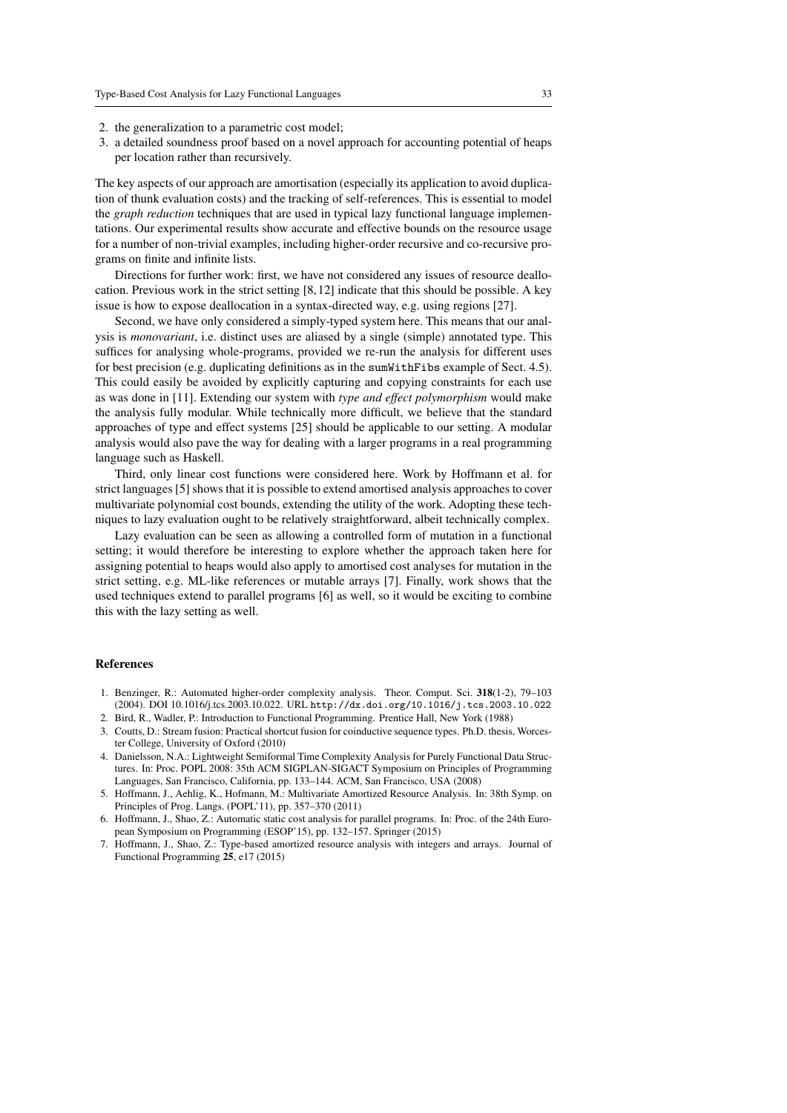- 2. the generalization to a parametric cost model;
- 3. a detailed soundness proof based on a novel approach for accounting potential of heaps per location rather than recursively.

The key aspects of our approach are amortisation (especially its application to avoid duplication of thunk evaluation costs) and the tracking of self-references. This is essential to model the *graph reduction* techniques that are used in typical lazy functional language implementations. Our experimental results show accurate and effective bounds on the resource usage for a number of non-trivial examples, including higher-order recursive and co-recursive programs on finite and infinite lists.

Directions for further work: first, we have not considered any issues of resource deallocation. Previous work in the strict setting [8, 12] indicate that this should be possible. A key issue is how to expose deallocation in a syntax-directed way, e.g. using regions [27].

Second, we have only considered a simply-typed system here. This means that our analysis is *monovariant*, i.e. distinct uses are aliased by a single (simple) annotated type. This suffices for analysing whole-programs, provided we re-run the analysis for different uses for best precision (e.g. duplicating definitions as in the sumWithFibs example of Sect. 4.5). This could easily be avoided by explicitly capturing and copying constraints for each use as was done in [11]. Extending our system with *type and effect polymorphism* would make the analysis fully modular. While technically more difficult, we believe that the standard approaches of type and effect systems [25] should be applicable to our setting. A modular analysis would also pave the way for dealing with a larger programs in a real programming language such as Haskell.

Third, only linear cost functions were considered here. Work by Hoffmann et al. for strict languages [5] shows that it is possible to extend amortised analysis approaches to cover multivariate polynomial cost bounds, extending the utility of the work. Adopting these techniques to lazy evaluation ought to be relatively straightforward, albeit technically complex.

Lazy evaluation can be seen as allowing a controlled form of mutation in a functional setting; it would therefore be interesting to explore whether the approach taken here for assigning potential to heaps would also apply to amortised cost analyses for mutation in the strict setting, e.g. ML-like references or mutable arrays [7]. Finally, work shows that the used techniques extend to parallel programs [6] as well, so it would be exciting to combine this with the lazy setting as well.

#### References

- 1. Benzinger, R.: Automated higher-order complexity analysis. Theor. Comput. Sci. 318(1-2), 79–103 (2004). DOI 10.1016/j.tcs.2003.10.022. URL http://dx.doi.org/10.1016/j.tcs.2003.10.022
- 2. Bird, R., Wadler, P.: Introduction to Functional Programming. Prentice Hall, New York (1988)
- 3. Coutts, D.: Stream fusion: Practical shortcut fusion for coinductive sequence types. Ph.D. thesis, Worcester College, University of Oxford (2010)
- 4. Danielsson, N.A.: Lightweight Semiformal Time Complexity Analysis for Purely Functional Data Structures. In: Proc. POPL 2008: 35th ACM SIGPLAN-SIGACT Symposium on Principles of Programming Languages, San Francisco, California, pp. 133–144. ACM, San Francisco, USA (2008)
- 5. Hoffmann, J., Aehlig, K., Hofmann, M.: Multivariate Amortized Resource Analysis. In: 38th Symp. on Principles of Prog. Langs. (POPL'11), pp. 357–370 (2011)
- 6. Hoffmann, J., Shao, Z.: Automatic static cost analysis for parallel programs. In: Proc. of the 24th European Symposium on Programming (ESOP'15), pp. 132–157. Springer (2015)
- 7. Hoffmann, J., Shao, Z.: Type-based amortized resource analysis with integers and arrays. Journal of Functional Programming 25, e17 (2015)